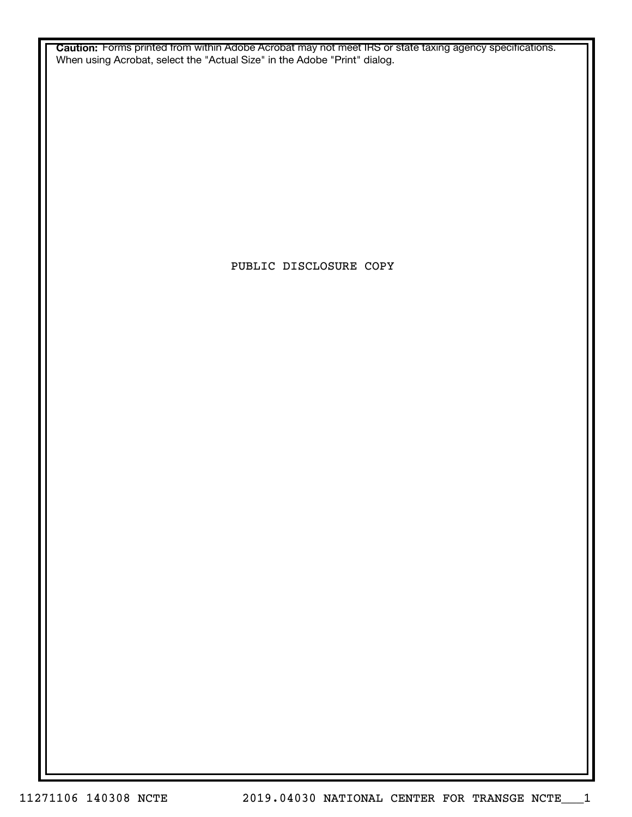**Caution:** Forms printed from within Adobe Acrobat may not meet IRS or state taxing agency specifications. When using Acrobat, select the "Actual Size" in the Adobe "Print" dialog.

PUBLIC DISCLOSURE COPY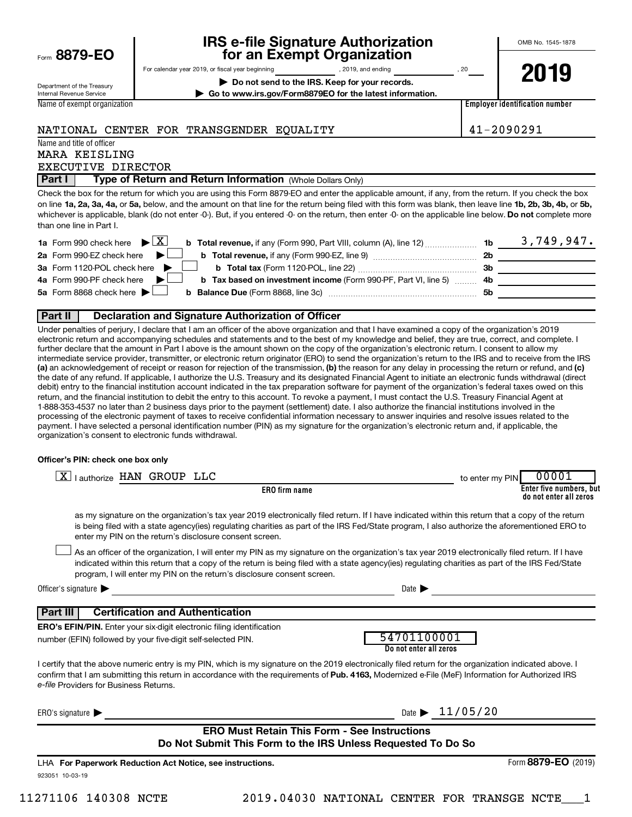|  | Form 8879-EO |  |  |  |
|--|--------------|--|--|--|
|--|--------------|--|--|--|

# **IRS e-file Signature Authorization 8879-EO for an Exempt Organization**

OMB No. 1545-1878

Department of the Treasury Internal Revenue Service Name of exempt organization For calendar year 2019, or fiscal year beginning , 2019, and ending , 20 **| Do not send to the IRS. Keep for your records.**

**| Go to www.irs.gov/Form8879EO for the latest information. 2019**

**Employer identification number**

#### NATIONAL CENTER FOR TRANSGENDER EQUALITY 41-2090291

Name and title of officer MARA KEISLING

EXECUTIVE DIRECTOR

**Part I** | Type of Return and Return Information (Whole Dollars Only)

on line 1a, 2a, 3a, 4a, or 5a, below, and the amount on that line for the return being filed with this form was blank, then leave line 1b, 2b, 3b, 4b, or 5b, whichever is applicable, blank (do not enter -0-). But, if you entered -0- on the return, then enter -0- on the applicable line below. **Do not** complete more Check the box for the return for which you are using this Form 8879-EO and enter the applicable amount, if any, from the return. If you check the box than one line in Part I.

| <b>1a</b> Form 990 check here $\triangleright \boxed{X}$                                                                             |     | 3,749,947. |
|--------------------------------------------------------------------------------------------------------------------------------------|-----|------------|
| 2a Form 990-EZ check here $\blacktriangleright$<br><b>b</b> Total revenue, if any (Form 990-EZ, line 9) <i>manageranan</i> manageran | 2b  |            |
| 3a Form 1120-POL check here                                                                                                          | -3b |            |
| 4a Form 990-PF check here $\blacktriangleright$<br><b>b</b> Tax based on investment income (Form 990-PF, Part VI, line 5) 4b         |     |            |
| 5a Form 8868 check here $\blacktriangleright$                                                                                        | .5b |            |
|                                                                                                                                      |     |            |

#### **Part II Declaration and Signature Authorization of Officer**

(a) an acknowledgement of receipt or reason for rejection of the transmission, (b) the reason for any delay in processing the return or refund, and (c) Under penalties of perjury, I declare that I am an officer of the above organization and that I have examined a copy of the organization's 2019 electronic return and accompanying schedules and statements and to the best of my knowledge and belief, they are true, correct, and complete. I further declare that the amount in Part I above is the amount shown on the copy of the organization's electronic return. I consent to allow my intermediate service provider, transmitter, or electronic return originator (ERO) to send the organization's return to the IRS and to receive from the IRS the date of any refund. If applicable, I authorize the U.S. Treasury and its designated Financial Agent to initiate an electronic funds withdrawal (direct debit) entry to the financial institution account indicated in the tax preparation software for payment of the organization's federal taxes owed on this return, and the financial institution to debit the entry to this account. To revoke a payment, I must contact the U.S. Treasury Financial Agent at 1-888-353-4537 no later than 2 business days prior to the payment (settlement) date. I also authorize the financial institutions involved in the processing of the electronic payment of taxes to receive confidential information necessary to answer inquiries and resolve issues related to the payment. I have selected a personal identification number (PIN) as my signature for the organization's electronic return and, if applicable, the organization's consent to electronic funds withdrawal.

#### **Officer's PIN: check one box only**

| X   authorize HAN GROUP LLC                                                                                                                                                                                                                                                                                                                                                      | 00001<br>to enter my PIN                          |
|----------------------------------------------------------------------------------------------------------------------------------------------------------------------------------------------------------------------------------------------------------------------------------------------------------------------------------------------------------------------------------|---------------------------------------------------|
| <b>ERO</b> firm name                                                                                                                                                                                                                                                                                                                                                             | Enter five numbers, but<br>do not enter all zeros |
| as my signature on the organization's tax year 2019 electronically filed return. If I have indicated within this return that a copy of the return<br>is being filed with a state agency(ies) regulating charities as part of the IRS Fed/State program, I also authorize the aforementioned ERO to<br>enter my PIN on the return's disclosure consent screen.                    |                                                   |
| As an officer of the organization, I will enter my PIN as my signature on the organization's tax year 2019 electronically filed return. If I have<br>indicated within this return that a copy of the return is being filed with a state agency(ies) regulating charities as part of the IRS Fed/State<br>program, I will enter my PIN on the return's disclosure consent screen. |                                                   |
| Officer's signature                                                                                                                                                                                                                                                                                                                                                              | Date $\blacksquare$                               |
| <b>Certification and Authentication</b><br>  Part III                                                                                                                                                                                                                                                                                                                            |                                                   |
| <b>ERO's EFIN/PIN.</b> Enter your six-digit electronic filing identification                                                                                                                                                                                                                                                                                                     |                                                   |
| number (EFIN) followed by your five-digit self-selected PIN.                                                                                                                                                                                                                                                                                                                     | 54701100001<br>Do not enter all zeros             |
| I certify that the above numeric entry is my PIN, which is my signature on the 2019 electronically filed return for the organization indicated above. I<br>confirm that I am submitting this return in accordance with the requirements of Pub. 4163, Modernized e-File (MeF) Information for Authorized IRS<br>e-file Providers for Business Returns.                           |                                                   |
| ERO's signature $\blacktriangleright$                                                                                                                                                                                                                                                                                                                                            | Date $\blacktriangleright$ 11/05/20               |
| <b>ERO Must Retain This Form - See Instructions</b>                                                                                                                                                                                                                                                                                                                              |                                                   |
| Do Not Submit This Form to the IRS Unless Requested To Do So                                                                                                                                                                                                                                                                                                                     |                                                   |
| LHA For Paperwork Reduction Act Notice, see instructions.                                                                                                                                                                                                                                                                                                                        | Form 8879-EO (2019)                               |
| 923051 10-03-19                                                                                                                                                                                                                                                                                                                                                                  |                                                   |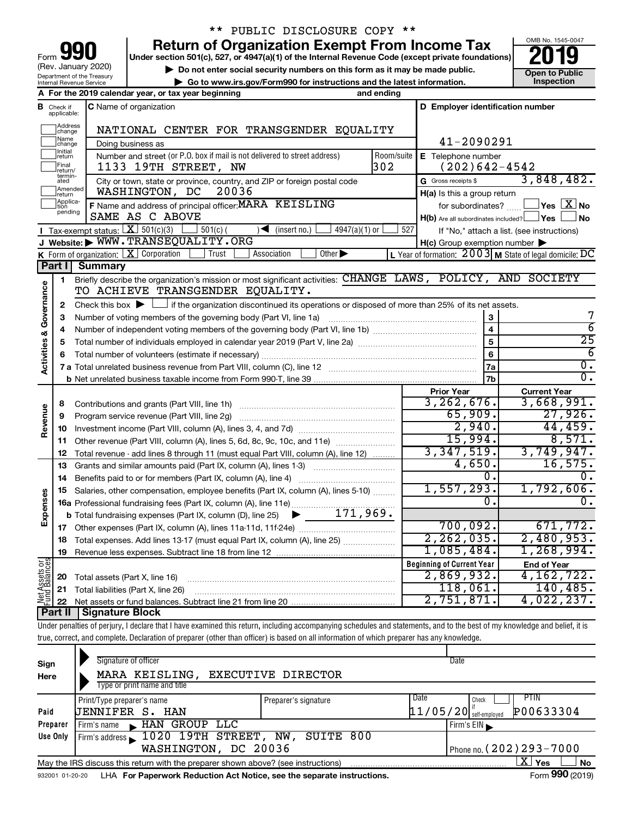| 990<br>Form                                            |
|--------------------------------------------------------|
| (Rev. January 2020)                                    |
| Department of the Treasury<br>Internal Revenue Service |

## \*\* PUBLIC DISCLOSURE COPY \*\*

**Under section 501(c), 527, or 4947(a)(1) of the Internal Revenue Code (except private foundations) Return of Organization Exempt From Income Tax** 

▶ Do not enter social security numbers on this form as it may be made public. **Open to Public** 



|                                    |                                  | Department or the Treasury<br>Internal Revenue Service | ► Go to www.irs.gov/Form990 for instructions and the latest information.                                                                         |                                                           | Inspection                                           |
|------------------------------------|----------------------------------|--------------------------------------------------------|--------------------------------------------------------------------------------------------------------------------------------------------------|-----------------------------------------------------------|------------------------------------------------------|
|                                    |                                  |                                                        | A For the 2019 calendar year, or tax year beginning<br>and ending                                                                                |                                                           |                                                      |
|                                    | $\mathbf B$ Check if applicable: |                                                        | C Name of organization                                                                                                                           | D Employer identification number                          |                                                      |
|                                    | Address<br> change               |                                                        | NATIONAL CENTER FOR TRANSGENDER EQUALITY                                                                                                         |                                                           |                                                      |
|                                    | Name<br>change                   |                                                        | Doing business as                                                                                                                                | 41-2090291                                                |                                                      |
|                                    | Initial<br>return                |                                                        | Number and street (or P.O. box if mail is not delivered to street address)<br>Room/suite                                                         | E Telephone number                                        |                                                      |
|                                    | Final<br>return/                 |                                                        | 302<br>1133 19TH STREET, NW                                                                                                                      | $(202)642 - 4542$                                         |                                                      |
|                                    | termin-<br>ated                  |                                                        | City or town, state or province, country, and ZIP or foreign postal code                                                                         | G Gross receipts \$                                       | 3,848,482.                                           |
|                                    | Amended<br>return                |                                                        | 20036<br>WASHINGTON, DC                                                                                                                          | H(a) Is this a group return                               |                                                      |
|                                    | Applica-<br>tion<br>pending      |                                                        | F Name and address of principal officer: MARA KEISLING                                                                                           |                                                           | for subordinates? $\Box$ Yes $\boxed{\mathbf{X}}$ No |
|                                    |                                  |                                                        | SAME AS C ABOVE                                                                                                                                  | $H(b)$ Are all subordinates included? $\Box$ Yes $\Box$   | ⊿ No                                                 |
|                                    |                                  |                                                        | <b>I</b> Tax-exempt status: $X \overline{X}$ 501(c)(3) $\overline{S}$ 501(c)(<br>$\sqrt{\frac{1}{1}}$ (insert no.)<br>$4947(a)(1)$ or            | 527                                                       | If "No," attach a list. (see instructions)           |
|                                    |                                  |                                                        | J Website: WWW.TRANSEQUALITY.ORG                                                                                                                 | $H(c)$ Group exemption number $\blacktriangleright$       |                                                      |
|                                    |                                  |                                                        | K Form of organization: $X$ Corporation<br>Other $\blacktriangleright$<br>Trust<br>Association                                                   | L Year of formation: $2003$ M State of legal domicile: DC |                                                      |
|                                    | Part I                           | <b>Summary</b>                                         |                                                                                                                                                  |                                                           |                                                      |
| <b>Activities &amp; Governance</b> | 1                                |                                                        | Briefly describe the organization's mission or most significant activities: CHANGE LAWS, POLICY, AND SOCIETY<br>TO ACHIEVE TRANSGENDER EQUALITY. |                                                           |                                                      |
|                                    | 2                                |                                                        | Check this box $\blacktriangleright$ $\Box$ if the organization discontinued its operations or disposed of more than 25% of its net assets.      |                                                           |                                                      |
|                                    | З                                |                                                        | Number of voting members of the governing body (Part VI, line 1a)                                                                                | $\mathbf{3}$                                              | 7                                                    |
|                                    | 4                                |                                                        |                                                                                                                                                  | $\overline{4}$                                            | $\overline{6}$                                       |
|                                    | 5                                |                                                        | Total number of individuals employed in calendar year 2019 (Part V, line 2a) manufacture controller to intervent                                 |                                                           | $\overline{25}$                                      |
|                                    | 6                                |                                                        |                                                                                                                                                  | $6\overline{6}$                                           | $\overline{6}$                                       |
|                                    |                                  |                                                        |                                                                                                                                                  | <b>7a</b>                                                 | $\overline{0}$ .                                     |
|                                    |                                  |                                                        |                                                                                                                                                  | 7 <sub>b</sub>                                            | $\overline{0}$ .                                     |
|                                    |                                  |                                                        |                                                                                                                                                  | <b>Prior Year</b>                                         | <b>Current Year</b>                                  |
|                                    | 8                                |                                                        |                                                                                                                                                  | 3,262,676.                                                | 3,668,991.                                           |
| Revenue                            | 9                                |                                                        |                                                                                                                                                  | 65,909.                                                   | 27,926.                                              |
|                                    | 10                               |                                                        |                                                                                                                                                  | 2,940.                                                    | 44,459.                                              |
|                                    | 11                               |                                                        | Other revenue (Part VIII, column (A), lines 5, 6d, 8c, 9c, 10c, and 11e)                                                                         | 15,994.                                                   | 8,571.                                               |
|                                    | 12                               |                                                        | Total revenue - add lines 8 through 11 (must equal Part VIII, column (A), line 12)                                                               | 3,347,519.                                                | 3,749,947.                                           |
|                                    | 13                               |                                                        | Grants and similar amounts paid (Part IX, column (A), lines 1-3)                                                                                 | 4,650.                                                    | 16, 575.                                             |
|                                    | 14                               |                                                        | Benefits paid to or for members (Part IX, column (A), line 4)                                                                                    | $\overline{0}$ .                                          | 0.                                                   |
|                                    | 15                               |                                                        | Salaries, other compensation, employee benefits (Part IX, column (A), lines 5-10)                                                                | 1,557,293.<br>0.                                          | 1,792,606.<br>$\overline{\mathfrak{o}}$ .            |
| Expenses                           |                                  |                                                        |                                                                                                                                                  |                                                           |                                                      |
|                                    |                                  |                                                        |                                                                                                                                                  | 700,092.                                                  | 671,772.                                             |
|                                    |                                  |                                                        |                                                                                                                                                  | 2, 262, 035.                                              | 2,480,953.                                           |
|                                    |                                  |                                                        | 18 Total expenses. Add lines 13-17 (must equal Part IX, column (A), line 25)                                                                     |                                                           |                                                      |

**Beginning of Current Year 19 End of Year 20 21** Total liabilities (Part X, line 26) **22** Net Assets or Revenue less expenses. Subtract line 18 from line 12 Total assets (Part X, line 16) Net assets or fund balances. Subtract line 21 from line 20 ~~~~~~~~~~~~~~~~~~~~~~~~~~~~ ~~~~~~~~~~~~~~~~~~~~~~~~~~~ **Part II Signature Block** 1,085,484. 1,268,994. 2,869,932. 4,162,722.  $118,061.$  140,485. 2,751,871. 4,022,237.

Under penalties of perjury, I declare that I have examined this return, including accompanying schedules and statements, and to the best of my knowledge and belief, it is true, correct, and complete. Declaration of preparer (other than officer) is based on all information of which preparer has any knowledge.

| Sign<br>Here    | Signature of officer<br>MARA KEISLING, EXECUTIVE DIRECTOR<br>Type or print name and title                   |                                | Date                                                           |  |  |  |  |  |
|-----------------|-------------------------------------------------------------------------------------------------------------|--------------------------------|----------------------------------------------------------------|--|--|--|--|--|
| Paid            | Print/Type preparer's name<br>UENNIFER S. HAN                                                               | Preparer's signature           | PTIN<br>Date<br>Check<br>P00633304<br>$11/05/20$ self-employed |  |  |  |  |  |
| Preparer        | HAN GROUP LLC<br>Firm's name<br>$\blacksquare$                                                              |                                | Firm's $EIN$                                                   |  |  |  |  |  |
| Use Only        | $\lvert$ Firm's address $\blacktriangleright$ 1020 19TH STREET, NW,<br>WASHINGTON, DC 20036                 | Phone no. $(202)$ $293 - 7000$ |                                                                |  |  |  |  |  |
|                 | x.<br>Yes<br><b>No</b><br>May the IRS discuss this return with the preparer shown above? (see instructions) |                                |                                                                |  |  |  |  |  |
| 932001 01-20-20 | LHA For Paperwork Reduction Act Notice, see the separate instructions.                                      |                                | Form 990 (2019)                                                |  |  |  |  |  |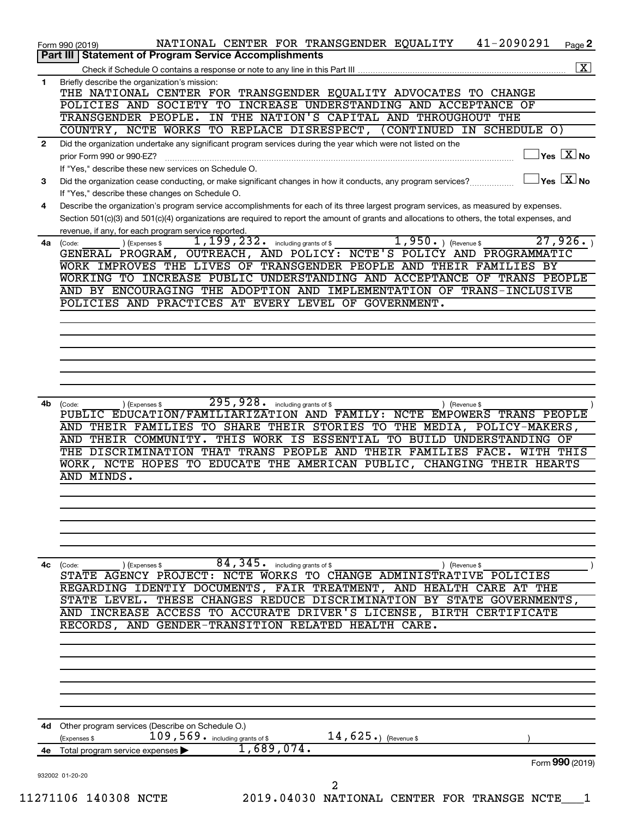|              | 41-2090291<br>NATIONAL CENTER FOR TRANSGENDER EQUALITY<br>Page 2<br>Form 990 (2019)                                                                                      |
|--------------|--------------------------------------------------------------------------------------------------------------------------------------------------------------------------|
|              | Part III   Statement of Program Service Accomplishments                                                                                                                  |
| 1            | $\boxed{\text{X}}$<br>Briefly describe the organization's mission:                                                                                                       |
|              | THE NATIONAL CENTER FOR TRANSGENDER EQUALITY ADVOCATES TO CHANGE                                                                                                         |
|              | POLICIES AND SOCIETY TO INCREASE UNDERSTANDING AND ACCEPTANCE OF                                                                                                         |
|              | TRANSGENDER PEOPLE. IN THE NATION'S CAPITAL AND THROUGHOUT THE                                                                                                           |
|              | COUNTRY, NCTE WORKS TO REPLACE DISRESPECT, (CONTINUED IN SCHEDULE O)                                                                                                     |
| $\mathbf{2}$ | Did the organization undertake any significant program services during the year which were not listed on the<br>$\overline{\ }$ Yes $\overline{\rm X}$ No                |
|              | prior Form 990 or 990-EZ?<br>If "Yes," describe these new services on Schedule O.                                                                                        |
| 3            | $\sqrt{}$ Yes $\sqrt{\rm X}$ No<br>Did the organization cease conducting, or make significant changes in how it conducts, any program services?                          |
|              | If "Yes," describe these changes on Schedule O.                                                                                                                          |
| 4            | Describe the organization's program service accomplishments for each of its three largest program services, as measured by expenses.                                     |
|              | Section 501(c)(3) and 501(c)(4) organizations are required to report the amount of grants and allocations to others, the total expenses, and                             |
|              | revenue, if any, for each program service reported.<br>27,926.                                                                                                           |
| 4a           | $1,950.$ (Revenue \$)<br>$1,199,232$ $\cdot$ including grants of \$<br>) (Expenses \$<br>(Code:<br>GENERAL PROGRAM, OUTREACH, AND POLICY: NCTE'S POLICY AND PROGRAMMATIC |
|              | WORK IMPROVES THE LIVES OF TRANSGENDER PEOPLE AND THEIR FAMILIES BY                                                                                                      |
|              | WORKING TO INCREASE PUBLIC UNDERSTANDING AND ACCEPTANCE OF TRANS PEOPLE                                                                                                  |
|              | AND BY ENCOURAGING THE ADOPTION AND IMPLEMENTATION OF TRANS-INCLUSIVE                                                                                                    |
|              | POLICIES AND PRACTICES AT EVERY LEVEL OF GOVERNMENT.                                                                                                                     |
|              |                                                                                                                                                                          |
|              |                                                                                                                                                                          |
|              |                                                                                                                                                                          |
|              |                                                                                                                                                                          |
|              |                                                                                                                                                                          |
|              |                                                                                                                                                                          |
| 4b           | $295,928$ $\cdot$ including grants of \$<br>(Expenses \$<br>) (Revenue \$<br>(Code:                                                                                      |
|              | PUBLIC EDUCATION/FAMILIARIZATION AND FAMILY: NCTE EMPOWERS TRANS PEOPLE                                                                                                  |
|              | AND THEIR FAMILIES TO SHARE THEIR STORIES TO THE MEDIA, POLICY-MAKERS,                                                                                                   |
|              | AND THEIR COMMUNITY. THIS WORK IS ESSENTIAL TO BUILD UNDERSTANDING OF                                                                                                    |
|              | THE DISCRIMINATION THAT TRANS PEOPLE AND THEIR FAMILIES FACE. WITH THIS                                                                                                  |
|              | WORK, NCTE HOPES TO EDUCATE THE AMERICAN PUBLIC, CHANGING THEIR HEARTS<br>AND MINDS.                                                                                     |
|              |                                                                                                                                                                          |
|              |                                                                                                                                                                          |
|              |                                                                                                                                                                          |
|              |                                                                                                                                                                          |
|              |                                                                                                                                                                          |
|              |                                                                                                                                                                          |
| 4с           | 84,345.<br>including grants of \$<br>(Expenses \$<br>(Code:<br>) (Revenue \$                                                                                             |
|              | STATE AGENCY PROJECT: NCTE WORKS TO CHANGE ADMINISTRATIVE POLICIES                                                                                                       |
|              | REGARDING IDENTIY DOCUMENTS, FAIR TREATMENT, AND HEALTH CARE AT THE<br>THESE CHANGES REDUCE DISCRIMINATION BY STATE GOVERNMENTS,<br>STATE LEVEL.                         |
|              | AND INCREASE ACCESS TO ACCURATE DRIVER'S LICENSE, BIRTH CERTIFICATE                                                                                                      |
|              | RECORDS, AND GENDER-TRANSITION RELATED HEALTH CARE.                                                                                                                      |
|              |                                                                                                                                                                          |
|              |                                                                                                                                                                          |
|              |                                                                                                                                                                          |
|              |                                                                                                                                                                          |
|              |                                                                                                                                                                          |
|              |                                                                                                                                                                          |
|              |                                                                                                                                                                          |
| 4d           | Other program services (Describe on Schedule O.)<br>14, $625.$ ) (Revenue \$                                                                                             |
|              | $109,569$ . including grants of \$<br>(Expenses \$<br>1,689,074.                                                                                                         |
| 4е           | Total program service expenses ><br>Form 990 (2019)                                                                                                                      |
|              | 932002 01-20-20                                                                                                                                                          |
|              | 2                                                                                                                                                                        |
|              | 11271106 140308 NCTE<br>2019.04030 NATIONAL CENTER FOR TRANSGE NCTE                                                                                                      |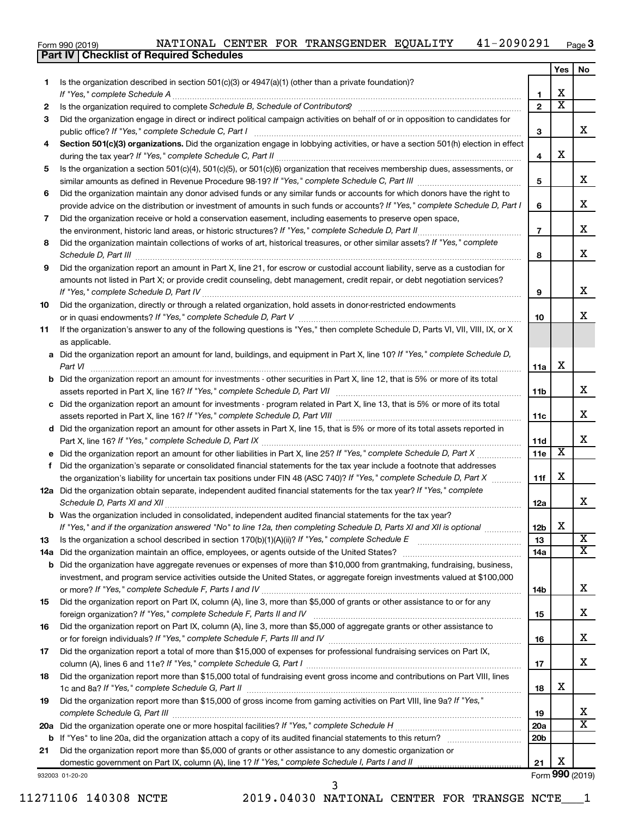| Form 990 (2019) |  | NATIONAL CENTER FOR TRANSGENDER EQUALITY | $-2090291$ | Page 3 |
|-----------------|--|------------------------------------------|------------|--------|
|                 |  |                                          |            |        |

|     | Part IV   Checklist of Required Schedules                                                                                                                                                     |                 |                         |                         |
|-----|-----------------------------------------------------------------------------------------------------------------------------------------------------------------------------------------------|-----------------|-------------------------|-------------------------|
|     |                                                                                                                                                                                               |                 | Yes                     | No                      |
| 1.  | Is the organization described in section 501(c)(3) or $4947(a)(1)$ (other than a private foundation)?                                                                                         |                 |                         |                         |
|     | If "Yes," complete Schedule A                                                                                                                                                                 | 1.              | х                       |                         |
| 2   | Is the organization required to complete Schedule B, Schedule of Contributors? [11] the organization required to complete Schedule B, Schedule of Contributors?                               | $\overline{2}$  | $\overline{\text{x}}$   |                         |
| 3   | Did the organization engage in direct or indirect political campaign activities on behalf of or in opposition to candidates for                                                               |                 |                         |                         |
|     |                                                                                                                                                                                               | 3               |                         | x                       |
| 4   | Section 501(c)(3) organizations. Did the organization engage in lobbying activities, or have a section 501(h) election in effect                                                              |                 |                         |                         |
|     |                                                                                                                                                                                               | 4               | х                       |                         |
| 5   | Is the organization a section 501(c)(4), 501(c)(5), or 501(c)(6) organization that receives membership dues, assessments, or                                                                  |                 |                         |                         |
|     |                                                                                                                                                                                               | 5               |                         | X                       |
| 6   | Did the organization maintain any donor advised funds or any similar funds or accounts for which donors have the right to                                                                     |                 |                         |                         |
|     | provide advice on the distribution or investment of amounts in such funds or accounts? If "Yes," complete Schedule D, Part I                                                                  | 6               |                         | x                       |
| 7   | Did the organization receive or hold a conservation easement, including easements to preserve open space,                                                                                     |                 |                         |                         |
|     | the environment, historic land areas, or historic structures? If "Yes," complete Schedule D, Part II                                                                                          | $\overline{7}$  |                         | х                       |
| 8   | Did the organization maintain collections of works of art, historical treasures, or other similar assets? If "Yes," complete                                                                  |                 |                         |                         |
|     | Schedule D, Part III <b>Process Construction Construction Construction</b> Construction Construction Construction Const                                                                       | 8               |                         | x                       |
| 9   | Did the organization report an amount in Part X, line 21, for escrow or custodial account liability, serve as a custodian for                                                                 |                 |                         |                         |
|     | amounts not listed in Part X; or provide credit counseling, debt management, credit repair, or debt negotiation services?                                                                     |                 |                         |                         |
|     |                                                                                                                                                                                               | 9               |                         | x                       |
| 10  | Did the organization, directly or through a related organization, hold assets in donor-restricted endowments                                                                                  |                 |                         |                         |
|     |                                                                                                                                                                                               | 10              |                         | x                       |
| 11  | If the organization's answer to any of the following questions is "Yes," then complete Schedule D, Parts VI, VII, VIII, IX, or X                                                              |                 |                         |                         |
|     | as applicable.                                                                                                                                                                                |                 |                         |                         |
| а   | Did the organization report an amount for land, buildings, and equipment in Part X, line 10? If "Yes," complete Schedule D,                                                                   |                 |                         |                         |
|     | Part VI                                                                                                                                                                                       | 11a             | х                       |                         |
| b   | Did the organization report an amount for investments - other securities in Part X, line 12, that is 5% or more of its total                                                                  |                 |                         |                         |
|     |                                                                                                                                                                                               | 11b             |                         | x                       |
| с   | Did the organization report an amount for investments - program related in Part X, line 13, that is 5% or more of its total                                                                   |                 |                         |                         |
|     |                                                                                                                                                                                               |                 |                         | x                       |
| d   | Did the organization report an amount for other assets in Part X, line 15, that is 5% or more of its total assets reported in                                                                 |                 |                         |                         |
|     |                                                                                                                                                                                               | 11d             |                         | x                       |
|     | Did the organization report an amount for other liabilities in Part X, line 25? If "Yes," complete Schedule D, Part X manu-                                                                   | 11e             | $\overline{\textbf{x}}$ |                         |
| f   | Did the organization's separate or consolidated financial statements for the tax year include a footnote that addresses                                                                       |                 |                         |                         |
|     | the organization's liability for uncertain tax positions under FIN 48 (ASC 740)? If "Yes," complete Schedule D, Part X                                                                        | 11f             | х                       |                         |
|     | 12a Did the organization obtain separate, independent audited financial statements for the tax year? If "Yes," complete                                                                       |                 |                         |                         |
|     |                                                                                                                                                                                               | 12a             |                         | x                       |
|     | Was the organization included in consolidated, independent audited financial statements for the tax year?                                                                                     |                 |                         |                         |
|     | If "Yes," and if the organization answered "No" to line 12a, then completing Schedule D, Parts XI and XII is optional                                                                         | 12b             | X                       |                         |
| 13  | Is the organization a school described in section 170(b)(1)(A)(ii)? If "Yes," complete Schedule E manufaction and school described in section 170(b)(1)(A)(ii)? If "Yes," complete Schedule E | 13              |                         | X                       |
| 14a | Did the organization maintain an office, employees, or agents outside of the United States?                                                                                                   | 14a             |                         | $\overline{\mathtt{x}}$ |
| b   | Did the organization have aggregate revenues or expenses of more than \$10,000 from grantmaking, fundraising, business,                                                                       |                 |                         |                         |
|     | investment, and program service activities outside the United States, or aggregate foreign investments valued at \$100,000                                                                    |                 |                         |                         |
|     |                                                                                                                                                                                               | 14b             |                         | x                       |
| 15  | Did the organization report on Part IX, column (A), line 3, more than \$5,000 of grants or other assistance to or for any                                                                     |                 |                         |                         |
|     | foreign organization? If "Yes," complete Schedule F, Parts II and IV                                                                                                                          | 15              |                         | x                       |
| 16  | Did the organization report on Part IX, column (A), line 3, more than \$5,000 of aggregate grants or other assistance to                                                                      |                 |                         |                         |
|     |                                                                                                                                                                                               | 16              |                         | x                       |
| 17  | Did the organization report a total of more than \$15,000 of expenses for professional fundraising services on Part IX,                                                                       |                 |                         |                         |
|     |                                                                                                                                                                                               | 17              |                         | x                       |
| 18  | Did the organization report more than \$15,000 total of fundraising event gross income and contributions on Part VIII, lines                                                                  |                 |                         |                         |
|     |                                                                                                                                                                                               | 18              | х                       |                         |
| 19  | Did the organization report more than \$15,000 of gross income from gaming activities on Part VIII, line 9a? If "Yes,"                                                                        |                 |                         |                         |
|     |                                                                                                                                                                                               | 19              |                         | x                       |
|     |                                                                                                                                                                                               | 20a             |                         | $\overline{\mathtt{x}}$ |
|     |                                                                                                                                                                                               | 20 <sub>b</sub> |                         |                         |
| 21  | Did the organization report more than \$5,000 of grants or other assistance to any domestic organization or                                                                                   |                 |                         |                         |
|     |                                                                                                                                                                                               | 21              | х                       |                         |
|     | 932003 01-20-20                                                                                                                                                                               |                 |                         | Form 990 (2019)         |
|     | 3                                                                                                                                                                                             |                 |                         |                         |

11271106 140308 NCTE 2019.04030 NATIONAL CENTER FOR TRANSGE NCTE\_\_\_1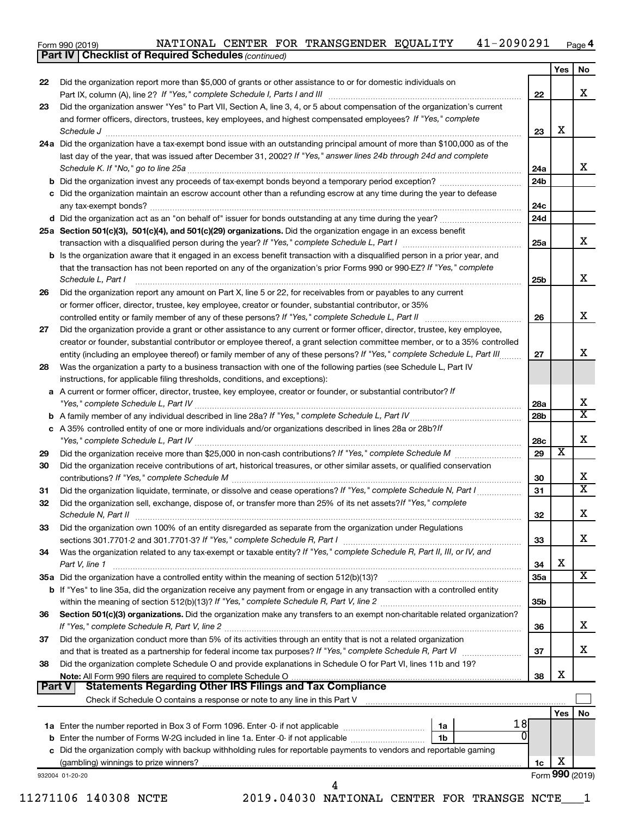Form 990 (2019) Page NATIONAL CENTER FOR TRANSGENDER EQUALITY 41-2090291 41-2090291 Page 4

*(continued)* **Part IV Checklist of Required Schedules**

|                                                                                                               |                                                                                                                                                                                                                                                                                                                                                                                                                                                                                                                                                                                                                                                                                                                                                                                                                                                                                                                                                                                                                                                                                                                                                                                                                                                                                                                                                                                                                                                                                                                                                                                                                                                                                                                                                                                                                                                                                                                                                                                                                                                                                                                                                                                                                                                                                                                                                                                                                                                                                                                                                                                                                                                                                                                                                                                                                                                                                                                                                                                                                                                                                                                                                                                                                                                                                                                                                                                                                                                                                                                                                                                                                                                                                                                           | Yes                                                                                                                                                                                                                                                                   | No                                       |
|---------------------------------------------------------------------------------------------------------------|---------------------------------------------------------------------------------------------------------------------------------------------------------------------------------------------------------------------------------------------------------------------------------------------------------------------------------------------------------------------------------------------------------------------------------------------------------------------------------------------------------------------------------------------------------------------------------------------------------------------------------------------------------------------------------------------------------------------------------------------------------------------------------------------------------------------------------------------------------------------------------------------------------------------------------------------------------------------------------------------------------------------------------------------------------------------------------------------------------------------------------------------------------------------------------------------------------------------------------------------------------------------------------------------------------------------------------------------------------------------------------------------------------------------------------------------------------------------------------------------------------------------------------------------------------------------------------------------------------------------------------------------------------------------------------------------------------------------------------------------------------------------------------------------------------------------------------------------------------------------------------------------------------------------------------------------------------------------------------------------------------------------------------------------------------------------------------------------------------------------------------------------------------------------------------------------------------------------------------------------------------------------------------------------------------------------------------------------------------------------------------------------------------------------------------------------------------------------------------------------------------------------------------------------------------------------------------------------------------------------------------------------------------------------------------------------------------------------------------------------------------------------------------------------------------------------------------------------------------------------------------------------------------------------------------------------------------------------------------------------------------------------------------------------------------------------------------------------------------------------------------------------------------------------------------------------------------------------------------------------------------------------------------------------------------------------------------------------------------------------------------------------------------------------------------------------------------------------------------------------------------------------------------------------------------------------------------------------------------------------------------------------------------------------------------------------------------------------------|-----------------------------------------------------------------------------------------------------------------------------------------------------------------------------------------------------------------------------------------------------------------------|------------------------------------------|
| Did the organization report more than \$5,000 of grants or other assistance to or for domestic individuals on | 22                                                                                                                                                                                                                                                                                                                                                                                                                                                                                                                                                                                                                                                                                                                                                                                                                                                                                                                                                                                                                                                                                                                                                                                                                                                                                                                                                                                                                                                                                                                                                                                                                                                                                                                                                                                                                                                                                                                                                                                                                                                                                                                                                                                                                                                                                                                                                                                                                                                                                                                                                                                                                                                                                                                                                                                                                                                                                                                                                                                                                                                                                                                                                                                                                                                                                                                                                                                                                                                                                                                                                                                                                                                                                                                        |                                                                                                                                                                                                                                                                       | X                                        |
|                                                                                                               |                                                                                                                                                                                                                                                                                                                                                                                                                                                                                                                                                                                                                                                                                                                                                                                                                                                                                                                                                                                                                                                                                                                                                                                                                                                                                                                                                                                                                                                                                                                                                                                                                                                                                                                                                                                                                                                                                                                                                                                                                                                                                                                                                                                                                                                                                                                                                                                                                                                                                                                                                                                                                                                                                                                                                                                                                                                                                                                                                                                                                                                                                                                                                                                                                                                                                                                                                                                                                                                                                                                                                                                                                                                                                                                           |                                                                                                                                                                                                                                                                       |                                          |
|                                                                                                               | 23                                                                                                                                                                                                                                                                                                                                                                                                                                                                                                                                                                                                                                                                                                                                                                                                                                                                                                                                                                                                                                                                                                                                                                                                                                                                                                                                                                                                                                                                                                                                                                                                                                                                                                                                                                                                                                                                                                                                                                                                                                                                                                                                                                                                                                                                                                                                                                                                                                                                                                                                                                                                                                                                                                                                                                                                                                                                                                                                                                                                                                                                                                                                                                                                                                                                                                                                                                                                                                                                                                                                                                                                                                                                                                                        | X                                                                                                                                                                                                                                                                     |                                          |
|                                                                                                               |                                                                                                                                                                                                                                                                                                                                                                                                                                                                                                                                                                                                                                                                                                                                                                                                                                                                                                                                                                                                                                                                                                                                                                                                                                                                                                                                                                                                                                                                                                                                                                                                                                                                                                                                                                                                                                                                                                                                                                                                                                                                                                                                                                                                                                                                                                                                                                                                                                                                                                                                                                                                                                                                                                                                                                                                                                                                                                                                                                                                                                                                                                                                                                                                                                                                                                                                                                                                                                                                                                                                                                                                                                                                                                                           |                                                                                                                                                                                                                                                                       |                                          |
|                                                                                                               |                                                                                                                                                                                                                                                                                                                                                                                                                                                                                                                                                                                                                                                                                                                                                                                                                                                                                                                                                                                                                                                                                                                                                                                                                                                                                                                                                                                                                                                                                                                                                                                                                                                                                                                                                                                                                                                                                                                                                                                                                                                                                                                                                                                                                                                                                                                                                                                                                                                                                                                                                                                                                                                                                                                                                                                                                                                                                                                                                                                                                                                                                                                                                                                                                                                                                                                                                                                                                                                                                                                                                                                                                                                                                                                           |                                                                                                                                                                                                                                                                       | х                                        |
|                                                                                                               | 24b                                                                                                                                                                                                                                                                                                                                                                                                                                                                                                                                                                                                                                                                                                                                                                                                                                                                                                                                                                                                                                                                                                                                                                                                                                                                                                                                                                                                                                                                                                                                                                                                                                                                                                                                                                                                                                                                                                                                                                                                                                                                                                                                                                                                                                                                                                                                                                                                                                                                                                                                                                                                                                                                                                                                                                                                                                                                                                                                                                                                                                                                                                                                                                                                                                                                                                                                                                                                                                                                                                                                                                                                                                                                                                                       |                                                                                                                                                                                                                                                                       |                                          |
|                                                                                                               |                                                                                                                                                                                                                                                                                                                                                                                                                                                                                                                                                                                                                                                                                                                                                                                                                                                                                                                                                                                                                                                                                                                                                                                                                                                                                                                                                                                                                                                                                                                                                                                                                                                                                                                                                                                                                                                                                                                                                                                                                                                                                                                                                                                                                                                                                                                                                                                                                                                                                                                                                                                                                                                                                                                                                                                                                                                                                                                                                                                                                                                                                                                                                                                                                                                                                                                                                                                                                                                                                                                                                                                                                                                                                                                           |                                                                                                                                                                                                                                                                       |                                          |
|                                                                                                               |                                                                                                                                                                                                                                                                                                                                                                                                                                                                                                                                                                                                                                                                                                                                                                                                                                                                                                                                                                                                                                                                                                                                                                                                                                                                                                                                                                                                                                                                                                                                                                                                                                                                                                                                                                                                                                                                                                                                                                                                                                                                                                                                                                                                                                                                                                                                                                                                                                                                                                                                                                                                                                                                                                                                                                                                                                                                                                                                                                                                                                                                                                                                                                                                                                                                                                                                                                                                                                                                                                                                                                                                                                                                                                                           |                                                                                                                                                                                                                                                                       |                                          |
|                                                                                                               |                                                                                                                                                                                                                                                                                                                                                                                                                                                                                                                                                                                                                                                                                                                                                                                                                                                                                                                                                                                                                                                                                                                                                                                                                                                                                                                                                                                                                                                                                                                                                                                                                                                                                                                                                                                                                                                                                                                                                                                                                                                                                                                                                                                                                                                                                                                                                                                                                                                                                                                                                                                                                                                                                                                                                                                                                                                                                                                                                                                                                                                                                                                                                                                                                                                                                                                                                                                                                                                                                                                                                                                                                                                                                                                           |                                                                                                                                                                                                                                                                       |                                          |
|                                                                                                               |                                                                                                                                                                                                                                                                                                                                                                                                                                                                                                                                                                                                                                                                                                                                                                                                                                                                                                                                                                                                                                                                                                                                                                                                                                                                                                                                                                                                                                                                                                                                                                                                                                                                                                                                                                                                                                                                                                                                                                                                                                                                                                                                                                                                                                                                                                                                                                                                                                                                                                                                                                                                                                                                                                                                                                                                                                                                                                                                                                                                                                                                                                                                                                                                                                                                                                                                                                                                                                                                                                                                                                                                                                                                                                                           |                                                                                                                                                                                                                                                                       | х                                        |
|                                                                                                               | 25b                                                                                                                                                                                                                                                                                                                                                                                                                                                                                                                                                                                                                                                                                                                                                                                                                                                                                                                                                                                                                                                                                                                                                                                                                                                                                                                                                                                                                                                                                                                                                                                                                                                                                                                                                                                                                                                                                                                                                                                                                                                                                                                                                                                                                                                                                                                                                                                                                                                                                                                                                                                                                                                                                                                                                                                                                                                                                                                                                                                                                                                                                                                                                                                                                                                                                                                                                                                                                                                                                                                                                                                                                                                                                                                       |                                                                                                                                                                                                                                                                       | X                                        |
|                                                                                                               |                                                                                                                                                                                                                                                                                                                                                                                                                                                                                                                                                                                                                                                                                                                                                                                                                                                                                                                                                                                                                                                                                                                                                                                                                                                                                                                                                                                                                                                                                                                                                                                                                                                                                                                                                                                                                                                                                                                                                                                                                                                                                                                                                                                                                                                                                                                                                                                                                                                                                                                                                                                                                                                                                                                                                                                                                                                                                                                                                                                                                                                                                                                                                                                                                                                                                                                                                                                                                                                                                                                                                                                                                                                                                                                           |                                                                                                                                                                                                                                                                       |                                          |
|                                                                                                               |                                                                                                                                                                                                                                                                                                                                                                                                                                                                                                                                                                                                                                                                                                                                                                                                                                                                                                                                                                                                                                                                                                                                                                                                                                                                                                                                                                                                                                                                                                                                                                                                                                                                                                                                                                                                                                                                                                                                                                                                                                                                                                                                                                                                                                                                                                                                                                                                                                                                                                                                                                                                                                                                                                                                                                                                                                                                                                                                                                                                                                                                                                                                                                                                                                                                                                                                                                                                                                                                                                                                                                                                                                                                                                                           |                                                                                                                                                                                                                                                                       |                                          |
|                                                                                                               | 26                                                                                                                                                                                                                                                                                                                                                                                                                                                                                                                                                                                                                                                                                                                                                                                                                                                                                                                                                                                                                                                                                                                                                                                                                                                                                                                                                                                                                                                                                                                                                                                                                                                                                                                                                                                                                                                                                                                                                                                                                                                                                                                                                                                                                                                                                                                                                                                                                                                                                                                                                                                                                                                                                                                                                                                                                                                                                                                                                                                                                                                                                                                                                                                                                                                                                                                                                                                                                                                                                                                                                                                                                                                                                                                        |                                                                                                                                                                                                                                                                       | X                                        |
|                                                                                                               |                                                                                                                                                                                                                                                                                                                                                                                                                                                                                                                                                                                                                                                                                                                                                                                                                                                                                                                                                                                                                                                                                                                                                                                                                                                                                                                                                                                                                                                                                                                                                                                                                                                                                                                                                                                                                                                                                                                                                                                                                                                                                                                                                                                                                                                                                                                                                                                                                                                                                                                                                                                                                                                                                                                                                                                                                                                                                                                                                                                                                                                                                                                                                                                                                                                                                                                                                                                                                                                                                                                                                                                                                                                                                                                           |                                                                                                                                                                                                                                                                       |                                          |
|                                                                                                               |                                                                                                                                                                                                                                                                                                                                                                                                                                                                                                                                                                                                                                                                                                                                                                                                                                                                                                                                                                                                                                                                                                                                                                                                                                                                                                                                                                                                                                                                                                                                                                                                                                                                                                                                                                                                                                                                                                                                                                                                                                                                                                                                                                                                                                                                                                                                                                                                                                                                                                                                                                                                                                                                                                                                                                                                                                                                                                                                                                                                                                                                                                                                                                                                                                                                                                                                                                                                                                                                                                                                                                                                                                                                                                                           |                                                                                                                                                                                                                                                                       |                                          |
|                                                                                                               | 27                                                                                                                                                                                                                                                                                                                                                                                                                                                                                                                                                                                                                                                                                                                                                                                                                                                                                                                                                                                                                                                                                                                                                                                                                                                                                                                                                                                                                                                                                                                                                                                                                                                                                                                                                                                                                                                                                                                                                                                                                                                                                                                                                                                                                                                                                                                                                                                                                                                                                                                                                                                                                                                                                                                                                                                                                                                                                                                                                                                                                                                                                                                                                                                                                                                                                                                                                                                                                                                                                                                                                                                                                                                                                                                        |                                                                                                                                                                                                                                                                       | x                                        |
|                                                                                                               |                                                                                                                                                                                                                                                                                                                                                                                                                                                                                                                                                                                                                                                                                                                                                                                                                                                                                                                                                                                                                                                                                                                                                                                                                                                                                                                                                                                                                                                                                                                                                                                                                                                                                                                                                                                                                                                                                                                                                                                                                                                                                                                                                                                                                                                                                                                                                                                                                                                                                                                                                                                                                                                                                                                                                                                                                                                                                                                                                                                                                                                                                                                                                                                                                                                                                                                                                                                                                                                                                                                                                                                                                                                                                                                           |                                                                                                                                                                                                                                                                       |                                          |
|                                                                                                               |                                                                                                                                                                                                                                                                                                                                                                                                                                                                                                                                                                                                                                                                                                                                                                                                                                                                                                                                                                                                                                                                                                                                                                                                                                                                                                                                                                                                                                                                                                                                                                                                                                                                                                                                                                                                                                                                                                                                                                                                                                                                                                                                                                                                                                                                                                                                                                                                                                                                                                                                                                                                                                                                                                                                                                                                                                                                                                                                                                                                                                                                                                                                                                                                                                                                                                                                                                                                                                                                                                                                                                                                                                                                                                                           |                                                                                                                                                                                                                                                                       |                                          |
|                                                                                                               | 28a                                                                                                                                                                                                                                                                                                                                                                                                                                                                                                                                                                                                                                                                                                                                                                                                                                                                                                                                                                                                                                                                                                                                                                                                                                                                                                                                                                                                                                                                                                                                                                                                                                                                                                                                                                                                                                                                                                                                                                                                                                                                                                                                                                                                                                                                                                                                                                                                                                                                                                                                                                                                                                                                                                                                                                                                                                                                                                                                                                                                                                                                                                                                                                                                                                                                                                                                                                                                                                                                                                                                                                                                                                                                                                                       |                                                                                                                                                                                                                                                                       | X                                        |
|                                                                                                               | 28b                                                                                                                                                                                                                                                                                                                                                                                                                                                                                                                                                                                                                                                                                                                                                                                                                                                                                                                                                                                                                                                                                                                                                                                                                                                                                                                                                                                                                                                                                                                                                                                                                                                                                                                                                                                                                                                                                                                                                                                                                                                                                                                                                                                                                                                                                                                                                                                                                                                                                                                                                                                                                                                                                                                                                                                                                                                                                                                                                                                                                                                                                                                                                                                                                                                                                                                                                                                                                                                                                                                                                                                                                                                                                                                       |                                                                                                                                                                                                                                                                       | $\overline{\texttt{x}}$                  |
|                                                                                                               |                                                                                                                                                                                                                                                                                                                                                                                                                                                                                                                                                                                                                                                                                                                                                                                                                                                                                                                                                                                                                                                                                                                                                                                                                                                                                                                                                                                                                                                                                                                                                                                                                                                                                                                                                                                                                                                                                                                                                                                                                                                                                                                                                                                                                                                                                                                                                                                                                                                                                                                                                                                                                                                                                                                                                                                                                                                                                                                                                                                                                                                                                                                                                                                                                                                                                                                                                                                                                                                                                                                                                                                                                                                                                                                           |                                                                                                                                                                                                                                                                       | X                                        |
|                                                                                                               |                                                                                                                                                                                                                                                                                                                                                                                                                                                                                                                                                                                                                                                                                                                                                                                                                                                                                                                                                                                                                                                                                                                                                                                                                                                                                                                                                                                                                                                                                                                                                                                                                                                                                                                                                                                                                                                                                                                                                                                                                                                                                                                                                                                                                                                                                                                                                                                                                                                                                                                                                                                                                                                                                                                                                                                                                                                                                                                                                                                                                                                                                                                                                                                                                                                                                                                                                                                                                                                                                                                                                                                                                                                                                                                           |                                                                                                                                                                                                                                                                       |                                          |
|                                                                                                               |                                                                                                                                                                                                                                                                                                                                                                                                                                                                                                                                                                                                                                                                                                                                                                                                                                                                                                                                                                                                                                                                                                                                                                                                                                                                                                                                                                                                                                                                                                                                                                                                                                                                                                                                                                                                                                                                                                                                                                                                                                                                                                                                                                                                                                                                                                                                                                                                                                                                                                                                                                                                                                                                                                                                                                                                                                                                                                                                                                                                                                                                                                                                                                                                                                                                                                                                                                                                                                                                                                                                                                                                                                                                                                                           |                                                                                                                                                                                                                                                                       | X                                        |
|                                                                                                               |                                                                                                                                                                                                                                                                                                                                                                                                                                                                                                                                                                                                                                                                                                                                                                                                                                                                                                                                                                                                                                                                                                                                                                                                                                                                                                                                                                                                                                                                                                                                                                                                                                                                                                                                                                                                                                                                                                                                                                                                                                                                                                                                                                                                                                                                                                                                                                                                                                                                                                                                                                                                                                                                                                                                                                                                                                                                                                                                                                                                                                                                                                                                                                                                                                                                                                                                                                                                                                                                                                                                                                                                                                                                                                                           |                                                                                                                                                                                                                                                                       | $\overline{\texttt{x}}$                  |
|                                                                                                               |                                                                                                                                                                                                                                                                                                                                                                                                                                                                                                                                                                                                                                                                                                                                                                                                                                                                                                                                                                                                                                                                                                                                                                                                                                                                                                                                                                                                                                                                                                                                                                                                                                                                                                                                                                                                                                                                                                                                                                                                                                                                                                                                                                                                                                                                                                                                                                                                                                                                                                                                                                                                                                                                                                                                                                                                                                                                                                                                                                                                                                                                                                                                                                                                                                                                                                                                                                                                                                                                                                                                                                                                                                                                                                                           |                                                                                                                                                                                                                                                                       | X                                        |
|                                                                                                               |                                                                                                                                                                                                                                                                                                                                                                                                                                                                                                                                                                                                                                                                                                                                                                                                                                                                                                                                                                                                                                                                                                                                                                                                                                                                                                                                                                                                                                                                                                                                                                                                                                                                                                                                                                                                                                                                                                                                                                                                                                                                                                                                                                                                                                                                                                                                                                                                                                                                                                                                                                                                                                                                                                                                                                                                                                                                                                                                                                                                                                                                                                                                                                                                                                                                                                                                                                                                                                                                                                                                                                                                                                                                                                                           |                                                                                                                                                                                                                                                                       |                                          |
|                                                                                                               | 33                                                                                                                                                                                                                                                                                                                                                                                                                                                                                                                                                                                                                                                                                                                                                                                                                                                                                                                                                                                                                                                                                                                                                                                                                                                                                                                                                                                                                                                                                                                                                                                                                                                                                                                                                                                                                                                                                                                                                                                                                                                                                                                                                                                                                                                                                                                                                                                                                                                                                                                                                                                                                                                                                                                                                                                                                                                                                                                                                                                                                                                                                                                                                                                                                                                                                                                                                                                                                                                                                                                                                                                                                                                                                                                        |                                                                                                                                                                                                                                                                       | x                                        |
|                                                                                                               |                                                                                                                                                                                                                                                                                                                                                                                                                                                                                                                                                                                                                                                                                                                                                                                                                                                                                                                                                                                                                                                                                                                                                                                                                                                                                                                                                                                                                                                                                                                                                                                                                                                                                                                                                                                                                                                                                                                                                                                                                                                                                                                                                                                                                                                                                                                                                                                                                                                                                                                                                                                                                                                                                                                                                                                                                                                                                                                                                                                                                                                                                                                                                                                                                                                                                                                                                                                                                                                                                                                                                                                                                                                                                                                           |                                                                                                                                                                                                                                                                       |                                          |
|                                                                                                               |                                                                                                                                                                                                                                                                                                                                                                                                                                                                                                                                                                                                                                                                                                                                                                                                                                                                                                                                                                                                                                                                                                                                                                                                                                                                                                                                                                                                                                                                                                                                                                                                                                                                                                                                                                                                                                                                                                                                                                                                                                                                                                                                                                                                                                                                                                                                                                                                                                                                                                                                                                                                                                                                                                                                                                                                                                                                                                                                                                                                                                                                                                                                                                                                                                                                                                                                                                                                                                                                                                                                                                                                                                                                                                                           |                                                                                                                                                                                                                                                                       |                                          |
|                                                                                                               |                                                                                                                                                                                                                                                                                                                                                                                                                                                                                                                                                                                                                                                                                                                                                                                                                                                                                                                                                                                                                                                                                                                                                                                                                                                                                                                                                                                                                                                                                                                                                                                                                                                                                                                                                                                                                                                                                                                                                                                                                                                                                                                                                                                                                                                                                                                                                                                                                                                                                                                                                                                                                                                                                                                                                                                                                                                                                                                                                                                                                                                                                                                                                                                                                                                                                                                                                                                                                                                                                                                                                                                                                                                                                                                           |                                                                                                                                                                                                                                                                       | x                                        |
|                                                                                                               |                                                                                                                                                                                                                                                                                                                                                                                                                                                                                                                                                                                                                                                                                                                                                                                                                                                                                                                                                                                                                                                                                                                                                                                                                                                                                                                                                                                                                                                                                                                                                                                                                                                                                                                                                                                                                                                                                                                                                                                                                                                                                                                                                                                                                                                                                                                                                                                                                                                                                                                                                                                                                                                                                                                                                                                                                                                                                                                                                                                                                                                                                                                                                                                                                                                                                                                                                                                                                                                                                                                                                                                                                                                                                                                           |                                                                                                                                                                                                                                                                       |                                          |
|                                                                                                               |                                                                                                                                                                                                                                                                                                                                                                                                                                                                                                                                                                                                                                                                                                                                                                                                                                                                                                                                                                                                                                                                                                                                                                                                                                                                                                                                                                                                                                                                                                                                                                                                                                                                                                                                                                                                                                                                                                                                                                                                                                                                                                                                                                                                                                                                                                                                                                                                                                                                                                                                                                                                                                                                                                                                                                                                                                                                                                                                                                                                                                                                                                                                                                                                                                                                                                                                                                                                                                                                                                                                                                                                                                                                                                                           |                                                                                                                                                                                                                                                                       |                                          |
|                                                                                                               | 36                                                                                                                                                                                                                                                                                                                                                                                                                                                                                                                                                                                                                                                                                                                                                                                                                                                                                                                                                                                                                                                                                                                                                                                                                                                                                                                                                                                                                                                                                                                                                                                                                                                                                                                                                                                                                                                                                                                                                                                                                                                                                                                                                                                                                                                                                                                                                                                                                                                                                                                                                                                                                                                                                                                                                                                                                                                                                                                                                                                                                                                                                                                                                                                                                                                                                                                                                                                                                                                                                                                                                                                                                                                                                                                        |                                                                                                                                                                                                                                                                       | x                                        |
|                                                                                                               |                                                                                                                                                                                                                                                                                                                                                                                                                                                                                                                                                                                                                                                                                                                                                                                                                                                                                                                                                                                                                                                                                                                                                                                                                                                                                                                                                                                                                                                                                                                                                                                                                                                                                                                                                                                                                                                                                                                                                                                                                                                                                                                                                                                                                                                                                                                                                                                                                                                                                                                                                                                                                                                                                                                                                                                                                                                                                                                                                                                                                                                                                                                                                                                                                                                                                                                                                                                                                                                                                                                                                                                                                                                                                                                           |                                                                                                                                                                                                                                                                       |                                          |
|                                                                                                               |                                                                                                                                                                                                                                                                                                                                                                                                                                                                                                                                                                                                                                                                                                                                                                                                                                                                                                                                                                                                                                                                                                                                                                                                                                                                                                                                                                                                                                                                                                                                                                                                                                                                                                                                                                                                                                                                                                                                                                                                                                                                                                                                                                                                                                                                                                                                                                                                                                                                                                                                                                                                                                                                                                                                                                                                                                                                                                                                                                                                                                                                                                                                                                                                                                                                                                                                                                                                                                                                                                                                                                                                                                                                                                                           |                                                                                                                                                                                                                                                                       | х                                        |
|                                                                                                               |                                                                                                                                                                                                                                                                                                                                                                                                                                                                                                                                                                                                                                                                                                                                                                                                                                                                                                                                                                                                                                                                                                                                                                                                                                                                                                                                                                                                                                                                                                                                                                                                                                                                                                                                                                                                                                                                                                                                                                                                                                                                                                                                                                                                                                                                                                                                                                                                                                                                                                                                                                                                                                                                                                                                                                                                                                                                                                                                                                                                                                                                                                                                                                                                                                                                                                                                                                                                                                                                                                                                                                                                                                                                                                                           |                                                                                                                                                                                                                                                                       |                                          |
| <b>Statements Regarding Other IRS Filings and Tax Compliance</b>                                              |                                                                                                                                                                                                                                                                                                                                                                                                                                                                                                                                                                                                                                                                                                                                                                                                                                                                                                                                                                                                                                                                                                                                                                                                                                                                                                                                                                                                                                                                                                                                                                                                                                                                                                                                                                                                                                                                                                                                                                                                                                                                                                                                                                                                                                                                                                                                                                                                                                                                                                                                                                                                                                                                                                                                                                                                                                                                                                                                                                                                                                                                                                                                                                                                                                                                                                                                                                                                                                                                                                                                                                                                                                                                                                                           |                                                                                                                                                                                                                                                                       |                                          |
|                                                                                                               |                                                                                                                                                                                                                                                                                                                                                                                                                                                                                                                                                                                                                                                                                                                                                                                                                                                                                                                                                                                                                                                                                                                                                                                                                                                                                                                                                                                                                                                                                                                                                                                                                                                                                                                                                                                                                                                                                                                                                                                                                                                                                                                                                                                                                                                                                                                                                                                                                                                                                                                                                                                                                                                                                                                                                                                                                                                                                                                                                                                                                                                                                                                                                                                                                                                                                                                                                                                                                                                                                                                                                                                                                                                                                                                           |                                                                                                                                                                                                                                                                       |                                          |
|                                                                                                               |                                                                                                                                                                                                                                                                                                                                                                                                                                                                                                                                                                                                                                                                                                                                                                                                                                                                                                                                                                                                                                                                                                                                                                                                                                                                                                                                                                                                                                                                                                                                                                                                                                                                                                                                                                                                                                                                                                                                                                                                                                                                                                                                                                                                                                                                                                                                                                                                                                                                                                                                                                                                                                                                                                                                                                                                                                                                                                                                                                                                                                                                                                                                                                                                                                                                                                                                                                                                                                                                                                                                                                                                                                                                                                                           |                                                                                                                                                                                                                                                                       | No                                       |
|                                                                                                               |                                                                                                                                                                                                                                                                                                                                                                                                                                                                                                                                                                                                                                                                                                                                                                                                                                                                                                                                                                                                                                                                                                                                                                                                                                                                                                                                                                                                                                                                                                                                                                                                                                                                                                                                                                                                                                                                                                                                                                                                                                                                                                                                                                                                                                                                                                                                                                                                                                                                                                                                                                                                                                                                                                                                                                                                                                                                                                                                                                                                                                                                                                                                                                                                                                                                                                                                                                                                                                                                                                                                                                                                                                                                                                                           |                                                                                                                                                                                                                                                                       |                                          |
|                                                                                                               |                                                                                                                                                                                                                                                                                                                                                                                                                                                                                                                                                                                                                                                                                                                                                                                                                                                                                                                                                                                                                                                                                                                                                                                                                                                                                                                                                                                                                                                                                                                                                                                                                                                                                                                                                                                                                                                                                                                                                                                                                                                                                                                                                                                                                                                                                                                                                                                                                                                                                                                                                                                                                                                                                                                                                                                                                                                                                                                                                                                                                                                                                                                                                                                                                                                                                                                                                                                                                                                                                                                                                                                                                                                                                                                           |                                                                                                                                                                                                                                                                       |                                          |
|                                                                                                               | 1c                                                                                                                                                                                                                                                                                                                                                                                                                                                                                                                                                                                                                                                                                                                                                                                                                                                                                                                                                                                                                                                                                                                                                                                                                                                                                                                                                                                                                                                                                                                                                                                                                                                                                                                                                                                                                                                                                                                                                                                                                                                                                                                                                                                                                                                                                                                                                                                                                                                                                                                                                                                                                                                                                                                                                                                                                                                                                                                                                                                                                                                                                                                                                                                                                                                                                                                                                                                                                                                                                                                                                                                                                                                                                                                        | X                                                                                                                                                                                                                                                                     |                                          |
|                                                                                                               |                                                                                                                                                                                                                                                                                                                                                                                                                                                                                                                                                                                                                                                                                                                                                                                                                                                                                                                                                                                                                                                                                                                                                                                                                                                                                                                                                                                                                                                                                                                                                                                                                                                                                                                                                                                                                                                                                                                                                                                                                                                                                                                                                                                                                                                                                                                                                                                                                                                                                                                                                                                                                                                                                                                                                                                                                                                                                                                                                                                                                                                                                                                                                                                                                                                                                                                                                                                                                                                                                                                                                                                                                                                                                                                           |                                                                                                                                                                                                                                                                       | Form 990 (2019)                          |
|                                                                                                               | Did the organization answer "Yes" to Part VII, Section A, line 3, 4, or 5 about compensation of the organization's current<br>and former officers, directors, trustees, key employees, and highest compensated employees? If "Yes," complete<br>Schedule J <b>Execute J Execute Constructs Constructs Constructs Constructs Constructs Constructs Constructs</b><br>24a Did the organization have a tax-exempt bond issue with an outstanding principal amount of more than \$100,000 as of the<br>last day of the year, that was issued after December 31, 2002? If "Yes," answer lines 24b through 24d and complete<br>c Did the organization maintain an escrow account other than a refunding escrow at any time during the year to defease<br>25a Section 501(c)(3), 501(c)(4), and 501(c)(29) organizations. Did the organization engage in an excess benefit<br><b>b</b> Is the organization aware that it engaged in an excess benefit transaction with a disqualified person in a prior year, and<br>that the transaction has not been reported on any of the organization's prior Forms 990 or 990-EZ? If "Yes," complete<br>Schedule L, Part I<br>Did the organization report any amount on Part X, line 5 or 22, for receivables from or payables to any current<br>or former officer, director, trustee, key employee, creator or founder, substantial contributor, or 35%<br>Did the organization provide a grant or other assistance to any current or former officer, director, trustee, key employee,<br>creator or founder, substantial contributor or employee thereof, a grant selection committee member, or to a 35% controlled<br>entity (including an employee thereof) or family member of any of these persons? If "Yes," complete Schedule L, Part III<br>Was the organization a party to a business transaction with one of the following parties (see Schedule L, Part IV<br>instructions, for applicable filing thresholds, conditions, and exceptions):<br>a A current or former officer, director, trustee, key employee, creator or founder, or substantial contributor? If<br>c A 35% controlled entity of one or more individuals and/or organizations described in lines 28a or 28b?/f<br>Did the organization receive contributions of art, historical treasures, or other similar assets, or qualified conservation<br>Did the organization liquidate, terminate, or dissolve and cease operations? If "Yes," complete Schedule N, Part I<br>Did the organization sell, exchange, dispose of, or transfer more than 25% of its net assets? If "Yes," complete<br>Did the organization own 100% of an entity disregarded as separate from the organization under Regulations<br>Was the organization related to any tax-exempt or taxable entity? If "Yes," complete Schedule R, Part II, III, or IV, and<br>Part V, line 1<br>35a Did the organization have a controlled entity within the meaning of section 512(b)(13)?<br>b If "Yes" to line 35a, did the organization receive any payment from or engage in any transaction with a controlled entity<br>Section 501(c)(3) organizations. Did the organization make any transfers to an exempt non-charitable related organization?<br>Did the organization conduct more than 5% of its activities through an entity that is not a related organization<br>Did the organization complete Schedule O and provide explanations in Schedule O for Part VI, lines 11b and 19?<br><b>Part V</b><br>1 <sub>b</sub><br><b>b</b> Enter the number of Forms W-2G included in line 1a. Enter -0- if not applicable<br>c Did the organization comply with backup withholding rules for reportable payments to vendors and reportable gaming | 24a<br>24c<br>24d<br>25a<br>28c<br>29<br>30<br>31<br>32<br>34<br>35a<br>35b<br>37<br>38<br>Check if Schedule O contains a response or note to any line in this Part V [11] [12] Check if Schedule O contains a response or note to any line in this Part V<br>18<br>0 | $\overline{\textbf{x}}$<br>X<br>X<br>Yes |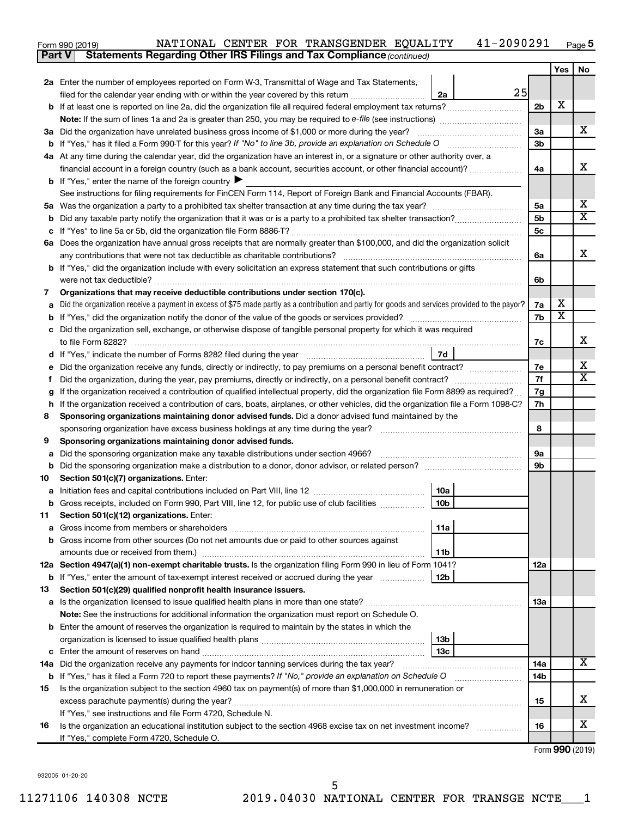| Form 990 (2019) |  | NATIONAL CENTER FOR TRANSGENDER EQUALITY | 41-2090291 | Page $5$ |
|-----------------|--|------------------------------------------|------------|----------|
|                 |  |                                          |            |          |

|        | <b>Statements Regarding Other IRS Filings and Tax Compliance (continued)</b><br><b>Part V</b>                                                                                              |          |                         |                 |  |  |
|--------|--------------------------------------------------------------------------------------------------------------------------------------------------------------------------------------------|----------|-------------------------|-----------------|--|--|
|        |                                                                                                                                                                                            |          | Yes                     | No              |  |  |
|        | 2a Enter the number of employees reported on Form W-3, Transmittal of Wage and Tax Statements,                                                                                             |          |                         |                 |  |  |
|        | 25<br>filed for the calendar year ending with or within the year covered by this return<br>2a                                                                                              |          |                         |                 |  |  |
|        | b If at least one is reported on line 2a, did the organization file all required federal employment tax returns?                                                                           | 2b       | X                       |                 |  |  |
|        |                                                                                                                                                                                            |          |                         |                 |  |  |
|        | 3a Did the organization have unrelated business gross income of \$1,000 or more during the year?                                                                                           | За       |                         | x               |  |  |
|        |                                                                                                                                                                                            | Зb       |                         |                 |  |  |
|        | 4a At any time during the calendar year, did the organization have an interest in, or a signature or other authority over, a                                                               |          |                         |                 |  |  |
|        | financial account in a foreign country (such as a bank account, securities account, or other financial account)?                                                                           | 4a       |                         | x               |  |  |
|        | <b>b</b> If "Yes," enter the name of the foreign country $\blacktriangleright$                                                                                                             |          |                         |                 |  |  |
|        | See instructions for filing requirements for FinCEN Form 114, Report of Foreign Bank and Financial Accounts (FBAR).                                                                        |          |                         |                 |  |  |
|        |                                                                                                                                                                                            | 5a       |                         | х               |  |  |
| b      |                                                                                                                                                                                            | 5b       |                         | X               |  |  |
|        |                                                                                                                                                                                            | 5c       |                         |                 |  |  |
|        | 6a Does the organization have annual gross receipts that are normally greater than \$100,000, and did the organization solicit                                                             |          |                         |                 |  |  |
|        |                                                                                                                                                                                            | 6a       |                         | х               |  |  |
|        | <b>b</b> If "Yes," did the organization include with every solicitation an express statement that such contributions or gifts                                                              |          |                         |                 |  |  |
|        |                                                                                                                                                                                            | 6b       |                         |                 |  |  |
| 7      | Organizations that may receive deductible contributions under section 170(c).                                                                                                              |          |                         |                 |  |  |
| a      | Did the organization receive a payment in excess of \$75 made partly as a contribution and partly for goods and services provided to the payor?                                            | 7a       | x                       |                 |  |  |
| b      |                                                                                                                                                                                            | 7b       | $\overline{\textbf{x}}$ |                 |  |  |
|        | c Did the organization sell, exchange, or otherwise dispose of tangible personal property for which it was required                                                                        |          |                         |                 |  |  |
|        |                                                                                                                                                                                            | 7c       |                         | x               |  |  |
|        | 7d<br>d If "Yes," indicate the number of Forms 8282 filed during the year manufactured in the second of the number of Forms 8282 filed during the year manufactured in the second of the S |          |                         |                 |  |  |
| е      | Did the organization receive any funds, directly or indirectly, to pay premiums on a personal benefit contract?                                                                            | 7е<br>7f |                         | х<br>х          |  |  |
|        | Ť.                                                                                                                                                                                         |          |                         |                 |  |  |
|        | If the organization received a contribution of qualified intellectual property, did the organization file Form 8899 as required?<br>g                                                      |          |                         |                 |  |  |
|        | If the organization received a contribution of cars, boats, airplanes, or other vehicles, did the organization file a Form 1098-C?<br>h                                                    |          |                         |                 |  |  |
|        | Sponsoring organizations maintaining donor advised funds. Did a donor advised fund maintained by the<br>8                                                                                  |          |                         |                 |  |  |
|        |                                                                                                                                                                                            | 8        |                         |                 |  |  |
| 9      | Sponsoring organizations maintaining donor advised funds.<br>Did the sponsoring organization make any taxable distributions under section 4966?                                            |          |                         |                 |  |  |
| а<br>b | Did the sponsoring organization make a distribution to a donor, donor advisor, or related person? www.www.www.www.www.                                                                     | 9а<br>9b |                         |                 |  |  |
| 10     | Section 501(c)(7) organizations. Enter:                                                                                                                                                    |          |                         |                 |  |  |
| а      | 10a                                                                                                                                                                                        |          |                         |                 |  |  |
|        | 10 <sub>b</sub><br>b Gross receipts, included on Form 990, Part VIII, line 12, for public use of club facilities                                                                           |          |                         |                 |  |  |
| 11     | Section 501(c)(12) organizations. Enter:                                                                                                                                                   |          |                         |                 |  |  |
| a      | 11a                                                                                                                                                                                        |          |                         |                 |  |  |
|        | b Gross income from other sources (Do not net amounts due or paid to other sources against                                                                                                 |          |                         |                 |  |  |
|        | 11 <sub>b</sub>                                                                                                                                                                            |          |                         |                 |  |  |
|        | 12a Section 4947(a)(1) non-exempt charitable trusts. Is the organization filing Form 990 in lieu of Form 1041?                                                                             | 12a      |                         |                 |  |  |
|        | <b>12b</b><br>b If "Yes," enter the amount of tax-exempt interest received or accrued during the year                                                                                      |          |                         |                 |  |  |
| 13     | Section 501(c)(29) qualified nonprofit health insurance issuers.                                                                                                                           |          |                         |                 |  |  |
|        |                                                                                                                                                                                            | 13a      |                         |                 |  |  |
|        | Note: See the instructions for additional information the organization must report on Schedule O.                                                                                          |          |                         |                 |  |  |
|        | <b>b</b> Enter the amount of reserves the organization is required to maintain by the states in which the                                                                                  |          |                         |                 |  |  |
|        | 13b                                                                                                                                                                                        |          |                         |                 |  |  |
|        | 13с                                                                                                                                                                                        |          |                         |                 |  |  |
|        | 14a Did the organization receive any payments for indoor tanning services during the tax year?                                                                                             | 14a      |                         | x               |  |  |
|        | <b>b</b> If "Yes," has it filed a Form 720 to report these payments? If "No," provide an explanation on Schedule O                                                                         | 14b      |                         |                 |  |  |
| 15     | Is the organization subject to the section 4960 tax on payment(s) of more than \$1,000,000 in remuneration or                                                                              |          |                         |                 |  |  |
|        | excess parachute payment(s) during the year?                                                                                                                                               | 15       |                         | x               |  |  |
|        | If "Yes," see instructions and file Form 4720, Schedule N.                                                                                                                                 |          |                         |                 |  |  |
| 16     | Is the organization an educational institution subject to the section 4968 excise tax on net investment income?                                                                            | 16       |                         | х               |  |  |
|        | If "Yes," complete Form 4720, Schedule O.                                                                                                                                                  |          |                         | $000 \text{ m}$ |  |  |

932005 01-20-20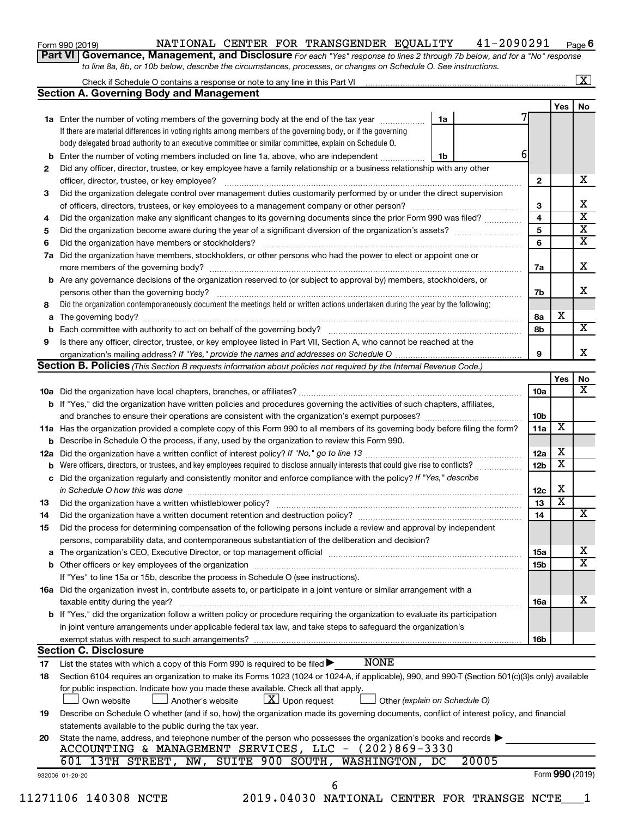| Form 990 (2019) |  |  |
|-----------------|--|--|
|-----------------|--|--|

#### Form 990 (2019) Page NATIONAL CENTER FOR TRANSGENDER EQUALITY 41-2090291

**6**

**Part VI** Governance, Management, and Disclosure For each "Yes" response to lines 2 through 7b below, and for a "No" response *to line 8a, 8b, or 10b below, describe the circumstances, processes, or changes on Schedule O. See instructions.*

|                                                                                                                                                                                                                                      | Check if Schedule O contains a response or note to any line in this Part VI [1] [1] [1] [1] [1] [1] [1] [1] [1 | $\mathbf{X}$                                                   |
|--------------------------------------------------------------------------------------------------------------------------------------------------------------------------------------------------------------------------------------|----------------------------------------------------------------------------------------------------------------|----------------------------------------------------------------|
|                                                                                                                                                                                                                                      |                                                                                                                |                                                                |
|                                                                                                                                                                                                                                      | Yes                                                                                                            | No                                                             |
|                                                                                                                                                                                                                                      |                                                                                                                |                                                                |
|                                                                                                                                                                                                                                      |                                                                                                                |                                                                |
|                                                                                                                                                                                                                                      |                                                                                                                |                                                                |
| 6                                                                                                                                                                                                                                    |                                                                                                                |                                                                |
|                                                                                                                                                                                                                                      |                                                                                                                |                                                                |
| $\mathbf{2}$                                                                                                                                                                                                                         |                                                                                                                | x                                                              |
| Did the organization delegate control over management duties customarily performed by or under the direct supervision                                                                                                                |                                                                                                                |                                                                |
| 3                                                                                                                                                                                                                                    |                                                                                                                | х                                                              |
| 4<br>Did the organization make any significant changes to its governing documents since the prior Form 990 was filed?                                                                                                                |                                                                                                                | $\overline{\textbf{x}}$                                        |
| 5                                                                                                                                                                                                                                    |                                                                                                                | $\overline{\textbf{X}}$                                        |
| 6                                                                                                                                                                                                                                    |                                                                                                                | $\overline{\textbf{x}}$                                        |
|                                                                                                                                                                                                                                      |                                                                                                                |                                                                |
| 7a                                                                                                                                                                                                                                   |                                                                                                                | x                                                              |
|                                                                                                                                                                                                                                      |                                                                                                                |                                                                |
| 7b                                                                                                                                                                                                                                   |                                                                                                                | X                                                              |
|                                                                                                                                                                                                                                      |                                                                                                                |                                                                |
| 8а                                                                                                                                                                                                                                   | х                                                                                                              |                                                                |
| 8b                                                                                                                                                                                                                                   |                                                                                                                | $\overline{\mathbf{X}}$                                        |
|                                                                                                                                                                                                                                      |                                                                                                                |                                                                |
| 9                                                                                                                                                                                                                                    |                                                                                                                | x                                                              |
|                                                                                                                                                                                                                                      |                                                                                                                |                                                                |
|                                                                                                                                                                                                                                      | Yes                                                                                                            | No                                                             |
| 10a                                                                                                                                                                                                                                  |                                                                                                                | x                                                              |
|                                                                                                                                                                                                                                      |                                                                                                                |                                                                |
|                                                                                                                                                                                                                                      |                                                                                                                |                                                                |
| 10 <sub>b</sub>                                                                                                                                                                                                                      | х                                                                                                              |                                                                |
| 11a<br>11a Has the organization provided a complete copy of this Form 990 to all members of its governing body before filing the form?                                                                                               |                                                                                                                |                                                                |
|                                                                                                                                                                                                                                      | х                                                                                                              |                                                                |
| 12a                                                                                                                                                                                                                                  | х                                                                                                              |                                                                |
| Were officers, directors, or trustees, and key employees required to disclose annually interests that could give rise to conflicts?<br>12 <sub>b</sub>                                                                               |                                                                                                                |                                                                |
|                                                                                                                                                                                                                                      |                                                                                                                |                                                                |
| 12c                                                                                                                                                                                                                                  | х                                                                                                              |                                                                |
| 13                                                                                                                                                                                                                                   | $\overline{\textbf{x}}$                                                                                        |                                                                |
| 14<br>Did the organization have a written document retention and destruction policy? [11] manufaction model of the organization have a written document retention and destruction policy?                                            |                                                                                                                | x                                                              |
|                                                                                                                                                                                                                                      |                                                                                                                |                                                                |
|                                                                                                                                                                                                                                      |                                                                                                                |                                                                |
| The organization's CEO, Executive Director, or top management official manufactured content content of the organization's CEO, Executive Director, or top management official manufactured content of the original content of<br>15a |                                                                                                                | х                                                              |
| 15b                                                                                                                                                                                                                                  |                                                                                                                | $\overline{\texttt{X}}$                                        |
|                                                                                                                                                                                                                                      |                                                                                                                |                                                                |
|                                                                                                                                                                                                                                      |                                                                                                                |                                                                |
| 16a                                                                                                                                                                                                                                  |                                                                                                                | х                                                              |
|                                                                                                                                                                                                                                      |                                                                                                                |                                                                |
|                                                                                                                                                                                                                                      |                                                                                                                |                                                                |
| 16b                                                                                                                                                                                                                                  |                                                                                                                |                                                                |
|                                                                                                                                                                                                                                      |                                                                                                                |                                                                |
|                                                                                                                                                                                                                                      |                                                                                                                |                                                                |
| Section 6104 requires an organization to make its Forms 1023 (1024 or 1024-A, if applicable), 990, and 990-T (Section 501(c)(3)s only) available                                                                                     |                                                                                                                |                                                                |
|                                                                                                                                                                                                                                      |                                                                                                                |                                                                |
|                                                                                                                                                                                                                                      |                                                                                                                |                                                                |
| Describe on Schedule O whether (and if so, how) the organization made its governing documents, conflict of interest policy, and financial                                                                                            |                                                                                                                |                                                                |
|                                                                                                                                                                                                                                      |                                                                                                                |                                                                |
|                                                                                                                                                                                                                                      |                                                                                                                |                                                                |
|                                                                                                                                                                                                                                      |                                                                                                                |                                                                |
|                                                                                                                                                                                                                                      |                                                                                                                |                                                                |
|                                                                                                                                                                                                                                      |                                                                                                                |                                                                |
|                                                                                                                                                                                                                                      |                                                                                                                |                                                                |
| State the name, address, and telephone number of the person who possesses the organization's books and records                                                                                                                       |                                                                                                                | Form 990 (2019)<br>2019.04030 NATIONAL CENTER FOR TRANSGE NCTE |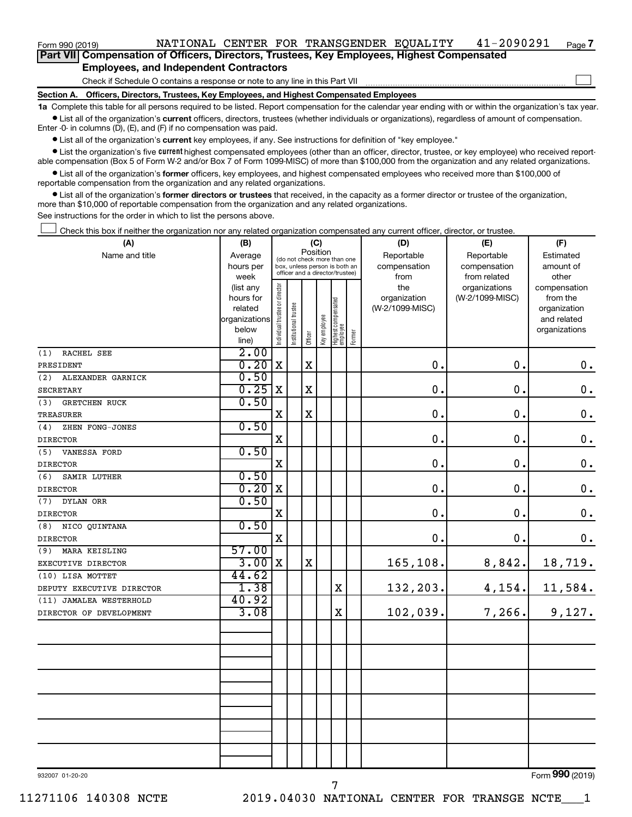**Part VII Compensation of Officers, Directors, Trustees, Key Employees, Highest Compensated Employees, and Independent Contractors**

Check if Schedule O contains a response or note to any line in this Part VII

**Section A. Officers, Directors, Trustees, Key Employees, and Highest Compensated Employees**

**1a**  Complete this table for all persons required to be listed. Report compensation for the calendar year ending with or within the organization's tax year.  $\bullet$  List all of the organization's current officers, directors, trustees (whether individuals or organizations), regardless of amount of compensation.

Enter -0- in columns (D), (E), and (F) if no compensation was paid.

**•** List all of the organization's current key employees, if any. See instructions for definition of "key employee."

• List the organization's five *current* highest compensated employees (other than an officer, director, trustee, or key employee) who received reportable compensation (Box 5 of Form W-2 and/or Box 7 of Form 1099-MISC) of more than \$100,000 from the organization and any related organizations.

 $\bullet$  List all of the organization's former officers, key employees, and highest compensated employees who received more than \$100,000 of reportable compensation from the organization and any related organizations.

**•** List all of the organization's former directors or trustees that received, in the capacity as a former director or trustee of the organization, more than \$10,000 of reportable compensation from the organization and any related organizations.

See instructions for the order in which to list the persons above.

Check this box if neither the organization nor any related organization compensated any current officer, director, or trustee.  $\Box$ 

| (A)                         | (B)                  | (C)                                     |                                                                  |             |             |                                 |        | (D)                             | (E)             | (F)                         |
|-----------------------------|----------------------|-----------------------------------------|------------------------------------------------------------------|-------------|-------------|---------------------------------|--------|---------------------------------|-----------------|-----------------------------|
| Name and title              | Average              | Position<br>(do not check more than one |                                                                  |             |             |                                 |        | Reportable                      | Reportable      | Estimated                   |
|                             | hours per            |                                         | box, unless person is both an<br>officer and a director/trustee) |             |             |                                 |        | compensation                    | compensation    | amount of                   |
|                             | week                 |                                         |                                                                  |             |             |                                 |        | from                            | from related    | other                       |
|                             | (list any            |                                         |                                                                  |             |             |                                 |        | the                             | organizations   | compensation                |
|                             | hours for<br>related |                                         |                                                                  |             |             |                                 |        | organization<br>(W-2/1099-MISC) | (W-2/1099-MISC) | from the                    |
|                             | organizations        |                                         |                                                                  |             |             |                                 |        |                                 |                 | organization<br>and related |
|                             | below                |                                         |                                                                  |             |             |                                 |        |                                 |                 | organizations               |
|                             | line)                | Individual trustee or director          | Institutional trustee                                            | Officer     | Keyemployee | Highest compensated<br>employee | Former |                                 |                 |                             |
| RACHEL SEE<br>(1)           | 2.00                 |                                         |                                                                  |             |             |                                 |        |                                 |                 |                             |
| PRESIDENT                   | 0.20                 | X                                       |                                                                  | X           |             |                                 |        | $\mathbf 0$ .                   | 0.              | $0$ .                       |
| (2) ALEXANDER GARNICK       | 0.50                 |                                         |                                                                  |             |             |                                 |        |                                 |                 |                             |
| SECRETARY                   | 0.25                 | X                                       |                                                                  | $\mathbf X$ |             |                                 |        | $\mathbf 0$ .                   | 0.              | $\mathbf 0$ .               |
| <b>GRETCHEN RUCK</b><br>(3) | 0.50                 |                                         |                                                                  |             |             |                                 |        |                                 |                 |                             |
| TREASURER                   |                      | $\mathbf X$                             |                                                                  | $\mathbf X$ |             |                                 |        | $\mathbf 0$                     | $\mathbf 0$ .   | $\mathbf 0$ .               |
| (4)<br>ZHEN FONG-JONES      | 0.50                 |                                         |                                                                  |             |             |                                 |        |                                 |                 |                             |
| <b>DIRECTOR</b>             |                      | X                                       |                                                                  |             |             |                                 |        | $\mathbf 0$ .                   | $\mathbf 0$ .   | $\mathbf 0$ .               |
| VANESSA FORD<br>(5)         | 0.50                 |                                         |                                                                  |             |             |                                 |        |                                 |                 |                             |
| <b>DIRECTOR</b>             |                      | X                                       |                                                                  |             |             |                                 |        | $\mathbf 0$ .                   | $\mathbf 0$ .   | $\mathbf 0$ .               |
| (6)<br>SAMIR LUTHER         | 0.50                 |                                         |                                                                  |             |             |                                 |        |                                 |                 |                             |
| <b>DIRECTOR</b>             | 0.20                 | $\mathbf x$                             |                                                                  |             |             |                                 |        | $\mathbf 0$ .                   | $\mathbf 0$ .   | $\mathbf 0$ .               |
| (7) DYLAN ORR               | 0.50                 |                                         |                                                                  |             |             |                                 |        |                                 |                 |                             |
| <b>DIRECTOR</b>             |                      | X                                       |                                                                  |             |             |                                 |        | $\mathbf 0$ .                   | $\mathbf 0$ .   | $\boldsymbol{0}$ .          |
| NICO QUINTANA<br>(8)        | 0.50                 |                                         |                                                                  |             |             |                                 |        |                                 |                 |                             |
| <b>DIRECTOR</b>             |                      | $\mathbf X$                             |                                                                  |             |             |                                 |        | 0.                              | $\mathbf 0$ .   | $\mathbf 0$ .               |
| MARA KEISLING<br>(9)        | 57.00                |                                         |                                                                  |             |             |                                 |        |                                 |                 |                             |
| EXECUTIVE DIRECTOR          | 3.00                 | $\mathbf X$                             |                                                                  | $\mathbf x$ |             |                                 |        | 165,108.                        | 8,842.          | 18,719.                     |
| (10) LISA MOTTET            | 44.62                |                                         |                                                                  |             |             |                                 |        |                                 |                 |                             |
| DEPUTY EXECUTIVE DIRECTOR   | 1.38                 |                                         |                                                                  |             |             | $\mathbf X$                     |        | 132,203.                        | 4, 154.         | 11,584.                     |
| (11) JAMALEA WESTERHOLD     | 40.92                |                                         |                                                                  |             |             |                                 |        |                                 |                 |                             |
| DIRECTOR OF DEVELOPMENT     | 3.08                 |                                         |                                                                  |             |             | $\mathbf X$                     |        | 102,039.                        | 7,266.          | 9,127.                      |
|                             |                      |                                         |                                                                  |             |             |                                 |        |                                 |                 |                             |
|                             |                      |                                         |                                                                  |             |             |                                 |        |                                 |                 |                             |
|                             |                      |                                         |                                                                  |             |             |                                 |        |                                 |                 |                             |
|                             |                      |                                         |                                                                  |             |             |                                 |        |                                 |                 |                             |
|                             |                      |                                         |                                                                  |             |             |                                 |        |                                 |                 |                             |
|                             |                      |                                         |                                                                  |             |             |                                 |        |                                 |                 |                             |
|                             |                      |                                         |                                                                  |             |             |                                 |        |                                 |                 |                             |
|                             |                      |                                         |                                                                  |             |             |                                 |        |                                 |                 |                             |
|                             |                      |                                         |                                                                  |             |             |                                 |        |                                 |                 |                             |
|                             |                      |                                         |                                                                  |             |             |                                 |        |                                 |                 |                             |
|                             |                      |                                         |                                                                  |             |             |                                 |        |                                 |                 |                             |
|                             |                      |                                         |                                                                  |             |             |                                 |        |                                 |                 |                             |

932007 01-20-20

**7**

 $\Box$ 

7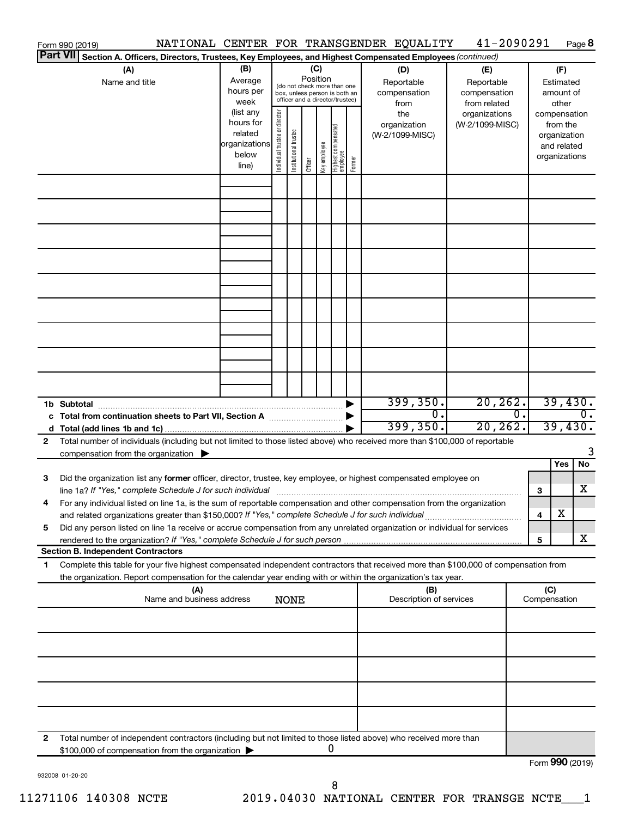|                 | NATIONAL CENTER FOR TRANSGENDER EQUALITY<br>Form 990 (2019)                                                                                                                         |                        |                                |                                 |          |              |                                   |        |                                 | 41-2090291      |    |                 |                             | Page 8        |
|-----------------|-------------------------------------------------------------------------------------------------------------------------------------------------------------------------------------|------------------------|--------------------------------|---------------------------------|----------|--------------|-----------------------------------|--------|---------------------------------|-----------------|----|-----------------|-----------------------------|---------------|
| <b>Part VII</b> | Section A. Officers, Directors, Trustees, Key Employees, and Highest Compensated Employees (continued)                                                                              |                        |                                |                                 |          |              |                                   |        |                                 |                 |    |                 |                             |               |
|                 | (A)                                                                                                                                                                                 | (B)                    |                                |                                 | (C)      |              |                                   |        | (D)                             | (E)             |    |                 | (F)                         |               |
|                 | Name and title                                                                                                                                                                      | Average                |                                | (do not check more than one     | Position |              |                                   |        | Reportable                      | Reportable      |    |                 | Estimated                   |               |
|                 |                                                                                                                                                                                     | hours per              |                                | box, unless person is both an   |          |              |                                   |        | compensation                    | compensation    |    |                 | amount of                   |               |
|                 |                                                                                                                                                                                     | week                   |                                | officer and a director/trustee) |          |              |                                   |        | from                            | from related    |    |                 | other                       |               |
|                 |                                                                                                                                                                                     | (list any<br>hours for |                                |                                 |          |              |                                   |        | the                             | organizations   |    |                 | compensation                |               |
|                 |                                                                                                                                                                                     | related                |                                |                                 |          |              |                                   |        | organization<br>(W-2/1099-MISC) | (W-2/1099-MISC) |    |                 | from the                    |               |
|                 |                                                                                                                                                                                     | organizations          |                                |                                 |          |              |                                   |        |                                 |                 |    |                 | organization<br>and related |               |
|                 |                                                                                                                                                                                     | below                  |                                |                                 |          |              |                                   |        |                                 |                 |    |                 | organizations               |               |
|                 |                                                                                                                                                                                     | line)                  | Individual trustee or director | Institutional trustee           | Officer  | Key employee | Highest compensated<br>  employee | Former |                                 |                 |    |                 |                             |               |
|                 |                                                                                                                                                                                     |                        |                                |                                 |          |              |                                   |        |                                 |                 |    |                 |                             |               |
|                 |                                                                                                                                                                                     |                        |                                |                                 |          |              |                                   |        |                                 |                 |    |                 |                             |               |
|                 |                                                                                                                                                                                     |                        |                                |                                 |          |              |                                   |        |                                 |                 |    |                 |                             |               |
|                 |                                                                                                                                                                                     |                        |                                |                                 |          |              |                                   |        |                                 |                 |    |                 |                             |               |
|                 |                                                                                                                                                                                     |                        |                                |                                 |          |              |                                   |        |                                 |                 |    |                 |                             |               |
|                 |                                                                                                                                                                                     |                        |                                |                                 |          |              |                                   |        |                                 |                 |    |                 |                             |               |
|                 |                                                                                                                                                                                     |                        |                                |                                 |          |              |                                   |        |                                 |                 |    |                 |                             |               |
|                 |                                                                                                                                                                                     |                        |                                |                                 |          |              |                                   |        |                                 |                 |    |                 |                             |               |
|                 |                                                                                                                                                                                     |                        |                                |                                 |          |              |                                   |        |                                 |                 |    |                 |                             |               |
|                 |                                                                                                                                                                                     |                        |                                |                                 |          |              |                                   |        |                                 |                 |    |                 |                             |               |
|                 |                                                                                                                                                                                     |                        |                                |                                 |          |              |                                   |        |                                 |                 |    |                 |                             |               |
|                 |                                                                                                                                                                                     |                        |                                |                                 |          |              |                                   |        |                                 |                 |    |                 |                             |               |
|                 |                                                                                                                                                                                     |                        |                                |                                 |          |              |                                   |        |                                 |                 |    |                 |                             |               |
|                 |                                                                                                                                                                                     |                        |                                |                                 |          |              |                                   |        |                                 |                 |    |                 |                             |               |
|                 |                                                                                                                                                                                     |                        |                                |                                 |          |              |                                   |        |                                 |                 |    |                 |                             |               |
|                 | 1b Subtotal                                                                                                                                                                         |                        |                                |                                 |          |              |                                   |        | 399, 350.                       | 20, 262.        |    |                 |                             | 39,430.       |
|                 | c Total from continuation sheets to Part VII, Section A manufactured by                                                                                                             |                        |                                |                                 |          |              |                                   |        | О.<br>399, 350.                 | 20, 262.        | 0. |                 |                             | 0.<br>39,430. |
|                 |                                                                                                                                                                                     |                        |                                |                                 |          |              |                                   |        |                                 |                 |    |                 |                             |               |
| 2               | Total number of individuals (including but not limited to those listed above) who received more than \$100,000 of reportable<br>compensation from the organization $\triangleright$ |                        |                                |                                 |          |              |                                   |        |                                 |                 |    |                 |                             |               |
|                 |                                                                                                                                                                                     |                        |                                |                                 |          |              |                                   |        |                                 |                 |    |                 | Yes                         | No            |
| 3               | Did the organization list any former officer, director, trustee, key employee, or highest compensated employee on                                                                   |                        |                                |                                 |          |              |                                   |        |                                 |                 |    |                 |                             |               |
|                 |                                                                                                                                                                                     |                        |                                |                                 |          |              |                                   |        |                                 |                 |    | 3               |                             | x             |
|                 | For any individual listed on line 1a, is the sum of reportable compensation and other compensation from the organization                                                            |                        |                                |                                 |          |              |                                   |        |                                 |                 |    |                 |                             |               |
|                 | and related organizations greater than \$150,000? If "Yes," complete Schedule J for such individual                                                                                 |                        |                                |                                 |          |              |                                   |        |                                 |                 |    | 4               | х                           |               |
| 5               | Did any person listed on line 1a receive or accrue compensation from any unrelated organization or individual for services                                                          |                        |                                |                                 |          |              |                                   |        |                                 |                 |    |                 |                             |               |
|                 | rendered to the organization? If "Yes," complete Schedule J for such person.                                                                                                        |                        |                                |                                 |          |              |                                   |        |                                 |                 |    | 5               |                             | x             |
|                 | <b>Section B. Independent Contractors</b>                                                                                                                                           |                        |                                |                                 |          |              |                                   |        |                                 |                 |    |                 |                             |               |
| 1.              | Complete this table for your five highest compensated independent contractors that received more than \$100,000 of compensation from                                                |                        |                                |                                 |          |              |                                   |        |                                 |                 |    |                 |                             |               |
|                 | the organization. Report compensation for the calendar year ending with or within the organization's tax year.<br>(A)                                                               |                        |                                |                                 |          |              |                                   |        | (B)                             |                 |    | (C)             |                             |               |
|                 | Name and business address                                                                                                                                                           |                        |                                | <b>NONE</b>                     |          |              |                                   |        | Description of services         |                 |    | Compensation    |                             |               |
|                 |                                                                                                                                                                                     |                        |                                |                                 |          |              |                                   |        |                                 |                 |    |                 |                             |               |
|                 |                                                                                                                                                                                     |                        |                                |                                 |          |              |                                   |        |                                 |                 |    |                 |                             |               |
|                 |                                                                                                                                                                                     |                        |                                |                                 |          |              |                                   |        |                                 |                 |    |                 |                             |               |
|                 |                                                                                                                                                                                     |                        |                                |                                 |          |              |                                   |        |                                 |                 |    |                 |                             |               |
|                 |                                                                                                                                                                                     |                        |                                |                                 |          |              |                                   |        |                                 |                 |    |                 |                             |               |
|                 |                                                                                                                                                                                     |                        |                                |                                 |          |              |                                   |        |                                 |                 |    |                 |                             |               |
|                 |                                                                                                                                                                                     |                        |                                |                                 |          |              |                                   |        |                                 |                 |    |                 |                             |               |
|                 |                                                                                                                                                                                     |                        |                                |                                 |          |              |                                   |        |                                 |                 |    |                 |                             |               |
| 2               | Total number of independent contractors (including but not limited to those listed above) who received more than                                                                    |                        |                                |                                 |          |              |                                   |        |                                 |                 |    |                 |                             |               |
|                 | \$100,000 of compensation from the organization                                                                                                                                     |                        |                                |                                 |          |              | 0                                 |        |                                 |                 |    | Form 990 (2019) |                             |               |
|                 |                                                                                                                                                                                     |                        |                                |                                 |          |              |                                   |        |                                 |                 |    |                 |                             |               |

932008 01-20-20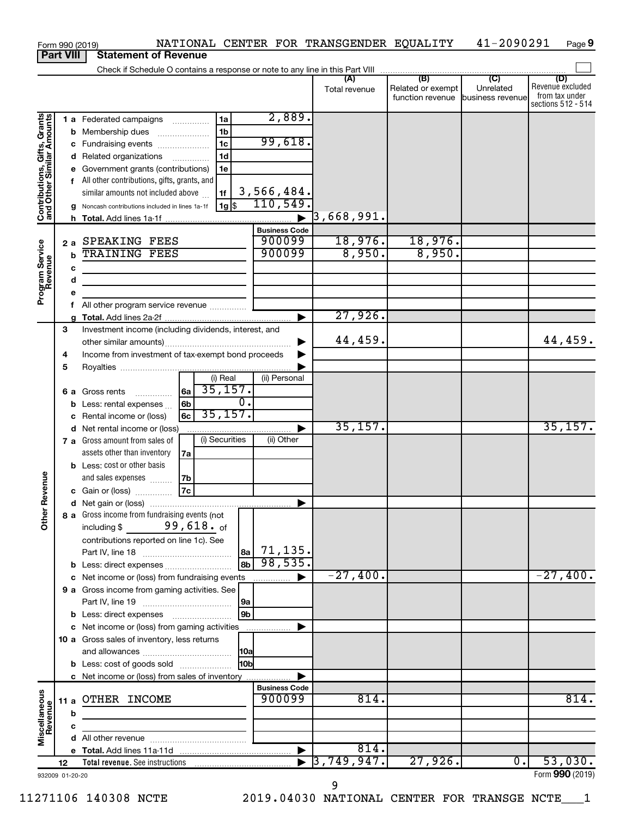| Form 990 (2019)                                           |    |             | NATIONAL CENTER FOR TRANSGENDER EQUALITY                                                  |                       |                          |                                              | 41-2090291                                      | Page 9                                                          |
|-----------------------------------------------------------|----|-------------|-------------------------------------------------------------------------------------------|-----------------------|--------------------------|----------------------------------------------|-------------------------------------------------|-----------------------------------------------------------------|
| <b>Part VIII</b>                                          |    |             | <b>Statement of Revenue</b>                                                               |                       |                          |                                              |                                                 |                                                                 |
|                                                           |    |             | Check if Schedule O contains a response or note to any line in this Part VIII             |                       |                          |                                              |                                                 |                                                                 |
|                                                           |    |             |                                                                                           |                       | (A)<br>Total revenue     | (B)<br>Related or exempt<br>function revenue | $\overline{C}$<br>Unrelated<br>business revenue | (D)<br>Revenue excluded<br>from tax under<br>sections 512 - 514 |
|                                                           |    |             | 1a<br>1 a Federated campaigns                                                             | 2,889.                |                          |                                              |                                                 |                                                                 |
|                                                           |    |             | 1 <sub>b</sub><br><b>b</b> Membership dues<br>$\ldots \ldots \ldots \ldots \ldots$        |                       |                          |                                              |                                                 |                                                                 |
|                                                           |    |             | 1c<br>c Fundraising events                                                                | 99,618.               |                          |                                              |                                                 |                                                                 |
|                                                           |    |             | 1 <sub>d</sub><br>d Related organizations                                                 |                       |                          |                                              |                                                 |                                                                 |
|                                                           |    |             | e Government grants (contributions)<br>1e                                                 |                       |                          |                                              |                                                 |                                                                 |
| Contributions, Gifts, Grants<br>and Other Similar Amounts |    |             | f All other contributions, gifts, grants, and<br>similar amounts not included above<br>1f | 3,566,484.            |                          |                                              |                                                 |                                                                 |
|                                                           |    |             | $1g\overline{\$}$<br>Noncash contributions included in lines 1a-1f                        | 110,549.              |                          |                                              |                                                 |                                                                 |
|                                                           |    |             |                                                                                           | $\blacktriangleright$ | $\overline{3}$ ,668,991. |                                              |                                                 |                                                                 |
|                                                           |    |             |                                                                                           | <b>Business Code</b>  |                          |                                              |                                                 |                                                                 |
|                                                           |    |             | 2 a SPEAKING FEES                                                                         | 900099                | 18,976.                  | 18,976.                                      |                                                 |                                                                 |
| Program Service<br>Revenue                                |    | $\mathbf b$ | <b>TRAINING FEES</b>                                                                      | 900099                | 8,950.                   | 8,950.                                       |                                                 |                                                                 |
|                                                           |    | c           | <u> 1980 - Johann Barbara, martxa alemaniar a</u>                                         |                       |                          |                                              |                                                 |                                                                 |
|                                                           |    | d           |                                                                                           |                       |                          |                                              |                                                 |                                                                 |
|                                                           |    | е           |                                                                                           |                       |                          |                                              |                                                 |                                                                 |
|                                                           |    | f.          | All other program service revenue                                                         |                       |                          |                                              |                                                 |                                                                 |
|                                                           |    | a           |                                                                                           | ▶                     | 27,926.                  |                                              |                                                 |                                                                 |
|                                                           | 3  |             | Investment income (including dividends, interest, and                                     |                       |                          |                                              |                                                 |                                                                 |
|                                                           |    |             |                                                                                           | ▶                     | 44,459.                  |                                              |                                                 | 44,459.                                                         |
|                                                           | 4  |             | Income from investment of tax-exempt bond proceeds                                        |                       |                          |                                              |                                                 |                                                                 |
|                                                           | 5  |             |                                                                                           |                       |                          |                                              |                                                 |                                                                 |
|                                                           |    |             | (i) Real                                                                                  | (ii) Personal         |                          |                                              |                                                 |                                                                 |
|                                                           |    |             | 35,157.<br> 6a  <br>6 a Gross rents                                                       |                       |                          |                                              |                                                 |                                                                 |
|                                                           |    |             | $\overline{0}$ .<br>6 <sub>b</sub><br><b>b</b> Less: rental expenses                      |                       |                          |                                              |                                                 |                                                                 |
|                                                           |    | c           | 35,157.<br><b>6c</b><br>Rental income or (loss)                                           |                       |                          |                                              |                                                 |                                                                 |
|                                                           |    |             | d Net rental income or (loss)                                                             | ▶                     | 35,157.                  |                                              |                                                 | 35,157.                                                         |
|                                                           |    |             | (i) Securities<br>7 a Gross amount from sales of                                          | (ii) Other            |                          |                                              |                                                 |                                                                 |
|                                                           |    |             | assets other than inventory<br>7a                                                         |                       |                          |                                              |                                                 |                                                                 |
|                                                           |    |             | <b>b</b> Less: cost or other basis                                                        |                       |                          |                                              |                                                 |                                                                 |
|                                                           |    |             | and sales expenses<br> 7b                                                                 |                       |                          |                                              |                                                 |                                                                 |
| evenue                                                    |    |             | 7c<br>c Gain or (loss)                                                                    |                       |                          |                                              |                                                 |                                                                 |
|                                                           |    |             |                                                                                           |                       |                          |                                              |                                                 |                                                                 |
| Other F                                                   |    |             | 8 a Gross income from fundraising events (not                                             |                       |                          |                                              |                                                 |                                                                 |
|                                                           |    |             | including $$99,618.$ of                                                                   |                       |                          |                                              |                                                 |                                                                 |
|                                                           |    |             | contributions reported on line 1c). See                                                   |                       |                          |                                              |                                                 |                                                                 |
|                                                           |    |             |                                                                                           | $ a_2 $ 71, 135.      |                          |                                              |                                                 |                                                                 |
|                                                           |    |             | 8 <sub>b</sub><br><b>b</b> Less: direct expenses                                          | 98,535.               |                          |                                              |                                                 |                                                                 |
|                                                           |    |             | c Net income or (loss) from fundraising events                                            | ▶                     | $-27,400.$               |                                              |                                                 | $-27,400.$                                                      |
|                                                           |    |             | 9 a Gross income from gaming activities. See                                              |                       |                          |                                              |                                                 |                                                                 |
|                                                           |    |             | 9a                                                                                        |                       |                          |                                              |                                                 |                                                                 |
|                                                           |    |             | 9 <sub>b</sub>                                                                            |                       |                          |                                              |                                                 |                                                                 |
|                                                           |    |             | c Net income or (loss) from gaming activities                                             | ▶                     |                          |                                              |                                                 |                                                                 |
|                                                           |    |             | 10 a Gross sales of inventory, less returns                                               |                       |                          |                                              |                                                 |                                                                 |
|                                                           |    |             | 10a                                                                                       |                       |                          |                                              |                                                 |                                                                 |
|                                                           |    |             | 10 <sub>b</sub><br><b>b</b> Less: cost of goods sold                                      |                       |                          |                                              |                                                 |                                                                 |
|                                                           |    |             | c Net income or (loss) from sales of inventory                                            | ▶                     |                          |                                              |                                                 |                                                                 |
|                                                           |    |             |                                                                                           | <b>Business Code</b>  |                          |                                              |                                                 |                                                                 |
|                                                           |    |             | 11 a OTHER INCOME                                                                         | 900099                | 814.                     |                                              |                                                 | 814.                                                            |
|                                                           |    | b           |                                                                                           |                       |                          |                                              |                                                 |                                                                 |
| Miscellaneous<br>Revenue                                  |    | c           |                                                                                           |                       |                          |                                              |                                                 |                                                                 |
|                                                           |    |             |                                                                                           |                       |                          |                                              |                                                 |                                                                 |
|                                                           |    |             |                                                                                           | $\blacktriangleright$ | 814.                     |                                              |                                                 |                                                                 |
|                                                           | 12 |             |                                                                                           |                       | 3,749,947.               | 27,926.                                      | $\overline{\mathfrak{0}}$ .                     | 53,030.                                                         |
| 932009 01-20-20                                           |    |             |                                                                                           |                       |                          |                                              |                                                 | Form 990 (2019)                                                 |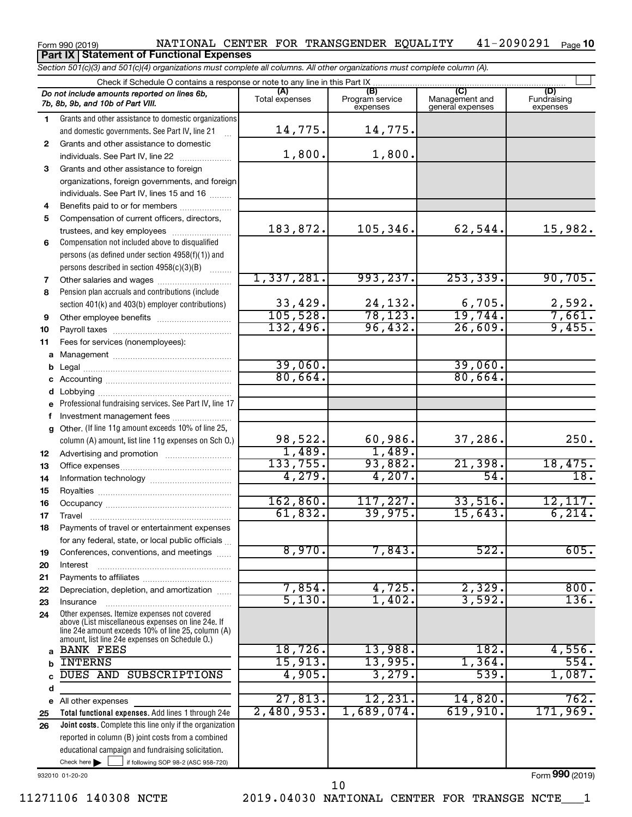#### Form 990 (2019) NATIONAL CENTER FOR TRANSGENDER EQUALITY 41-2090291 Page 41-2090291 Page 10 **Part IX Statement of Functional Expenses**

*Section 501(c)(3) and 501(c)(4) organizations must complete all columns. All other organizations must complete column (A).*

|              | Check if Schedule O contains a response or note to any line in this Part IX.                                   |                       |                                    |                                    |                                |  |
|--------------|----------------------------------------------------------------------------------------------------------------|-----------------------|------------------------------------|------------------------------------|--------------------------------|--|
|              | Do not include amounts reported on lines 6b,<br>7b, 8b, 9b, and 10b of Part VIII.                              | (A)<br>Total expenses | (B)<br>Program service<br>expenses | Management and<br>general expenses | (D)<br>Fundraising<br>expenses |  |
| 1.           | Grants and other assistance to domestic organizations                                                          |                       |                                    |                                    |                                |  |
|              | and domestic governments. See Part IV, line 21                                                                 | 14,775.               | 14,775.                            |                                    |                                |  |
| $\mathbf{2}$ | Grants and other assistance to domestic                                                                        |                       |                                    |                                    |                                |  |
|              | individuals. See Part IV, line 22                                                                              | 1,800.                | 1,800.                             |                                    |                                |  |
| 3            | Grants and other assistance to foreign                                                                         |                       |                                    |                                    |                                |  |
|              | organizations, foreign governments, and foreign                                                                |                       |                                    |                                    |                                |  |
|              | individuals. See Part IV, lines 15 and 16                                                                      |                       |                                    |                                    |                                |  |
| 4            | Benefits paid to or for members                                                                                |                       |                                    |                                    |                                |  |
| 5            | Compensation of current officers, directors,                                                                   | 183,872.              | 105,346.                           | 62,544.                            | 15,982.                        |  |
| 6            | trustees, and key employees<br>Compensation not included above to disqualified                                 |                       |                                    |                                    |                                |  |
|              | persons (as defined under section 4958(f)(1)) and                                                              |                       |                                    |                                    |                                |  |
|              | persons described in section 4958(c)(3)(B)                                                                     |                       |                                    |                                    |                                |  |
| 7            |                                                                                                                | 1,337,281.            | 993, 237.                          | 253, 339.                          | 90,705.                        |  |
| 8            | Pension plan accruals and contributions (include                                                               |                       |                                    |                                    |                                |  |
|              | section 401(k) and 403(b) employer contributions)                                                              | 33,429.               | 24,132.                            | 6,705.                             | 2,592.                         |  |
| 9            |                                                                                                                | 105,528.              | 78, 123.                           | 19,744.                            | 7,661.                         |  |
| 10           |                                                                                                                | 132,496.              | 96,432.                            | 26,609.                            | 9,455.                         |  |
| 11           | Fees for services (nonemployees):                                                                              |                       |                                    |                                    |                                |  |
|              |                                                                                                                |                       |                                    |                                    |                                |  |
| b            |                                                                                                                | 39,060.               |                                    | 39,060.                            |                                |  |
| С            |                                                                                                                | 80,664.               |                                    | 80,664.                            |                                |  |
| d            | Lobbying                                                                                                       |                       |                                    |                                    |                                |  |
| e            | Professional fundraising services. See Part IV, line 17                                                        |                       |                                    |                                    |                                |  |
|              | Investment management fees                                                                                     |                       |                                    |                                    |                                |  |
| a            | Other. (If line 11g amount exceeds 10% of line 25,                                                             |                       |                                    |                                    |                                |  |
|              | column (A) amount, list line 11g expenses on Sch O.)                                                           | 98,522.               | 60,986.                            | 37,286.                            | 250.                           |  |
| 12           |                                                                                                                | 1,489.                | 1,489.                             |                                    |                                |  |
| 13           |                                                                                                                | 133,755.<br>4,279.    | 93,882.<br>4,207.                  | 21,398.<br>54.                     | 18,475.<br>18.                 |  |
| 14           |                                                                                                                |                       |                                    |                                    |                                |  |
| 15           |                                                                                                                | 162,860.              | 117,227.                           | 33,516.                            | 12,117.                        |  |
| 16           |                                                                                                                | 61,832.               | 39,975.                            | 15,643.                            | 6, 214.                        |  |
| 17<br>18     | Payments of travel or entertainment expenses                                                                   |                       |                                    |                                    |                                |  |
|              | for any federal, state, or local public officials                                                              |                       |                                    |                                    |                                |  |
| 19           | Conferences, conventions, and meetings                                                                         | 8,970.                | 7,843.                             | 522.                               | 605.                           |  |
| 20           | Interest                                                                                                       |                       |                                    |                                    |                                |  |
| 21           |                                                                                                                |                       |                                    |                                    |                                |  |
| 22           | Depreciation, depletion, and amortization                                                                      | 7,854.                | 4,725.                             | 2,329.                             | 800.                           |  |
| 23           | Insurance                                                                                                      | 5,130.                | 1,402.                             | 3,592.                             | 136.                           |  |
| 24           | Other expenses. Itemize expenses not covered                                                                   |                       |                                    |                                    |                                |  |
|              | above (List miscellaneous expenses on line 24e. If<br>line 24e amount exceeds 10% of line 25, column (A)       |                       |                                    |                                    |                                |  |
|              | amount, list line 24e expenses on Schedule O.)                                                                 |                       |                                    |                                    |                                |  |
| a            | <b>BANK FEES</b>                                                                                               | 18,726.               | 13,988.                            | $\overline{182}$ .                 | 4,556.                         |  |
| b            | <b>INTERNS</b>                                                                                                 | 15,913.               | 13,995.                            | 1,364.                             | 554.                           |  |
|              | DUES AND<br>SUBSCRIPTIONS                                                                                      | 4,905.                | 3,279.                             | 539.                               | 1,087.                         |  |
| d            |                                                                                                                | 27,813.               | 12, 231.                           | 14,820.                            | 762.                           |  |
| е            | All other expenses                                                                                             | 2,480,953.            | 1,689,074.                         | 619,910.                           | 171,969.                       |  |
| 25<br>26     | Total functional expenses. Add lines 1 through 24e<br>Joint costs. Complete this line only if the organization |                       |                                    |                                    |                                |  |
|              | reported in column (B) joint costs from a combined                                                             |                       |                                    |                                    |                                |  |
|              | educational campaign and fundraising solicitation.                                                             |                       |                                    |                                    |                                |  |
|              | Check here<br>if following SOP 98-2 (ASC 958-720)                                                              |                       |                                    |                                    |                                |  |
|              |                                                                                                                |                       |                                    |                                    |                                |  |

932010 01-20-20

Form (2019) **990**

11271106 140308 NCTE 2019.04030 NATIONAL CENTER FOR TRANSGE NCTE\_\_\_1 10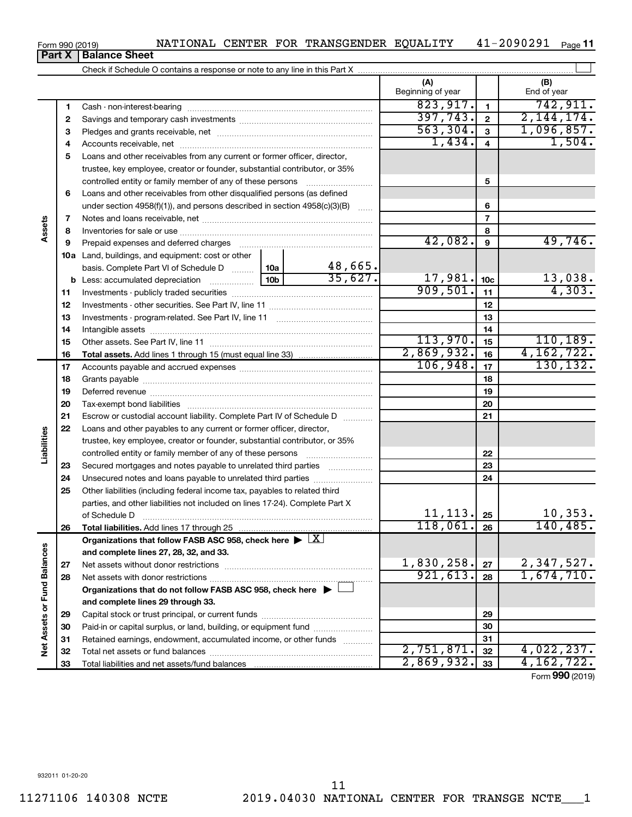| Form 990 (2019) | NATIONAL CENTER FOR TRANSGENDER EQUALITY |                          | 41-2090291 | Page 11            |  |  |  |  |  |  |  |  |  |
|-----------------|------------------------------------------|--------------------------|------------|--------------------|--|--|--|--|--|--|--|--|--|
| <b>Part X</b>   | <b>Balance Sheet</b>                     |                          |            |                    |  |  |  |  |  |  |  |  |  |
|                 |                                          |                          |            |                    |  |  |  |  |  |  |  |  |  |
|                 |                                          | (A)<br>Beginning of year |            | (B)<br>End of year |  |  |  |  |  |  |  |  |  |
|                 | Cash - non-interest-bearing              | 823,917                  |            | 742.911.           |  |  |  |  |  |  |  |  |  |
|                 | Savings and temporary cash investments   |                          |            |                    |  |  |  |  |  |  |  |  |  |

**3** Pledges and grants receivable, net ~~~~~~~~~~~~~~~~~~~~~

| Loans and other receivables from any current or former officer, director,<br>5<br>trustee, key employee, creator or founder, substantial contributor, or 35%<br>5<br>controlled entity or family member of any of these persons<br>Loans and other receivables from other disqualified persons (as defined<br>6<br>under section $4958(f)(1)$ , and persons described in section $4958(c)(3)(B)$<br>6<br>$\ldots$<br>$\overline{7}$<br>Assets<br>7<br>8<br>8<br>42,082.<br>9<br>Prepaid expenses and deferred charges<br>9<br>10a Land, buildings, and equipment: cost or other<br>$\frac{48,665}{35,627}$<br>basis. Complete Part VI of Schedule D  10a<br>17,981.<br>13,038.<br>10 <sub>c</sub><br>909,501.<br>4,303.<br>11<br>11<br>12<br>12<br>13<br>13<br>14<br>14<br>113,970.<br>15<br>15<br>4,162,722.<br>2,869,932.<br>16<br>16<br>106,948.<br>130, 132.<br>17<br>17<br>18<br>18<br>19<br>19<br>20<br>20<br>21<br>21<br>Escrow or custodial account liability. Complete Part IV of Schedule D<br>22<br>Loans and other payables to any current or former officer, director,<br>Liabilities<br>trustee, key employee, creator or founder, substantial contributor, or 35%<br>22<br>controlled entity or family member of any of these persons<br>23<br>Secured mortgages and notes payable to unrelated third parties<br>23<br>24<br>Unsecured notes and loans payable to unrelated third parties<br>24<br>25<br>Other liabilities (including federal income tax, payables to related third<br>parties, and other liabilities not included on lines 17-24). Complete Part X<br>10, 353.<br>11, 113.<br>25<br>of Schedule D<br>118,061.<br>140, 485.<br>26<br>26<br>Total liabilities. Add lines 17 through 25<br>Organizations that follow FASB ASC 958, check here $\blacktriangleright \lfloor \underline{X} \rfloor$<br><b>Fund Balances</b><br>and complete lines 27, 28, 32, and 33.<br>1,830,258.<br>2,347,527.<br>27<br>27<br>1,674,710.<br>921, 613.<br>28<br>28<br>Organizations that do not follow FASB ASC 958, check here $\blacktriangleright$<br>and complete lines 29 through 33.<br>Net Assets or<br>29<br>29<br>Paid-in or capital surplus, or land, building, or equipment fund<br>30<br>30<br>31<br>Retained earnings, endowment, accumulated income, or other funds<br>31<br>2,751,871.<br>4,022,237.<br>32<br>32<br>2,869,932.<br>4, 162, 722.<br>33<br>33<br>Total liabilities and net assets/fund balances<br>Form 990 (2019) |  | 4 |  |  | 1,434. | $\overline{4}$ | 1,504. |           |
|-------------------------------------------------------------------------------------------------------------------------------------------------------------------------------------------------------------------------------------------------------------------------------------------------------------------------------------------------------------------------------------------------------------------------------------------------------------------------------------------------------------------------------------------------------------------------------------------------------------------------------------------------------------------------------------------------------------------------------------------------------------------------------------------------------------------------------------------------------------------------------------------------------------------------------------------------------------------------------------------------------------------------------------------------------------------------------------------------------------------------------------------------------------------------------------------------------------------------------------------------------------------------------------------------------------------------------------------------------------------------------------------------------------------------------------------------------------------------------------------------------------------------------------------------------------------------------------------------------------------------------------------------------------------------------------------------------------------------------------------------------------------------------------------------------------------------------------------------------------------------------------------------------------------------------------------------------------------------------------------------------------------------------------------------------------------------------------------------------------------------------------------------------------------------------------------------------------------------------------------------------------------------------------------------------------------------------------------------------------------------------------------------------------------------------------------------------------|--|---|--|--|--------|----------------|--------|-----------|
|                                                                                                                                                                                                                                                                                                                                                                                                                                                                                                                                                                                                                                                                                                                                                                                                                                                                                                                                                                                                                                                                                                                                                                                                                                                                                                                                                                                                                                                                                                                                                                                                                                                                                                                                                                                                                                                                                                                                                                                                                                                                                                                                                                                                                                                                                                                                                                                                                                                             |  |   |  |  |        |                |        |           |
|                                                                                                                                                                                                                                                                                                                                                                                                                                                                                                                                                                                                                                                                                                                                                                                                                                                                                                                                                                                                                                                                                                                                                                                                                                                                                                                                                                                                                                                                                                                                                                                                                                                                                                                                                                                                                                                                                                                                                                                                                                                                                                                                                                                                                                                                                                                                                                                                                                                             |  |   |  |  |        |                |        |           |
|                                                                                                                                                                                                                                                                                                                                                                                                                                                                                                                                                                                                                                                                                                                                                                                                                                                                                                                                                                                                                                                                                                                                                                                                                                                                                                                                                                                                                                                                                                                                                                                                                                                                                                                                                                                                                                                                                                                                                                                                                                                                                                                                                                                                                                                                                                                                                                                                                                                             |  |   |  |  |        |                |        |           |
|                                                                                                                                                                                                                                                                                                                                                                                                                                                                                                                                                                                                                                                                                                                                                                                                                                                                                                                                                                                                                                                                                                                                                                                                                                                                                                                                                                                                                                                                                                                                                                                                                                                                                                                                                                                                                                                                                                                                                                                                                                                                                                                                                                                                                                                                                                                                                                                                                                                             |  |   |  |  |        |                |        |           |
|                                                                                                                                                                                                                                                                                                                                                                                                                                                                                                                                                                                                                                                                                                                                                                                                                                                                                                                                                                                                                                                                                                                                                                                                                                                                                                                                                                                                                                                                                                                                                                                                                                                                                                                                                                                                                                                                                                                                                                                                                                                                                                                                                                                                                                                                                                                                                                                                                                                             |  |   |  |  |        |                |        |           |
|                                                                                                                                                                                                                                                                                                                                                                                                                                                                                                                                                                                                                                                                                                                                                                                                                                                                                                                                                                                                                                                                                                                                                                                                                                                                                                                                                                                                                                                                                                                                                                                                                                                                                                                                                                                                                                                                                                                                                                                                                                                                                                                                                                                                                                                                                                                                                                                                                                                             |  |   |  |  |        |                |        |           |
|                                                                                                                                                                                                                                                                                                                                                                                                                                                                                                                                                                                                                                                                                                                                                                                                                                                                                                                                                                                                                                                                                                                                                                                                                                                                                                                                                                                                                                                                                                                                                                                                                                                                                                                                                                                                                                                                                                                                                                                                                                                                                                                                                                                                                                                                                                                                                                                                                                                             |  |   |  |  |        |                |        |           |
|                                                                                                                                                                                                                                                                                                                                                                                                                                                                                                                                                                                                                                                                                                                                                                                                                                                                                                                                                                                                                                                                                                                                                                                                                                                                                                                                                                                                                                                                                                                                                                                                                                                                                                                                                                                                                                                                                                                                                                                                                                                                                                                                                                                                                                                                                                                                                                                                                                                             |  |   |  |  |        |                |        | 49,746.   |
|                                                                                                                                                                                                                                                                                                                                                                                                                                                                                                                                                                                                                                                                                                                                                                                                                                                                                                                                                                                                                                                                                                                                                                                                                                                                                                                                                                                                                                                                                                                                                                                                                                                                                                                                                                                                                                                                                                                                                                                                                                                                                                                                                                                                                                                                                                                                                                                                                                                             |  |   |  |  |        |                |        |           |
|                                                                                                                                                                                                                                                                                                                                                                                                                                                                                                                                                                                                                                                                                                                                                                                                                                                                                                                                                                                                                                                                                                                                                                                                                                                                                                                                                                                                                                                                                                                                                                                                                                                                                                                                                                                                                                                                                                                                                                                                                                                                                                                                                                                                                                                                                                                                                                                                                                                             |  |   |  |  |        |                |        |           |
|                                                                                                                                                                                                                                                                                                                                                                                                                                                                                                                                                                                                                                                                                                                                                                                                                                                                                                                                                                                                                                                                                                                                                                                                                                                                                                                                                                                                                                                                                                                                                                                                                                                                                                                                                                                                                                                                                                                                                                                                                                                                                                                                                                                                                                                                                                                                                                                                                                                             |  |   |  |  |        |                |        |           |
|                                                                                                                                                                                                                                                                                                                                                                                                                                                                                                                                                                                                                                                                                                                                                                                                                                                                                                                                                                                                                                                                                                                                                                                                                                                                                                                                                                                                                                                                                                                                                                                                                                                                                                                                                                                                                                                                                                                                                                                                                                                                                                                                                                                                                                                                                                                                                                                                                                                             |  |   |  |  |        |                |        |           |
|                                                                                                                                                                                                                                                                                                                                                                                                                                                                                                                                                                                                                                                                                                                                                                                                                                                                                                                                                                                                                                                                                                                                                                                                                                                                                                                                                                                                                                                                                                                                                                                                                                                                                                                                                                                                                                                                                                                                                                                                                                                                                                                                                                                                                                                                                                                                                                                                                                                             |  |   |  |  |        |                |        |           |
|                                                                                                                                                                                                                                                                                                                                                                                                                                                                                                                                                                                                                                                                                                                                                                                                                                                                                                                                                                                                                                                                                                                                                                                                                                                                                                                                                                                                                                                                                                                                                                                                                                                                                                                                                                                                                                                                                                                                                                                                                                                                                                                                                                                                                                                                                                                                                                                                                                                             |  |   |  |  |        |                |        |           |
|                                                                                                                                                                                                                                                                                                                                                                                                                                                                                                                                                                                                                                                                                                                                                                                                                                                                                                                                                                                                                                                                                                                                                                                                                                                                                                                                                                                                                                                                                                                                                                                                                                                                                                                                                                                                                                                                                                                                                                                                                                                                                                                                                                                                                                                                                                                                                                                                                                                             |  |   |  |  |        |                |        |           |
|                                                                                                                                                                                                                                                                                                                                                                                                                                                                                                                                                                                                                                                                                                                                                                                                                                                                                                                                                                                                                                                                                                                                                                                                                                                                                                                                                                                                                                                                                                                                                                                                                                                                                                                                                                                                                                                                                                                                                                                                                                                                                                                                                                                                                                                                                                                                                                                                                                                             |  |   |  |  |        |                |        | 110, 189. |
|                                                                                                                                                                                                                                                                                                                                                                                                                                                                                                                                                                                                                                                                                                                                                                                                                                                                                                                                                                                                                                                                                                                                                                                                                                                                                                                                                                                                                                                                                                                                                                                                                                                                                                                                                                                                                                                                                                                                                                                                                                                                                                                                                                                                                                                                                                                                                                                                                                                             |  |   |  |  |        |                |        |           |
|                                                                                                                                                                                                                                                                                                                                                                                                                                                                                                                                                                                                                                                                                                                                                                                                                                                                                                                                                                                                                                                                                                                                                                                                                                                                                                                                                                                                                                                                                                                                                                                                                                                                                                                                                                                                                                                                                                                                                                                                                                                                                                                                                                                                                                                                                                                                                                                                                                                             |  |   |  |  |        |                |        |           |
|                                                                                                                                                                                                                                                                                                                                                                                                                                                                                                                                                                                                                                                                                                                                                                                                                                                                                                                                                                                                                                                                                                                                                                                                                                                                                                                                                                                                                                                                                                                                                                                                                                                                                                                                                                                                                                                                                                                                                                                                                                                                                                                                                                                                                                                                                                                                                                                                                                                             |  |   |  |  |        |                |        |           |
|                                                                                                                                                                                                                                                                                                                                                                                                                                                                                                                                                                                                                                                                                                                                                                                                                                                                                                                                                                                                                                                                                                                                                                                                                                                                                                                                                                                                                                                                                                                                                                                                                                                                                                                                                                                                                                                                                                                                                                                                                                                                                                                                                                                                                                                                                                                                                                                                                                                             |  |   |  |  |        |                |        |           |
|                                                                                                                                                                                                                                                                                                                                                                                                                                                                                                                                                                                                                                                                                                                                                                                                                                                                                                                                                                                                                                                                                                                                                                                                                                                                                                                                                                                                                                                                                                                                                                                                                                                                                                                                                                                                                                                                                                                                                                                                                                                                                                                                                                                                                                                                                                                                                                                                                                                             |  |   |  |  |        |                |        |           |
|                                                                                                                                                                                                                                                                                                                                                                                                                                                                                                                                                                                                                                                                                                                                                                                                                                                                                                                                                                                                                                                                                                                                                                                                                                                                                                                                                                                                                                                                                                                                                                                                                                                                                                                                                                                                                                                                                                                                                                                                                                                                                                                                                                                                                                                                                                                                                                                                                                                             |  |   |  |  |        |                |        |           |
|                                                                                                                                                                                                                                                                                                                                                                                                                                                                                                                                                                                                                                                                                                                                                                                                                                                                                                                                                                                                                                                                                                                                                                                                                                                                                                                                                                                                                                                                                                                                                                                                                                                                                                                                                                                                                                                                                                                                                                                                                                                                                                                                                                                                                                                                                                                                                                                                                                                             |  |   |  |  |        |                |        |           |
|                                                                                                                                                                                                                                                                                                                                                                                                                                                                                                                                                                                                                                                                                                                                                                                                                                                                                                                                                                                                                                                                                                                                                                                                                                                                                                                                                                                                                                                                                                                                                                                                                                                                                                                                                                                                                                                                                                                                                                                                                                                                                                                                                                                                                                                                                                                                                                                                                                                             |  |   |  |  |        |                |        |           |
|                                                                                                                                                                                                                                                                                                                                                                                                                                                                                                                                                                                                                                                                                                                                                                                                                                                                                                                                                                                                                                                                                                                                                                                                                                                                                                                                                                                                                                                                                                                                                                                                                                                                                                                                                                                                                                                                                                                                                                                                                                                                                                                                                                                                                                                                                                                                                                                                                                                             |  |   |  |  |        |                |        |           |
|                                                                                                                                                                                                                                                                                                                                                                                                                                                                                                                                                                                                                                                                                                                                                                                                                                                                                                                                                                                                                                                                                                                                                                                                                                                                                                                                                                                                                                                                                                                                                                                                                                                                                                                                                                                                                                                                                                                                                                                                                                                                                                                                                                                                                                                                                                                                                                                                                                                             |  |   |  |  |        |                |        |           |
|                                                                                                                                                                                                                                                                                                                                                                                                                                                                                                                                                                                                                                                                                                                                                                                                                                                                                                                                                                                                                                                                                                                                                                                                                                                                                                                                                                                                                                                                                                                                                                                                                                                                                                                                                                                                                                                                                                                                                                                                                                                                                                                                                                                                                                                                                                                                                                                                                                                             |  |   |  |  |        |                |        |           |
|                                                                                                                                                                                                                                                                                                                                                                                                                                                                                                                                                                                                                                                                                                                                                                                                                                                                                                                                                                                                                                                                                                                                                                                                                                                                                                                                                                                                                                                                                                                                                                                                                                                                                                                                                                                                                                                                                                                                                                                                                                                                                                                                                                                                                                                                                                                                                                                                                                                             |  |   |  |  |        |                |        |           |
|                                                                                                                                                                                                                                                                                                                                                                                                                                                                                                                                                                                                                                                                                                                                                                                                                                                                                                                                                                                                                                                                                                                                                                                                                                                                                                                                                                                                                                                                                                                                                                                                                                                                                                                                                                                                                                                                                                                                                                                                                                                                                                                                                                                                                                                                                                                                                                                                                                                             |  |   |  |  |        |                |        |           |
|                                                                                                                                                                                                                                                                                                                                                                                                                                                                                                                                                                                                                                                                                                                                                                                                                                                                                                                                                                                                                                                                                                                                                                                                                                                                                                                                                                                                                                                                                                                                                                                                                                                                                                                                                                                                                                                                                                                                                                                                                                                                                                                                                                                                                                                                                                                                                                                                                                                             |  |   |  |  |        |                |        |           |
|                                                                                                                                                                                                                                                                                                                                                                                                                                                                                                                                                                                                                                                                                                                                                                                                                                                                                                                                                                                                                                                                                                                                                                                                                                                                                                                                                                                                                                                                                                                                                                                                                                                                                                                                                                                                                                                                                                                                                                                                                                                                                                                                                                                                                                                                                                                                                                                                                                                             |  |   |  |  |        |                |        |           |
|                                                                                                                                                                                                                                                                                                                                                                                                                                                                                                                                                                                                                                                                                                                                                                                                                                                                                                                                                                                                                                                                                                                                                                                                                                                                                                                                                                                                                                                                                                                                                                                                                                                                                                                                                                                                                                                                                                                                                                                                                                                                                                                                                                                                                                                                                                                                                                                                                                                             |  |   |  |  |        |                |        |           |
|                                                                                                                                                                                                                                                                                                                                                                                                                                                                                                                                                                                                                                                                                                                                                                                                                                                                                                                                                                                                                                                                                                                                                                                                                                                                                                                                                                                                                                                                                                                                                                                                                                                                                                                                                                                                                                                                                                                                                                                                                                                                                                                                                                                                                                                                                                                                                                                                                                                             |  |   |  |  |        |                |        |           |
|                                                                                                                                                                                                                                                                                                                                                                                                                                                                                                                                                                                                                                                                                                                                                                                                                                                                                                                                                                                                                                                                                                                                                                                                                                                                                                                                                                                                                                                                                                                                                                                                                                                                                                                                                                                                                                                                                                                                                                                                                                                                                                                                                                                                                                                                                                                                                                                                                                                             |  |   |  |  |        |                |        |           |
|                                                                                                                                                                                                                                                                                                                                                                                                                                                                                                                                                                                                                                                                                                                                                                                                                                                                                                                                                                                                                                                                                                                                                                                                                                                                                                                                                                                                                                                                                                                                                                                                                                                                                                                                                                                                                                                                                                                                                                                                                                                                                                                                                                                                                                                                                                                                                                                                                                                             |  |   |  |  |        |                |        |           |
|                                                                                                                                                                                                                                                                                                                                                                                                                                                                                                                                                                                                                                                                                                                                                                                                                                                                                                                                                                                                                                                                                                                                                                                                                                                                                                                                                                                                                                                                                                                                                                                                                                                                                                                                                                                                                                                                                                                                                                                                                                                                                                                                                                                                                                                                                                                                                                                                                                                             |  |   |  |  |        |                |        |           |
|                                                                                                                                                                                                                                                                                                                                                                                                                                                                                                                                                                                                                                                                                                                                                                                                                                                                                                                                                                                                                                                                                                                                                                                                                                                                                                                                                                                                                                                                                                                                                                                                                                                                                                                                                                                                                                                                                                                                                                                                                                                                                                                                                                                                                                                                                                                                                                                                                                                             |  |   |  |  |        |                |        |           |
|                                                                                                                                                                                                                                                                                                                                                                                                                                                                                                                                                                                                                                                                                                                                                                                                                                                                                                                                                                                                                                                                                                                                                                                                                                                                                                                                                                                                                                                                                                                                                                                                                                                                                                                                                                                                                                                                                                                                                                                                                                                                                                                                                                                                                                                                                                                                                                                                                                                             |  |   |  |  |        |                |        |           |
|                                                                                                                                                                                                                                                                                                                                                                                                                                                                                                                                                                                                                                                                                                                                                                                                                                                                                                                                                                                                                                                                                                                                                                                                                                                                                                                                                                                                                                                                                                                                                                                                                                                                                                                                                                                                                                                                                                                                                                                                                                                                                                                                                                                                                                                                                                                                                                                                                                                             |  |   |  |  |        |                |        |           |
|                                                                                                                                                                                                                                                                                                                                                                                                                                                                                                                                                                                                                                                                                                                                                                                                                                                                                                                                                                                                                                                                                                                                                                                                                                                                                                                                                                                                                                                                                                                                                                                                                                                                                                                                                                                                                                                                                                                                                                                                                                                                                                                                                                                                                                                                                                                                                                                                                                                             |  |   |  |  |        |                |        |           |
|                                                                                                                                                                                                                                                                                                                                                                                                                                                                                                                                                                                                                                                                                                                                                                                                                                                                                                                                                                                                                                                                                                                                                                                                                                                                                                                                                                                                                                                                                                                                                                                                                                                                                                                                                                                                                                                                                                                                                                                                                                                                                                                                                                                                                                                                                                                                                                                                                                                             |  |   |  |  |        |                |        |           |
|                                                                                                                                                                                                                                                                                                                                                                                                                                                                                                                                                                                                                                                                                                                                                                                                                                                                                                                                                                                                                                                                                                                                                                                                                                                                                                                                                                                                                                                                                                                                                                                                                                                                                                                                                                                                                                                                                                                                                                                                                                                                                                                                                                                                                                                                                                                                                                                                                                                             |  |   |  |  |        |                |        |           |

# **Part X** | **Bal**

**3**

 $\begin{array}{|c|c|c|c|c|c|c|c|c|} \hline 563,304. & \text{3} & \text{1} & 096 & 857. \ \hline \end{array}$ 

Form (2019) **990**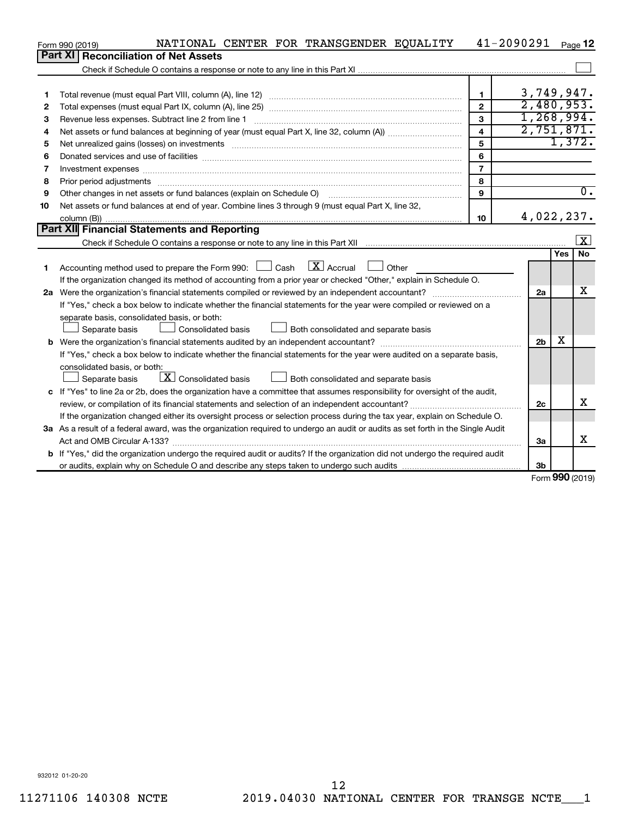|    | NATIONAL CENTER FOR TRANSGENDER EQUALITY<br>Form 990 (2019)                                                                          |                | 41-2090291     |        | Page 12             |
|----|--------------------------------------------------------------------------------------------------------------------------------------|----------------|----------------|--------|---------------------|
|    | <b>Part XI</b><br><b>Reconciliation of Net Assets</b>                                                                                |                |                |        |                     |
|    |                                                                                                                                      |                |                |        |                     |
|    |                                                                                                                                      |                |                |        |                     |
| 1  |                                                                                                                                      | $\mathbf{1}$   | 3,749,947.     |        |                     |
| 2  |                                                                                                                                      | $\overline{2}$ | 2,480,953.     |        |                     |
| 3  | Revenue less expenses. Subtract line 2 from line 1                                                                                   | 3              | 1,268,994.     |        |                     |
| 4  |                                                                                                                                      | 4              | 2,751,871.     |        |                     |
| 5  |                                                                                                                                      | 5              |                |        | 1,372.              |
| 6  |                                                                                                                                      | 6              |                |        |                     |
| 7  |                                                                                                                                      | $\overline{7}$ |                |        |                     |
| 8  |                                                                                                                                      | 8              |                |        |                     |
| 9  | Other changes in net assets or fund balances (explain on Schedule O)                                                                 | 9              |                |        | $\overline{0}$ .    |
| 10 | Net assets or fund balances at end of year. Combine lines 3 through 9 (must equal Part X, line 32,                                   |                |                |        |                     |
|    |                                                                                                                                      | 10             | 4,022,237.     |        |                     |
|    | <b>Part XII</b> Financial Statements and Reporting                                                                                   |                |                |        |                     |
|    |                                                                                                                                      |                |                |        | $\lfloor x \rfloor$ |
|    |                                                                                                                                      |                |                | Yes    | <b>No</b>           |
| 1. | $\lfloor$ X $\rfloor$ Accrual<br>Accounting method used to prepare the Form 990: $\Box$ Cash<br>$\Box$ Other                         |                |                |        |                     |
|    | If the organization changed its method of accounting from a prior year or checked "Other," explain in Schedule O.                    |                |                |        |                     |
|    |                                                                                                                                      |                | 2a             |        | х                   |
|    | If "Yes," check a box below to indicate whether the financial statements for the year were compiled or reviewed on a                 |                |                |        |                     |
|    | separate basis, consolidated basis, or both:                                                                                         |                |                |        |                     |
|    | Both consolidated and separate basis<br>Separate basis<br>Consolidated basis                                                         |                |                |        |                     |
|    |                                                                                                                                      |                | 2 <sub>b</sub> | х      |                     |
|    | If "Yes," check a box below to indicate whether the financial statements for the year were audited on a separate basis,              |                |                |        |                     |
|    | consolidated basis, or both:                                                                                                         |                |                |        |                     |
|    | $\lfloor \underline{X} \rfloor$ Consolidated basis<br>Both consolidated and separate basis<br>Separate basis                         |                |                |        |                     |
|    | c If "Yes" to line 2a or 2b, does the organization have a committee that assumes responsibility for oversight of the audit,          |                |                |        |                     |
|    |                                                                                                                                      |                | 2c             |        | x                   |
|    | If the organization changed either its oversight process or selection process during the tax year, explain on Schedule O.            |                |                |        |                     |
|    | 3a As a result of a federal award, was the organization required to undergo an audit or audits as set forth in the Single Audit      |                |                |        |                     |
|    | Act and OMB Circular A-133?                                                                                                          |                | 3a             |        | x                   |
|    | <b>b</b> If "Yes," did the organization undergo the required audit or audits? If the organization did not undergo the required audit |                |                |        |                     |
|    |                                                                                                                                      |                | 3b             | $\sim$ |                     |

Form (2019) **990**

932012 01-20-20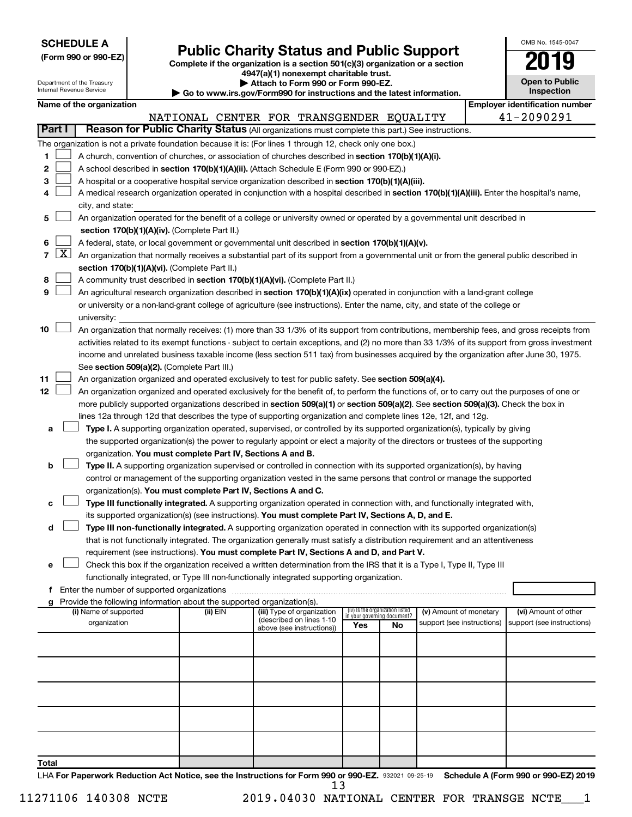| <b>SCHEDULE A</b> |  |
|-------------------|--|
|-------------------|--|

Department of the Treasury

Form 990 or 990-EZ) **Public Charity Status and Public Support**<br>
Complete if the organization is a section 501(c)(3) organization or a section<br> **2019 4947(a)(1) nonexempt charitable trust.**

**| Attach to Form 990 or Form 990-EZ.** 

| OMB No 1545-0047                    |
|-------------------------------------|
| 019                                 |
| <b>Open to Public</b><br>Inspection |

 $\Box$ 

|       |               | Internal Revenue Service                                                                                                                                                             |  | Go to www.irs.gov/Form990 for instructions and the latest information.                                                                                                                                                                          |  |                                                       |                                                                |    |                            |  | Inspection                                                                                                                                    |  |
|-------|---------------|--------------------------------------------------------------------------------------------------------------------------------------------------------------------------------------|--|-------------------------------------------------------------------------------------------------------------------------------------------------------------------------------------------------------------------------------------------------|--|-------------------------------------------------------|----------------------------------------------------------------|----|----------------------------|--|-----------------------------------------------------------------------------------------------------------------------------------------------|--|
|       |               | Name of the organization                                                                                                                                                             |  |                                                                                                                                                                                                                                                 |  | <b>Employer identification number</b>                 |                                                                |    |                            |  |                                                                                                                                               |  |
|       |               |                                                                                                                                                                                      |  | NATIONAL CENTER FOR TRANSGENDER EQUALITY                                                                                                                                                                                                        |  |                                                       |                                                                |    |                            |  | 41-2090291                                                                                                                                    |  |
|       | <b>Part I</b> |                                                                                                                                                                                      |  | Reason for Public Charity Status (All organizations must complete this part.) See instructions.                                                                                                                                                 |  |                                                       |                                                                |    |                            |  |                                                                                                                                               |  |
|       |               |                                                                                                                                                                                      |  | The organization is not a private foundation because it is: (For lines 1 through 12, check only one box.)                                                                                                                                       |  |                                                       |                                                                |    |                            |  |                                                                                                                                               |  |
| 1.    |               |                                                                                                                                                                                      |  | A church, convention of churches, or association of churches described in section 170(b)(1)(A)(i).                                                                                                                                              |  |                                                       |                                                                |    |                            |  |                                                                                                                                               |  |
| 2     |               |                                                                                                                                                                                      |  | A school described in section 170(b)(1)(A)(ii). (Attach Schedule E (Form 990 or 990-EZ).)                                                                                                                                                       |  |                                                       |                                                                |    |                            |  |                                                                                                                                               |  |
| 3     |               |                                                                                                                                                                                      |  | A hospital or a cooperative hospital service organization described in section 170(b)(1)(A)(iii).                                                                                                                                               |  |                                                       |                                                                |    |                            |  |                                                                                                                                               |  |
| 4     |               |                                                                                                                                                                                      |  |                                                                                                                                                                                                                                                 |  |                                                       |                                                                |    |                            |  | A medical research organization operated in conjunction with a hospital described in section 170(b)(1)(A)(iii). Enter the hospital's name,    |  |
|       |               | city, and state:                                                                                                                                                                     |  |                                                                                                                                                                                                                                                 |  |                                                       |                                                                |    |                            |  |                                                                                                                                               |  |
| 5     |               |                                                                                                                                                                                      |  | An organization operated for the benefit of a college or university owned or operated by a governmental unit described in                                                                                                                       |  |                                                       |                                                                |    |                            |  |                                                                                                                                               |  |
|       |               |                                                                                                                                                                                      |  | section 170(b)(1)(A)(iv). (Complete Part II.)                                                                                                                                                                                                   |  |                                                       |                                                                |    |                            |  |                                                                                                                                               |  |
| 6     |               |                                                                                                                                                                                      |  | A federal, state, or local government or governmental unit described in section 170(b)(1)(A)(v).                                                                                                                                                |  |                                                       |                                                                |    |                            |  |                                                                                                                                               |  |
|       | 7   X         |                                                                                                                                                                                      |  | An organization that normally receives a substantial part of its support from a governmental unit or from the general public described in                                                                                                       |  |                                                       |                                                                |    |                            |  |                                                                                                                                               |  |
|       |               |                                                                                                                                                                                      |  | section 170(b)(1)(A)(vi). (Complete Part II.)                                                                                                                                                                                                   |  |                                                       |                                                                |    |                            |  |                                                                                                                                               |  |
| 8     |               |                                                                                                                                                                                      |  | A community trust described in section 170(b)(1)(A)(vi). (Complete Part II.)                                                                                                                                                                    |  |                                                       |                                                                |    |                            |  |                                                                                                                                               |  |
| 9     |               |                                                                                                                                                                                      |  | An agricultural research organization described in section 170(b)(1)(A)(ix) operated in conjunction with a land-grant college                                                                                                                   |  |                                                       |                                                                |    |                            |  |                                                                                                                                               |  |
|       |               |                                                                                                                                                                                      |  | or university or a non-land-grant college of agriculture (see instructions). Enter the name, city, and state of the college or                                                                                                                  |  |                                                       |                                                                |    |                            |  |                                                                                                                                               |  |
|       |               | university:                                                                                                                                                                          |  |                                                                                                                                                                                                                                                 |  |                                                       |                                                                |    |                            |  |                                                                                                                                               |  |
| 10    |               |                                                                                                                                                                                      |  |                                                                                                                                                                                                                                                 |  |                                                       |                                                                |    |                            |  | An organization that normally receives: (1) more than 33 1/3% of its support from contributions, membership fees, and gross receipts from     |  |
|       |               |                                                                                                                                                                                      |  |                                                                                                                                                                                                                                                 |  |                                                       |                                                                |    |                            |  | activities related to its exempt functions - subject to certain exceptions, and (2) no more than 33 1/3% of its support from gross investment |  |
|       |               | income and unrelated business taxable income (less section 511 tax) from businesses acquired by the organization after June 30, 1975.<br>See section 509(a)(2). (Complete Part III.) |  |                                                                                                                                                                                                                                                 |  |                                                       |                                                                |    |                            |  |                                                                                                                                               |  |
|       |               |                                                                                                                                                                                      |  |                                                                                                                                                                                                                                                 |  |                                                       |                                                                |    |                            |  |                                                                                                                                               |  |
| 11    |               |                                                                                                                                                                                      |  | An organization organized and operated exclusively to test for public safety. See section 509(a)(4).                                                                                                                                            |  |                                                       |                                                                |    |                            |  |                                                                                                                                               |  |
| 12    |               |                                                                                                                                                                                      |  |                                                                                                                                                                                                                                                 |  |                                                       |                                                                |    |                            |  | An organization organized and operated exclusively for the benefit of, to perform the functions of, or to carry out the purposes of one or    |  |
|       |               |                                                                                                                                                                                      |  | more publicly supported organizations described in section 509(a)(1) or section 509(a)(2). See section 509(a)(3). Check the box in                                                                                                              |  |                                                       |                                                                |    |                            |  |                                                                                                                                               |  |
|       |               |                                                                                                                                                                                      |  | lines 12a through 12d that describes the type of supporting organization and complete lines 12e, 12f, and 12g.                                                                                                                                  |  |                                                       |                                                                |    |                            |  |                                                                                                                                               |  |
| а     |               |                                                                                                                                                                                      |  | Type I. A supporting organization operated, supervised, or controlled by its supported organization(s), typically by giving                                                                                                                     |  |                                                       |                                                                |    |                            |  |                                                                                                                                               |  |
|       |               |                                                                                                                                                                                      |  | the supported organization(s) the power to regularly appoint or elect a majority of the directors or trustees of the supporting                                                                                                                 |  |                                                       |                                                                |    |                            |  |                                                                                                                                               |  |
|       |               |                                                                                                                                                                                      |  | organization. You must complete Part IV, Sections A and B.                                                                                                                                                                                      |  |                                                       |                                                                |    |                            |  |                                                                                                                                               |  |
| b     |               |                                                                                                                                                                                      |  | Type II. A supporting organization supervised or controlled in connection with its supported organization(s), by having<br>control or management of the supporting organization vested in the same persons that control or manage the supported |  |                                                       |                                                                |    |                            |  |                                                                                                                                               |  |
|       |               |                                                                                                                                                                                      |  | organization(s). You must complete Part IV, Sections A and C.                                                                                                                                                                                   |  |                                                       |                                                                |    |                            |  |                                                                                                                                               |  |
| с     |               |                                                                                                                                                                                      |  | Type III functionally integrated. A supporting organization operated in connection with, and functionally integrated with,                                                                                                                      |  |                                                       |                                                                |    |                            |  |                                                                                                                                               |  |
|       |               |                                                                                                                                                                                      |  | its supported organization(s) (see instructions). You must complete Part IV, Sections A, D, and E.                                                                                                                                              |  |                                                       |                                                                |    |                            |  |                                                                                                                                               |  |
| d     |               |                                                                                                                                                                                      |  | Type III non-functionally integrated. A supporting organization operated in connection with its supported organization(s)                                                                                                                       |  |                                                       |                                                                |    |                            |  |                                                                                                                                               |  |
|       |               |                                                                                                                                                                                      |  | that is not functionally integrated. The organization generally must satisfy a distribution requirement and an attentiveness                                                                                                                    |  |                                                       |                                                                |    |                            |  |                                                                                                                                               |  |
|       |               |                                                                                                                                                                                      |  | requirement (see instructions). You must complete Part IV, Sections A and D, and Part V.                                                                                                                                                        |  |                                                       |                                                                |    |                            |  |                                                                                                                                               |  |
| е     |               |                                                                                                                                                                                      |  | Check this box if the organization received a written determination from the IRS that it is a Type I, Type II, Type III                                                                                                                         |  |                                                       |                                                                |    |                            |  |                                                                                                                                               |  |
|       |               |                                                                                                                                                                                      |  | functionally integrated, or Type III non-functionally integrated supporting organization.                                                                                                                                                       |  |                                                       |                                                                |    |                            |  |                                                                                                                                               |  |
|       |               |                                                                                                                                                                                      |  |                                                                                                                                                                                                                                                 |  |                                                       |                                                                |    |                            |  |                                                                                                                                               |  |
|       |               |                                                                                                                                                                                      |  | Provide the following information about the supported organization(s).                                                                                                                                                                          |  |                                                       |                                                                |    |                            |  |                                                                                                                                               |  |
|       |               | (i) Name of supported                                                                                                                                                                |  | (ii) EIN                                                                                                                                                                                                                                        |  | (iii) Type of organization                            | (iv) Is the organization listed<br>in your governing document? |    | (v) Amount of monetary     |  | (vi) Amount of other                                                                                                                          |  |
|       |               | organization                                                                                                                                                                         |  |                                                                                                                                                                                                                                                 |  | (described on lines 1-10<br>above (see instructions)) | Yes                                                            | No | support (see instructions) |  | support (see instructions)                                                                                                                    |  |
|       |               |                                                                                                                                                                                      |  |                                                                                                                                                                                                                                                 |  |                                                       |                                                                |    |                            |  |                                                                                                                                               |  |
|       |               |                                                                                                                                                                                      |  |                                                                                                                                                                                                                                                 |  |                                                       |                                                                |    |                            |  |                                                                                                                                               |  |
|       |               |                                                                                                                                                                                      |  |                                                                                                                                                                                                                                                 |  |                                                       |                                                                |    |                            |  |                                                                                                                                               |  |
|       |               |                                                                                                                                                                                      |  |                                                                                                                                                                                                                                                 |  |                                                       |                                                                |    |                            |  |                                                                                                                                               |  |
|       |               |                                                                                                                                                                                      |  |                                                                                                                                                                                                                                                 |  |                                                       |                                                                |    |                            |  |                                                                                                                                               |  |
|       |               |                                                                                                                                                                                      |  |                                                                                                                                                                                                                                                 |  |                                                       |                                                                |    |                            |  |                                                                                                                                               |  |
|       |               |                                                                                                                                                                                      |  |                                                                                                                                                                                                                                                 |  |                                                       |                                                                |    |                            |  |                                                                                                                                               |  |
|       |               |                                                                                                                                                                                      |  |                                                                                                                                                                                                                                                 |  |                                                       |                                                                |    |                            |  |                                                                                                                                               |  |
|       |               |                                                                                                                                                                                      |  |                                                                                                                                                                                                                                                 |  |                                                       |                                                                |    |                            |  |                                                                                                                                               |  |
| Total |               |                                                                                                                                                                                      |  |                                                                                                                                                                                                                                                 |  |                                                       |                                                                |    |                            |  |                                                                                                                                               |  |

LHA For Paperwork Reduction Act Notice, see the Instructions for Form 990 or 990-EZ. 932021 09-25-19 Schedule A (Form 990 or 990-EZ) 2019 13

11271106 140308 NCTE 2019.04030 NATIONAL CENTER FOR TRANSGE NCTE\_\_\_1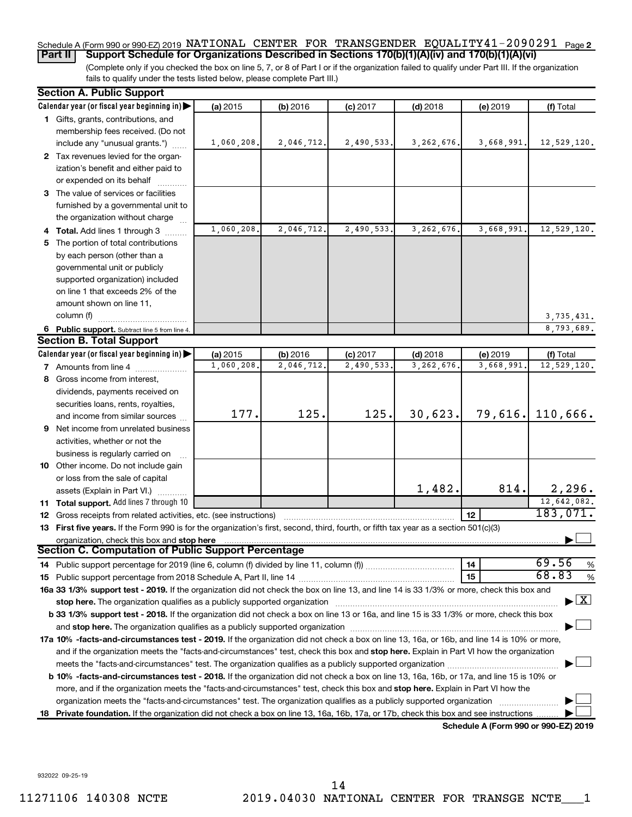#### Schedule A (Form 990 or 990-EZ) 2019 NATIONAL CENTER FOR TRANSGENDER EQUALITY41-2090291 <sub>Page 2</sub> **Part II Support Schedule for Organizations Described in Sections 170(b)(1)(A)(iv) and 170(b)(1)(A)(vi)**

(Complete only if you checked the box on line 5, 7, or 8 of Part I or if the organization failed to qualify under Part III. If the organization fails to qualify under the tests listed below, please complete Part III.)

|    | <b>Section A. Public Support</b>                                                                                                           |                       |                        |                         |                           |                                      |                                    |
|----|--------------------------------------------------------------------------------------------------------------------------------------------|-----------------------|------------------------|-------------------------|---------------------------|--------------------------------------|------------------------------------|
|    | Calendar year (or fiscal year beginning in)                                                                                                | (a) 2015              | (b) 2016               | $(c)$ 2017              | $(d)$ 2018                | (e) 2019                             | (f) Total                          |
|    | 1 Gifts, grants, contributions, and                                                                                                        |                       |                        |                         |                           |                                      |                                    |
|    | membership fees received. (Do not                                                                                                          |                       |                        |                         |                           |                                      |                                    |
|    | include any "unusual grants.")                                                                                                             | 1,060,208.            | 2,046,712.             | 2,490,533.              | 3, 262, 676.              | 3,668,991.                           | 12,529,120.                        |
|    | 2 Tax revenues levied for the organ-                                                                                                       |                       |                        |                         |                           |                                      |                                    |
|    | ization's benefit and either paid to                                                                                                       |                       |                        |                         |                           |                                      |                                    |
|    | or expended on its behalf                                                                                                                  |                       |                        |                         |                           |                                      |                                    |
|    | 3 The value of services or facilities                                                                                                      |                       |                        |                         |                           |                                      |                                    |
|    | furnished by a governmental unit to                                                                                                        |                       |                        |                         |                           |                                      |                                    |
|    | the organization without charge                                                                                                            |                       |                        |                         |                           |                                      |                                    |
|    | 4 Total. Add lines 1 through 3                                                                                                             | 1,060,208.            | 2,046,712.             | 2,490,533               | 3,262,676                 | 3,668,991.                           | 12,529,120.                        |
|    | 5 The portion of total contributions                                                                                                       |                       |                        |                         |                           |                                      |                                    |
|    | by each person (other than a                                                                                                               |                       |                        |                         |                           |                                      |                                    |
|    | governmental unit or publicly                                                                                                              |                       |                        |                         |                           |                                      |                                    |
|    | supported organization) included                                                                                                           |                       |                        |                         |                           |                                      |                                    |
|    | on line 1 that exceeds 2% of the                                                                                                           |                       |                        |                         |                           |                                      |                                    |
|    | amount shown on line 11,                                                                                                                   |                       |                        |                         |                           |                                      |                                    |
|    | column (f)                                                                                                                                 |                       |                        |                         |                           |                                      | 3,735,431.                         |
|    |                                                                                                                                            |                       |                        |                         |                           |                                      | 8,793,689.                         |
|    | 6 Public support. Subtract line 5 from line 4.<br><b>Section B. Total Support</b>                                                          |                       |                        |                         |                           |                                      |                                    |
|    | Calendar year (or fiscal year beginning in)                                                                                                |                       |                        |                         |                           |                                      |                                    |
|    |                                                                                                                                            | (a) 2015<br>1,060,208 | (b) 2016<br>2,046,712. | $(c)$ 2017<br>2,490,533 | $(d)$ 2018<br>3, 262, 676 | (e) 2019<br>3,668,991                | (f) Total<br>12,529,120.           |
|    | <b>7</b> Amounts from line 4                                                                                                               |                       |                        |                         |                           |                                      |                                    |
| 8  | Gross income from interest,                                                                                                                |                       |                        |                         |                           |                                      |                                    |
|    | dividends, payments received on                                                                                                            |                       |                        |                         |                           |                                      |                                    |
|    | securities loans, rents, royalties,                                                                                                        | 177.                  | 125.                   | 125.                    | 30,623.                   | 79,616.                              | 110,666.                           |
|    | and income from similar sources                                                                                                            |                       |                        |                         |                           |                                      |                                    |
|    | <b>9</b> Net income from unrelated business                                                                                                |                       |                        |                         |                           |                                      |                                    |
|    | activities, whether or not the                                                                                                             |                       |                        |                         |                           |                                      |                                    |
|    | business is regularly carried on                                                                                                           |                       |                        |                         |                           |                                      |                                    |
|    | 10 Other income. Do not include gain                                                                                                       |                       |                        |                         |                           |                                      |                                    |
|    | or loss from the sale of capital                                                                                                           |                       |                        |                         |                           |                                      |                                    |
|    | assets (Explain in Part VI.)                                                                                                               |                       |                        |                         | 1,482.                    | 814.                                 | 2,296.                             |
|    | 11 Total support. Add lines 7 through 10                                                                                                   |                       |                        |                         |                           |                                      | 12,642,082.                        |
|    | <b>12</b> Gross receipts from related activities, etc. (see instructions)                                                                  |                       |                        |                         |                           | 12                                   | 183,071.                           |
|    | 13 First five years. If the Form 990 is for the organization's first, second, third, fourth, or fifth tax year as a section 501(c)(3)      |                       |                        |                         |                           |                                      |                                    |
|    | organization, check this box and stop here                                                                                                 |                       |                        |                         |                           |                                      |                                    |
|    | <b>Section C. Computation of Public Support Percentage</b>                                                                                 |                       |                        |                         |                           |                                      |                                    |
|    |                                                                                                                                            |                       |                        |                         |                           | 14                                   | 69.56<br>%                         |
|    |                                                                                                                                            |                       |                        |                         |                           | 15                                   | 68.83<br>%                         |
|    | 16a 33 1/3% support test - 2019. If the organization did not check the box on line 13, and line 14 is 33 1/3% or more, check this box and  |                       |                        |                         |                           |                                      |                                    |
|    | stop here. The organization qualifies as a publicly supported organization manufactured content and the organization                       |                       |                        |                         |                           |                                      | $\blacktriangleright$ $\mathbf{X}$ |
|    | b 33 1/3% support test - 2018. If the organization did not check a box on line 13 or 16a, and line 15 is 33 1/3% or more, check this box   |                       |                        |                         |                           |                                      |                                    |
|    |                                                                                                                                            |                       |                        |                         |                           |                                      |                                    |
|    | 17a 10% -facts-and-circumstances test - 2019. If the organization did not check a box on line 13, 16a, or 16b, and line 14 is 10% or more, |                       |                        |                         |                           |                                      |                                    |
|    | and if the organization meets the "facts-and-circumstances" test, check this box and stop here. Explain in Part VI how the organization    |                       |                        |                         |                           |                                      |                                    |
|    |                                                                                                                                            |                       |                        |                         |                           |                                      |                                    |
|    | b 10% -facts-and-circumstances test - 2018. If the organization did not check a box on line 13, 16a, 16b, or 17a, and line 15 is 10% or    |                       |                        |                         |                           |                                      |                                    |
|    | more, and if the organization meets the "facts-and-circumstances" test, check this box and stop here. Explain in Part VI how the           |                       |                        |                         |                           |                                      |                                    |
|    | organization meets the "facts-and-circumstances" test. The organization qualifies as a publicly supported organization                     |                       |                        |                         |                           |                                      |                                    |
| 18 | Private foundation. If the organization did not check a box on line 13, 16a, 16b, 17a, or 17b, check this box and see instructions         |                       |                        |                         |                           |                                      |                                    |
|    |                                                                                                                                            |                       |                        |                         |                           | Schedule A (Form 990 or 990-F7) 2019 |                                    |

**Schedule A (Form 990 or 990-EZ) 2019**

932022 09-25-19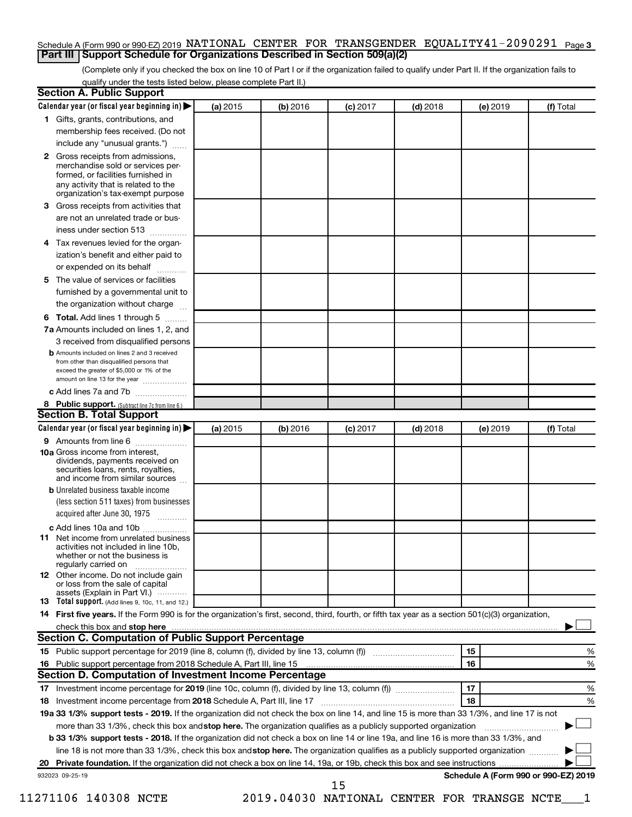#### Schedule A (Form 990 or 990-EZ) 2019 NATIONAL CENTER FOR TRANSGENDER EQUALITY41-2090291 <sub>Page 3</sub> **Part III Support Schedule for Organizations Described in Section 509(a)(2)**

(Complete only if you checked the box on line 10 of Part I or if the organization failed to qualify under Part II. If the organization fails to qualify under the tests listed below, please complete Part II.)

| <b>Section A. Public Support</b>                                                                                                                                                         |          |          |            |            |          |                                      |
|------------------------------------------------------------------------------------------------------------------------------------------------------------------------------------------|----------|----------|------------|------------|----------|--------------------------------------|
| Calendar year (or fiscal year beginning in)                                                                                                                                              | (a) 2015 | (b) 2016 | $(c)$ 2017 | $(d)$ 2018 | (e) 2019 | (f) Total                            |
| 1 Gifts, grants, contributions, and                                                                                                                                                      |          |          |            |            |          |                                      |
| membership fees received. (Do not                                                                                                                                                        |          |          |            |            |          |                                      |
| include any "unusual grants.")                                                                                                                                                           |          |          |            |            |          |                                      |
| 2 Gross receipts from admissions,<br>merchandise sold or services per-<br>formed, or facilities furnished in<br>any activity that is related to the<br>organization's tax-exempt purpose |          |          |            |            |          |                                      |
| <b>3</b> Gross receipts from activities that                                                                                                                                             |          |          |            |            |          |                                      |
| are not an unrelated trade or bus-                                                                                                                                                       |          |          |            |            |          |                                      |
| iness under section 513                                                                                                                                                                  |          |          |            |            |          |                                      |
| 4 Tax revenues levied for the organ-                                                                                                                                                     |          |          |            |            |          |                                      |
| ization's benefit and either paid to                                                                                                                                                     |          |          |            |            |          |                                      |
| or expended on its behalf                                                                                                                                                                |          |          |            |            |          |                                      |
| 5 The value of services or facilities                                                                                                                                                    |          |          |            |            |          |                                      |
| furnished by a governmental unit to                                                                                                                                                      |          |          |            |            |          |                                      |
| the organization without charge                                                                                                                                                          |          |          |            |            |          |                                      |
| <b>6 Total.</b> Add lines 1 through 5                                                                                                                                                    |          |          |            |            |          |                                      |
| 7a Amounts included on lines 1, 2, and                                                                                                                                                   |          |          |            |            |          |                                      |
| 3 received from disqualified persons                                                                                                                                                     |          |          |            |            |          |                                      |
| <b>b</b> Amounts included on lines 2 and 3 received<br>from other than disqualified persons that<br>exceed the greater of \$5,000 or 1% of the<br>amount on line 13 for the year         |          |          |            |            |          |                                      |
| c Add lines 7a and 7b                                                                                                                                                                    |          |          |            |            |          |                                      |
| 8 Public support. (Subtract line 7c from line 6.)                                                                                                                                        |          |          |            |            |          |                                      |
| <b>Section B. Total Support</b>                                                                                                                                                          |          |          |            |            |          |                                      |
| Calendar year (or fiscal year beginning in)                                                                                                                                              | (a) 2015 | (b) 2016 | $(c)$ 2017 | $(d)$ 2018 | (e) 2019 | (f) Total                            |
| <b>9</b> Amounts from line 6                                                                                                                                                             |          |          |            |            |          |                                      |
| <b>10a</b> Gross income from interest,<br>dividends, payments received on<br>securities loans, rents, royalties,<br>and income from similar sources                                      |          |          |            |            |          |                                      |
| <b>b</b> Unrelated business taxable income                                                                                                                                               |          |          |            |            |          |                                      |
| (less section 511 taxes) from businesses                                                                                                                                                 |          |          |            |            |          |                                      |
| acquired after June 30, 1975<br>$\overline{\phantom{a}}$                                                                                                                                 |          |          |            |            |          |                                      |
| c Add lines 10a and 10b                                                                                                                                                                  |          |          |            |            |          |                                      |
| <b>11</b> Net income from unrelated business<br>activities not included in line 10b.<br>whether or not the business is<br>regularly carried on                                           |          |          |            |            |          |                                      |
| <b>12</b> Other income. Do not include gain<br>or loss from the sale of capital<br>assets (Explain in Part VI.)                                                                          |          |          |            |            |          |                                      |
| <b>13</b> Total support. (Add lines 9, 10c, 11, and 12.)                                                                                                                                 |          |          |            |            |          |                                      |
| 14 First five years. If the Form 990 is for the organization's first, second, third, fourth, or fifth tax year as a section 501(c)(3) organization,                                      |          |          |            |            |          |                                      |
|                                                                                                                                                                                          |          |          |            |            |          |                                      |
| <b>Section C. Computation of Public Support Percentage</b>                                                                                                                               |          |          |            |            |          |                                      |
| 15 Public support percentage for 2019 (line 8, column (f), divided by line 13, column (f) <i>manumeronominimal</i>                                                                       |          |          |            |            | 15       | ℅                                    |
| 16 Public support percentage from 2018 Schedule A, Part III, line 15                                                                                                                     |          |          |            |            | 16       | %                                    |
| Section D. Computation of Investment Income Percentage                                                                                                                                   |          |          |            |            |          |                                      |
| 17 Investment income percentage for 2019 (line 10c, column (f), divided by line 13, column (f))                                                                                          |          |          |            |            | 17       | %                                    |
| 18 Investment income percentage from 2018 Schedule A, Part III, line 17                                                                                                                  |          |          |            |            | 18       | %                                    |
| 19a 33 1/3% support tests - 2019. If the organization did not check the box on line 14, and line 15 is more than 33 1/3%, and line 17 is not                                             |          |          |            |            |          |                                      |
| more than 33 1/3%, check this box and stop here. The organization qualifies as a publicly supported organization                                                                         |          |          |            |            |          |                                      |
| b 33 1/3% support tests - 2018. If the organization did not check a box on line 14 or line 19a, and line 16 is more than 33 1/3%, and                                                    |          |          |            |            |          |                                      |
| line 18 is not more than 33 1/3%, check this box and stop here. The organization qualifies as a publicly supported organization                                                          |          |          |            |            |          |                                      |
|                                                                                                                                                                                          |          |          |            |            |          |                                      |
| 932023 09-25-19                                                                                                                                                                          |          |          | 15         |            |          | Schedule A (Form 990 or 990-EZ) 2019 |

11271106 140308 NCTE 2019.04030 NATIONAL CENTER FOR TRANSGE NCTE\_\_\_1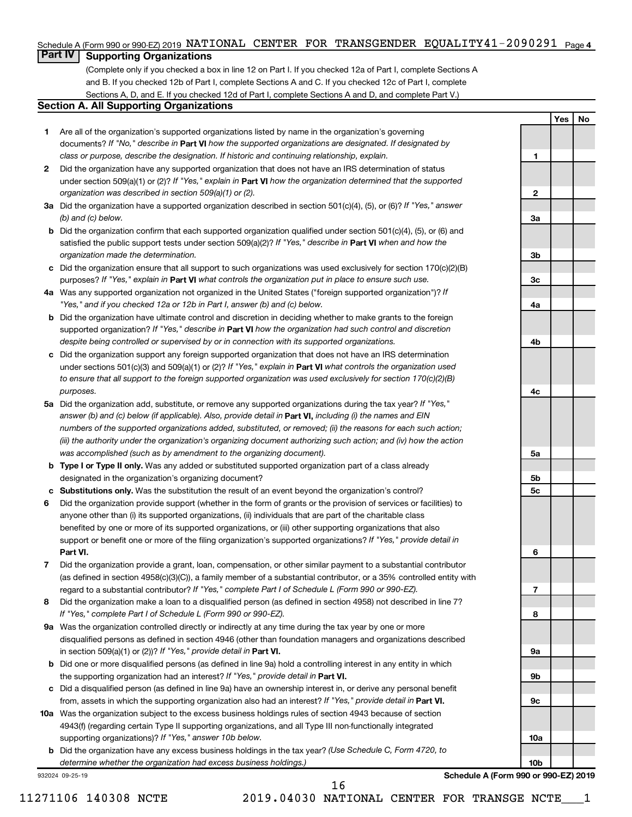#### Schedule A (Form 990 or 990-EZ) 2019 NATIONAL CENTER FOR TRANSGENDER EQUALITY41-2090291 <sub>Page 4</sub>

## **Part IV Supporting Organizations**

(Complete only if you checked a box in line 12 on Part I. If you checked 12a of Part I, complete Sections A and B. If you checked 12b of Part I, complete Sections A and C. If you checked 12c of Part I, complete Sections A, D, and E. If you checked 12d of Part I, complete Sections A and D, and complete Part V.)

#### **Section A. All Supporting Organizations**

- **1** Are all of the organization's supported organizations listed by name in the organization's governing documents? If "No," describe in Part VI how the supported organizations are designated. If designated by *class or purpose, describe the designation. If historic and continuing relationship, explain.*
- **2** Did the organization have any supported organization that does not have an IRS determination of status under section 509(a)(1) or (2)? If "Yes," explain in Part **VI** how the organization determined that the supported *organization was described in section 509(a)(1) or (2).*
- **3a** Did the organization have a supported organization described in section 501(c)(4), (5), or (6)? If "Yes," answer *(b) and (c) below.*
- **b** Did the organization confirm that each supported organization qualified under section 501(c)(4), (5), or (6) and satisfied the public support tests under section 509(a)(2)? If "Yes," describe in Part VI when and how the *organization made the determination.*
- **c** Did the organization ensure that all support to such organizations was used exclusively for section 170(c)(2)(B) purposes? If "Yes," explain in Part VI what controls the organization put in place to ensure such use.
- **4 a** *If* Was any supported organization not organized in the United States ("foreign supported organization")? *"Yes," and if you checked 12a or 12b in Part I, answer (b) and (c) below.*
- **b** Did the organization have ultimate control and discretion in deciding whether to make grants to the foreign supported organization? If "Yes," describe in Part VI how the organization had such control and discretion *despite being controlled or supervised by or in connection with its supported organizations.*
- **c** Did the organization support any foreign supported organization that does not have an IRS determination under sections 501(c)(3) and 509(a)(1) or (2)? If "Yes," explain in Part VI what controls the organization used *to ensure that all support to the foreign supported organization was used exclusively for section 170(c)(2)(B) purposes.*
- **5a** Did the organization add, substitute, or remove any supported organizations during the tax year? If "Yes," answer (b) and (c) below (if applicable). Also, provide detail in **Part VI,** including (i) the names and EIN *numbers of the supported organizations added, substituted, or removed; (ii) the reasons for each such action; (iii) the authority under the organization's organizing document authorizing such action; and (iv) how the action was accomplished (such as by amendment to the organizing document).*
- **b Type I or Type II only.** Was any added or substituted supported organization part of a class already designated in the organization's organizing document?
- **c Substitutions only.**  Was the substitution the result of an event beyond the organization's control?
- **6** Did the organization provide support (whether in the form of grants or the provision of services or facilities) to **Part VI.** support or benefit one or more of the filing organization's supported organizations? If "Yes," provide detail in anyone other than (i) its supported organizations, (ii) individuals that are part of the charitable class benefited by one or more of its supported organizations, or (iii) other supporting organizations that also
- **7** Did the organization provide a grant, loan, compensation, or other similar payment to a substantial contributor regard to a substantial contributor? If "Yes," complete Part I of Schedule L (Form 990 or 990-EZ). (as defined in section 4958(c)(3)(C)), a family member of a substantial contributor, or a 35% controlled entity with
- **8** Did the organization make a loan to a disqualified person (as defined in section 4958) not described in line 7? *If "Yes," complete Part I of Schedule L (Form 990 or 990-EZ).*
- **9 a** Was the organization controlled directly or indirectly at any time during the tax year by one or more in section 509(a)(1) or (2))? If "Yes," provide detail in **Part VI.** disqualified persons as defined in section 4946 (other than foundation managers and organizations described
- **b** Did one or more disqualified persons (as defined in line 9a) hold a controlling interest in any entity in which the supporting organization had an interest? If "Yes," provide detail in Part VI.
- **c** Did a disqualified person (as defined in line 9a) have an ownership interest in, or derive any personal benefit from, assets in which the supporting organization also had an interest? If "Yes," provide detail in Part VI.
- **10 a** Was the organization subject to the excess business holdings rules of section 4943 because of section supporting organizations)? If "Yes," answer 10b below. 4943(f) (regarding certain Type II supporting organizations, and all Type III non-functionally integrated
	- **b** Did the organization have any excess business holdings in the tax year? (Use Schedule C, Form 4720, to *determine whether the organization had excess business holdings.)*

932024 09-25-19

**Schedule A (Form 990 or 990-EZ) 2019**

**Yes No**

**1**

**2**

**3a**

**3b**

**3c**

**4a**

**4b**

**4c**

**5a**

**5b 5c**

**6**

**7**

**8**

**9a**

**9b**

**9c**

**10a**

**10b**

16

11271106 140308 NCTE 2019.04030 NATIONAL CENTER FOR TRANSGE NCTE\_\_\_1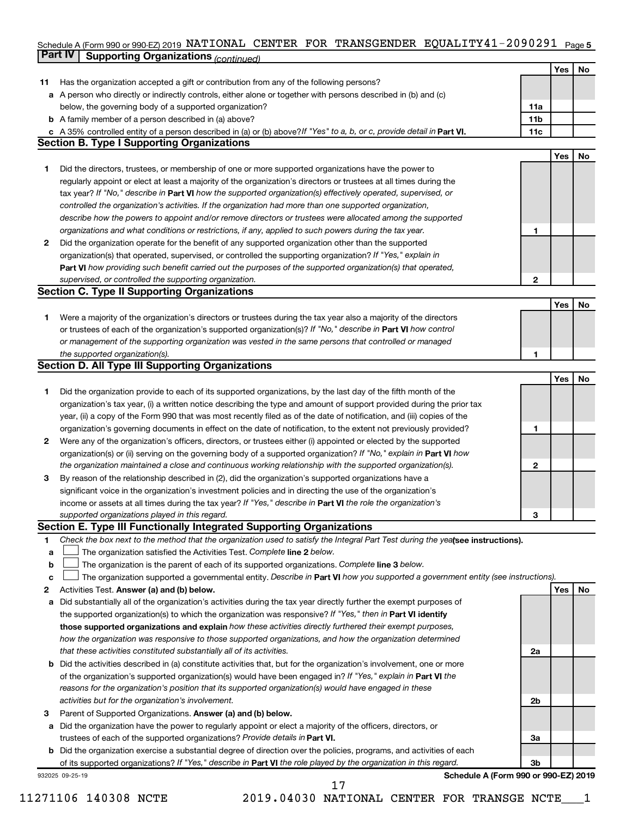#### Schedule A (Form 990 or 990-EZ) 2019 NATIONAL CENTER FOR TRANSGENDER EQUALITY4I-2090291 Page 5 **Part IV Supporting Organizations** *(continued)* NATIONAL CENTER FOR TRANSGENDER EQUALITY41-2090291

|              |                                                                                                                                 |     | Yes | No        |
|--------------|---------------------------------------------------------------------------------------------------------------------------------|-----|-----|-----------|
| 11           | Has the organization accepted a gift or contribution from any of the following persons?                                         |     |     |           |
| а            | A person who directly or indirectly controls, either alone or together with persons described in (b) and (c)                    |     |     |           |
|              | below, the governing body of a supported organization?                                                                          | 11a |     |           |
| b            | A family member of a person described in (a) above?                                                                             | 11b |     |           |
|              | c A 35% controlled entity of a person described in (a) or (b) above? If "Yes" to a, b, or c, provide detail in Part VI.         | 11c |     |           |
|              | <b>Section B. Type I Supporting Organizations</b>                                                                               |     |     |           |
|              |                                                                                                                                 |     | Yes | <b>No</b> |
| 1.           | Did the directors, trustees, or membership of one or more supported organizations have the power to                             |     |     |           |
|              | regularly appoint or elect at least a majority of the organization's directors or trustees at all times during the              |     |     |           |
|              | tax year? If "No," describe in Part VI how the supported organization(s) effectively operated, supervised, or                   |     |     |           |
|              | controlled the organization's activities. If the organization had more than one supported organization,                         |     |     |           |
|              | describe how the powers to appoint and/or remove directors or trustees were allocated among the supported                       |     |     |           |
|              | organizations and what conditions or restrictions, if any, applied to such powers during the tax year.                          | 1   |     |           |
| $\mathbf{2}$ | Did the organization operate for the benefit of any supported organization other than the supported                             |     |     |           |
|              | organization(s) that operated, supervised, or controlled the supporting organization? If "Yes," explain in                      |     |     |           |
|              | Part VI how providing such benefit carried out the purposes of the supported organization(s) that operated,                     |     |     |           |
|              | supervised, or controlled the supporting organization.                                                                          | 2   |     |           |
|              | <b>Section C. Type II Supporting Organizations</b>                                                                              |     |     |           |
|              |                                                                                                                                 |     | Yes | No        |
|              | Were a majority of the organization's directors or trustees during the tax year also a majority of the directors                |     |     |           |
| 1.           | or trustees of each of the organization's supported organization(s)? If "No," describe in Part VI how control                   |     |     |           |
|              |                                                                                                                                 |     |     |           |
|              | or management of the supporting organization was vested in the same persons that controlled or managed                          |     |     |           |
|              | the supported organization(s).<br><b>Section D. All Type III Supporting Organizations</b>                                       | 1   |     |           |
|              |                                                                                                                                 |     |     |           |
|              |                                                                                                                                 |     | Yes | No        |
| 1.           | Did the organization provide to each of its supported organizations, by the last day of the fifth month of the                  |     |     |           |
|              | organization's tax year, (i) a written notice describing the type and amount of support provided during the prior tax           |     |     |           |
|              | year, (ii) a copy of the Form 990 that was most recently filed as of the date of notification, and (iii) copies of the          |     |     |           |
|              | organization's governing documents in effect on the date of notification, to the extent not previously provided?                | 1   |     |           |
| 2            | Were any of the organization's officers, directors, or trustees either (i) appointed or elected by the supported                |     |     |           |
|              | organization(s) or (ii) serving on the governing body of a supported organization? If "No," explain in Part VI how              |     |     |           |
|              | the organization maintained a close and continuous working relationship with the supported organization(s).                     | 2   |     |           |
| З            | By reason of the relationship described in (2), did the organization's supported organizations have a                           |     |     |           |
|              | significant voice in the organization's investment policies and in directing the use of the organization's                      |     |     |           |
|              | income or assets at all times during the tax year? If "Yes," describe in Part VI the role the organization's                    |     |     |           |
|              | supported organizations played in this regard.                                                                                  | З   |     |           |
|              | Section E. Type III Functionally Integrated Supporting Organizations                                                            |     |     |           |
| 1            | Check the box next to the method that the organization used to satisfy the Integral Part Test during the yealsee instructions). |     |     |           |
| a            | The organization satisfied the Activities Test. Complete line 2 below.                                                          |     |     |           |
| b            | The organization is the parent of each of its supported organizations. Complete line 3 below.                                   |     |     |           |
| с            | The organization supported a governmental entity. Describe in Part VI how you supported a government entity (see instructions). |     |     |           |
| 2            | Activities Test. Answer (a) and (b) below.                                                                                      |     | Yes | No        |
| a            | Did substantially all of the organization's activities during the tax year directly further the exempt purposes of              |     |     |           |
|              | the supported organization(s) to which the organization was responsive? If "Yes," then in Part VI identify                      |     |     |           |
|              | those supported organizations and explain how these activities directly furthered their exempt purposes,                        |     |     |           |
|              | how the organization was responsive to those supported organizations, and how the organization determined                       |     |     |           |
|              | that these activities constituted substantially all of its activities.                                                          | 2a  |     |           |
| b            | Did the activities described in (a) constitute activities that, but for the organization's involvement, one or more             |     |     |           |
|              | of the organization's supported organization(s) would have been engaged in? If "Yes," explain in Part VI the                    |     |     |           |
|              | reasons for the organization's position that its supported organization(s) would have engaged in these                          |     |     |           |
|              | activities but for the organization's involvement.                                                                              | 2b  |     |           |
| 3            | Parent of Supported Organizations. Answer (a) and (b) below.                                                                    |     |     |           |
| a            | Did the organization have the power to regularly appoint or elect a majority of the officers, directors, or                     |     |     |           |
|              | trustees of each of the supported organizations? Provide details in Part VI.                                                    | За  |     |           |
| b            | Did the organization exercise a substantial degree of direction over the policies, programs, and activities of each             |     |     |           |
|              | of its supported organizations? If "Yes," describe in Part VI the role played by the organization in this regard.               | 3b  |     |           |
|              | Schedule A (Form 990 or 990-EZ) 2019<br>932025 09-25-19                                                                         |     |     |           |
|              |                                                                                                                                 |     |     |           |

11271106 140308 NCTE 2019.04030 NATIONAL CENTER FOR TRANSGE NCTE\_\_\_1

17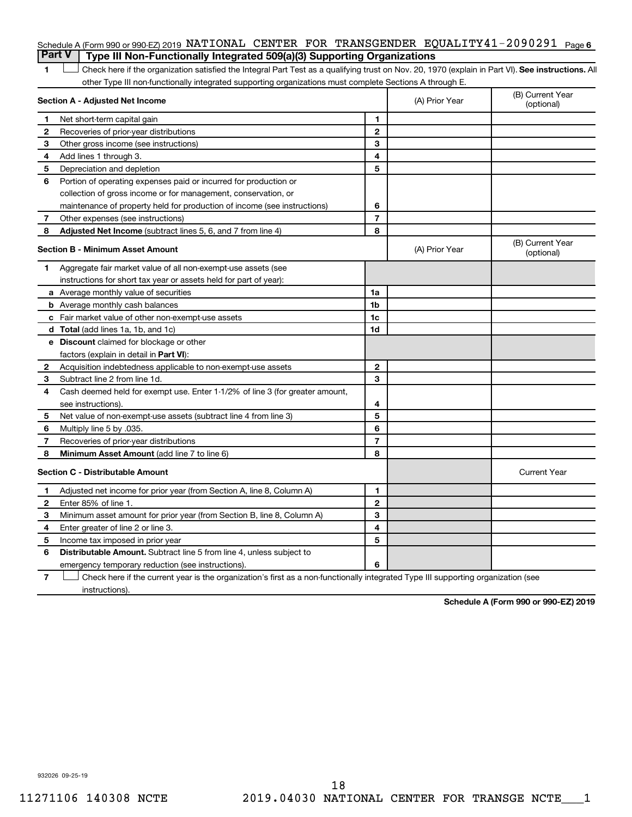#### Schedule A (Form 990 or 990-EZ) 2019 NATIONAL CENTER FOR TRANSGENDER EQUALITY41-2090291 <sub>Page 6</sub> **Part V Type III Non-Functionally Integrated 509(a)(3) Supporting Organizations**

1 **Letter See instructions.** All Check here if the organization satisfied the Integral Part Test as a qualifying trust on Nov. 20, 1970 (explain in Part VI). See instructions. All other Type III non-functionally integrated supporting organizations must complete Sections A through E.

|    | Section A - Adjusted Net Income                                              | (A) Prior Year | (B) Current Year<br>(optional) |                                |
|----|------------------------------------------------------------------------------|----------------|--------------------------------|--------------------------------|
| 1. | Net short-term capital gain                                                  | 1              |                                |                                |
| 2  | Recoveries of prior-year distributions                                       | $\mathbf 2$    |                                |                                |
| 3  | Other gross income (see instructions)                                        | 3              |                                |                                |
| 4  | Add lines 1 through 3.                                                       | 4              |                                |                                |
| 5  | Depreciation and depletion                                                   | 5              |                                |                                |
| 6  | Portion of operating expenses paid or incurred for production or             |                |                                |                                |
|    | collection of gross income or for management, conservation, or               |                |                                |                                |
|    | maintenance of property held for production of income (see instructions)     | 6              |                                |                                |
| 7  | Other expenses (see instructions)                                            | $\overline{7}$ |                                |                                |
| 8  | Adjusted Net Income (subtract lines 5, 6, and 7 from line 4)                 | 8              |                                |                                |
|    | <b>Section B - Minimum Asset Amount</b>                                      |                | (A) Prior Year                 | (B) Current Year<br>(optional) |
| 1  | Aggregate fair market value of all non-exempt-use assets (see                |                |                                |                                |
|    | instructions for short tax year or assets held for part of year):            |                |                                |                                |
|    | a Average monthly value of securities                                        | 1a             |                                |                                |
|    | <b>b</b> Average monthly cash balances                                       | 1b             |                                |                                |
|    | <b>c</b> Fair market value of other non-exempt-use assets                    | 1c             |                                |                                |
|    | d Total (add lines 1a, 1b, and 1c)                                           | 1 <sub>d</sub> |                                |                                |
|    | e Discount claimed for blockage or other                                     |                |                                |                                |
|    | factors (explain in detail in Part VI):                                      |                |                                |                                |
| 2  | Acquisition indebtedness applicable to non-exempt-use assets                 | $\mathbf{2}$   |                                |                                |
| 3  | Subtract line 2 from line 1d.                                                | 3              |                                |                                |
| 4  | Cash deemed held for exempt use. Enter 1-1/2% of line 3 (for greater amount, |                |                                |                                |
|    | see instructions)                                                            | 4              |                                |                                |
| 5  | Net value of non-exempt-use assets (subtract line 4 from line 3)             | 5              |                                |                                |
| 6  | Multiply line 5 by .035.                                                     | 6              |                                |                                |
| 7  | Recoveries of prior-year distributions                                       | $\overline{7}$ |                                |                                |
| 8  | Minimum Asset Amount (add line 7 to line 6)                                  | 8              |                                |                                |
|    | <b>Section C - Distributable Amount</b>                                      |                |                                | <b>Current Year</b>            |
| 1  | Adjusted net income for prior year (from Section A, line 8, Column A)        | 1              |                                |                                |
| 2  | Enter 85% of line 1.                                                         | $\overline{2}$ |                                |                                |
| З  | Minimum asset amount for prior year (from Section B, line 8, Column A)       | 3              |                                |                                |
| 4  | Enter greater of line 2 or line 3.                                           | 4              |                                |                                |
| 5  | Income tax imposed in prior year                                             | 5              |                                |                                |
| 6  | <b>Distributable Amount.</b> Subtract line 5 from line 4, unless subject to  |                |                                |                                |
|    | emergency temporary reduction (see instructions).                            | 6              |                                |                                |
|    |                                                                              |                |                                |                                |

**7** Check here if the current year is the organization's first as a non-functionally integrated Type III supporting organization (see † instructions).

**Schedule A (Form 990 or 990-EZ) 2019**

932026 09-25-19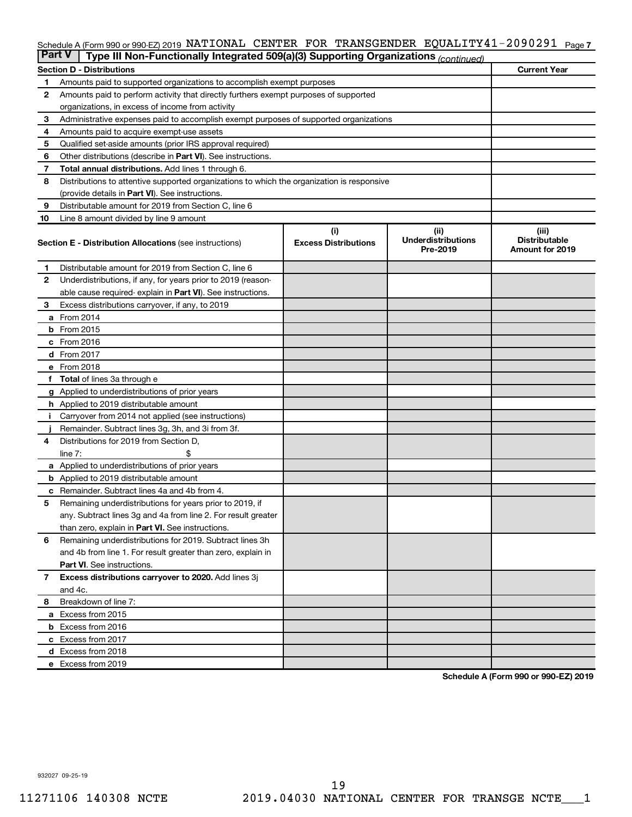#### Schedule A (Form 990 or 990-EZ) 2019 NATIONAL CENTER FOR TRANSGENDER EQUALITY41-2090291 <sub>Page 7</sub>

|              | <b>Part V</b><br>Type III Non-Functionally Integrated 509(a)(3) Supporting Organizations (continued) |                             |                                       |                                                |  |  |  |  |  |
|--------------|------------------------------------------------------------------------------------------------------|-----------------------------|---------------------------------------|------------------------------------------------|--|--|--|--|--|
|              | <b>Current Year</b><br><b>Section D - Distributions</b>                                              |                             |                                       |                                                |  |  |  |  |  |
| 1            | Amounts paid to supported organizations to accomplish exempt purposes                                |                             |                                       |                                                |  |  |  |  |  |
| $\mathbf{2}$ | Amounts paid to perform activity that directly furthers exempt purposes of supported                 |                             |                                       |                                                |  |  |  |  |  |
|              | organizations, in excess of income from activity                                                     |                             |                                       |                                                |  |  |  |  |  |
| 3            | Administrative expenses paid to accomplish exempt purposes of supported organizations                |                             |                                       |                                                |  |  |  |  |  |
| 4            | Amounts paid to acquire exempt-use assets                                                            |                             |                                       |                                                |  |  |  |  |  |
| 5            | Qualified set-aside amounts (prior IRS approval required)                                            |                             |                                       |                                                |  |  |  |  |  |
| 6            | Other distributions (describe in <b>Part VI</b> ). See instructions.                                 |                             |                                       |                                                |  |  |  |  |  |
| 7            | Total annual distributions. Add lines 1 through 6.                                                   |                             |                                       |                                                |  |  |  |  |  |
| 8            | Distributions to attentive supported organizations to which the organization is responsive           |                             |                                       |                                                |  |  |  |  |  |
|              | (provide details in Part VI). See instructions.                                                      |                             |                                       |                                                |  |  |  |  |  |
| 9            | Distributable amount for 2019 from Section C, line 6                                                 |                             |                                       |                                                |  |  |  |  |  |
| 10           | Line 8 amount divided by line 9 amount                                                               |                             |                                       |                                                |  |  |  |  |  |
|              |                                                                                                      | (i)                         | (ii)                                  | (iii)                                          |  |  |  |  |  |
|              | <b>Section E - Distribution Allocations (see instructions)</b>                                       | <b>Excess Distributions</b> | <b>Underdistributions</b><br>Pre-2019 | <b>Distributable</b><br><b>Amount for 2019</b> |  |  |  |  |  |
| 1            | Distributable amount for 2019 from Section C, line 6                                                 |                             |                                       |                                                |  |  |  |  |  |
| $\mathbf{2}$ | Underdistributions, if any, for years prior to 2019 (reason-                                         |                             |                                       |                                                |  |  |  |  |  |
|              | able cause required-explain in Part VI). See instructions.                                           |                             |                                       |                                                |  |  |  |  |  |
| 3            | Excess distributions carryover, if any, to 2019                                                      |                             |                                       |                                                |  |  |  |  |  |
|              | a From 2014                                                                                          |                             |                                       |                                                |  |  |  |  |  |
|              | <b>b</b> From 2015                                                                                   |                             |                                       |                                                |  |  |  |  |  |
|              | c From 2016                                                                                          |                             |                                       |                                                |  |  |  |  |  |
|              | <b>d</b> From 2017                                                                                   |                             |                                       |                                                |  |  |  |  |  |
|              | e From 2018                                                                                          |                             |                                       |                                                |  |  |  |  |  |
|              | f Total of lines 3a through e                                                                        |                             |                                       |                                                |  |  |  |  |  |
|              | <b>g</b> Applied to underdistributions of prior years                                                |                             |                                       |                                                |  |  |  |  |  |
|              | h Applied to 2019 distributable amount                                                               |                             |                                       |                                                |  |  |  |  |  |
| Ť.           | Carryover from 2014 not applied (see instructions)                                                   |                             |                                       |                                                |  |  |  |  |  |
|              | Remainder. Subtract lines 3g, 3h, and 3i from 3f.                                                    |                             |                                       |                                                |  |  |  |  |  |
| 4            | Distributions for 2019 from Section D,                                                               |                             |                                       |                                                |  |  |  |  |  |
|              | line $7:$                                                                                            |                             |                                       |                                                |  |  |  |  |  |
|              | a Applied to underdistributions of prior years                                                       |                             |                                       |                                                |  |  |  |  |  |
|              | <b>b</b> Applied to 2019 distributable amount                                                        |                             |                                       |                                                |  |  |  |  |  |
| с            | Remainder. Subtract lines 4a and 4b from 4.                                                          |                             |                                       |                                                |  |  |  |  |  |
| 5            | Remaining underdistributions for years prior to 2019, if                                             |                             |                                       |                                                |  |  |  |  |  |
|              | any. Subtract lines 3g and 4a from line 2. For result greater                                        |                             |                                       |                                                |  |  |  |  |  |
|              | than zero, explain in Part VI. See instructions.                                                     |                             |                                       |                                                |  |  |  |  |  |
| 6            | Remaining underdistributions for 2019. Subtract lines 3h                                             |                             |                                       |                                                |  |  |  |  |  |
|              | and 4b from line 1. For result greater than zero, explain in                                         |                             |                                       |                                                |  |  |  |  |  |
|              | <b>Part VI.</b> See instructions.                                                                    |                             |                                       |                                                |  |  |  |  |  |
| $\mathbf{7}$ | Excess distributions carryover to 2020. Add lines 3j                                                 |                             |                                       |                                                |  |  |  |  |  |
|              | and 4c.                                                                                              |                             |                                       |                                                |  |  |  |  |  |
| 8            | Breakdown of line 7:                                                                                 |                             |                                       |                                                |  |  |  |  |  |
|              | a Excess from 2015                                                                                   |                             |                                       |                                                |  |  |  |  |  |
|              | <b>b</b> Excess from 2016                                                                            |                             |                                       |                                                |  |  |  |  |  |
|              | c Excess from 2017                                                                                   |                             |                                       |                                                |  |  |  |  |  |
|              | d Excess from 2018                                                                                   |                             |                                       |                                                |  |  |  |  |  |
|              | e Excess from 2019                                                                                   |                             |                                       |                                                |  |  |  |  |  |

**Schedule A (Form 990 or 990-EZ) 2019**

932027 09-25-19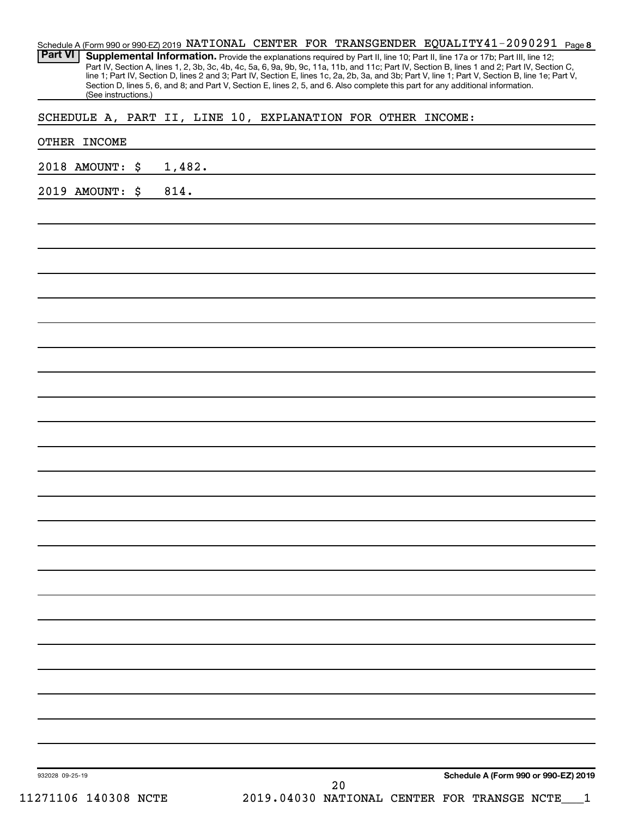| (See instructions.)                                         |              |  |  |  | Section D, lines 5, 6, and 8; and Part V, Section E, lines 2, 5, and 6. Also complete this part for any additional information. |  |
|-------------------------------------------------------------|--------------|--|--|--|---------------------------------------------------------------------------------------------------------------------------------|--|
| SCHEDULE A, PART II, LINE 10, EXPLANATION FOR OTHER INCOME: |              |  |  |  |                                                                                                                                 |  |
| OTHER INCOME                                                |              |  |  |  |                                                                                                                                 |  |
| 2018 AMOUNT:                                                | \$<br>1,482. |  |  |  |                                                                                                                                 |  |
| 2019 AMOUNT:                                                | \$<br>814.   |  |  |  |                                                                                                                                 |  |
|                                                             |              |  |  |  |                                                                                                                                 |  |
|                                                             |              |  |  |  |                                                                                                                                 |  |
|                                                             |              |  |  |  |                                                                                                                                 |  |
|                                                             |              |  |  |  |                                                                                                                                 |  |
|                                                             |              |  |  |  |                                                                                                                                 |  |
|                                                             |              |  |  |  |                                                                                                                                 |  |
|                                                             |              |  |  |  |                                                                                                                                 |  |
|                                                             |              |  |  |  |                                                                                                                                 |  |
|                                                             |              |  |  |  |                                                                                                                                 |  |
|                                                             |              |  |  |  |                                                                                                                                 |  |
|                                                             |              |  |  |  |                                                                                                                                 |  |
|                                                             |              |  |  |  |                                                                                                                                 |  |
|                                                             |              |  |  |  |                                                                                                                                 |  |
|                                                             |              |  |  |  |                                                                                                                                 |  |
|                                                             |              |  |  |  |                                                                                                                                 |  |
|                                                             |              |  |  |  |                                                                                                                                 |  |
|                                                             |              |  |  |  |                                                                                                                                 |  |
|                                                             |              |  |  |  |                                                                                                                                 |  |
|                                                             |              |  |  |  |                                                                                                                                 |  |
|                                                             |              |  |  |  |                                                                                                                                 |  |
|                                                             |              |  |  |  |                                                                                                                                 |  |
|                                                             |              |  |  |  |                                                                                                                                 |  |
|                                                             |              |  |  |  |                                                                                                                                 |  |
|                                                             |              |  |  |  |                                                                                                                                 |  |
|                                                             |              |  |  |  |                                                                                                                                 |  |
|                                                             |              |  |  |  |                                                                                                                                 |  |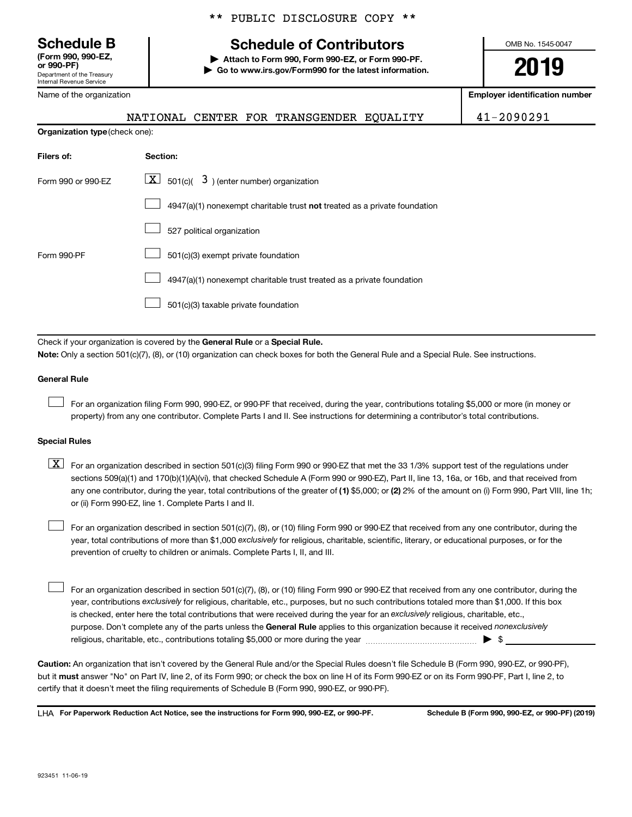**(Form 990, 990-EZ,**

Department of the Treasury Internal Revenue Service

Name of the organization

### \*\* PUBLIC DISCLOSURE COPY \*\*

## **Schedule B Schedule of Contributors**

**or 990-PF) | Attach to Form 990, Form 990-EZ, or Form 990-PF. | Go to www.irs.gov/Form990 for the latest information.** OMB No. 1545-0047

**2019**

**Employer identification number**

NATIONAL CENTER FOR TRANSGENDER EQUALITY 41-2090291

| <b>Organization type (check one):</b> |                                                                                    |  |  |  |  |
|---------------------------------------|------------------------------------------------------------------------------------|--|--|--|--|
| Filers of:                            | Section:                                                                           |  |  |  |  |
| Form 990 or 990-EZ                    | $\lfloor \underline{X} \rfloor$ 501(c)( 3) (enter number) organization             |  |  |  |  |
|                                       | $4947(a)(1)$ nonexempt charitable trust <b>not</b> treated as a private foundation |  |  |  |  |
|                                       | 527 political organization                                                         |  |  |  |  |
| Form 990-PF                           | 501(c)(3) exempt private foundation                                                |  |  |  |  |
|                                       | 4947(a)(1) nonexempt charitable trust treated as a private foundation              |  |  |  |  |
|                                       | 501(c)(3) taxable private foundation                                               |  |  |  |  |

Check if your organization is covered by the General Rule or a Special Rule. **Note:**  Only a section 501(c)(7), (8), or (10) organization can check boxes for both the General Rule and a Special Rule. See instructions.

#### **General Rule**

 $\Box$ 

For an organization filing Form 990, 990-EZ, or 990-PF that received, during the year, contributions totaling \$5,000 or more (in money or property) from any one contributor. Complete Parts I and II. See instructions for determining a contributor's total contributions.

#### **Special Rules**

any one contributor, during the year, total contributions of the greater of (1) \$5,000; or (2) 2% of the amount on (i) Form 990, Part VIII, line 1h;  $\boxed{\text{X}}$  For an organization described in section 501(c)(3) filing Form 990 or 990-EZ that met the 33 1/3% support test of the regulations under sections 509(a)(1) and 170(b)(1)(A)(vi), that checked Schedule A (Form 990 or 990-EZ), Part II, line 13, 16a, or 16b, and that received from or (ii) Form 990-EZ, line 1. Complete Parts I and II.

year, total contributions of more than \$1,000 *exclusively* for religious, charitable, scientific, literary, or educational purposes, or for the For an organization described in section 501(c)(7), (8), or (10) filing Form 990 or 990-EZ that received from any one contributor, during the prevention of cruelty to children or animals. Complete Parts I, II, and III.  $\Box$ 

purpose. Don't complete any of the parts unless the General Rule applies to this organization because it received nonexclusively year, contributions exclusively for religious, charitable, etc., purposes, but no such contributions totaled more than \$1,000. If this box is checked, enter here the total contributions that were received during the year for an exclusively religious, charitable, etc., For an organization described in section 501(c)(7), (8), or (10) filing Form 990 or 990-EZ that received from any one contributor, during the religious, charitable, etc., contributions totaling \$5,000 or more during the year  $\ldots$  $\ldots$  $\ldots$  $\ldots$  $\ldots$  $\ldots$  $\Box$ 

**Caution:**  An organization that isn't covered by the General Rule and/or the Special Rules doesn't file Schedule B (Form 990, 990-EZ, or 990-PF),  **must** but it answer "No" on Part IV, line 2, of its Form 990; or check the box on line H of its Form 990-EZ or on its Form 990-PF, Part I, line 2, to certify that it doesn't meet the filing requirements of Schedule B (Form 990, 990-EZ, or 990-PF).

**For Paperwork Reduction Act Notice, see the instructions for Form 990, 990-EZ, or 990-PF. Schedule B (Form 990, 990-EZ, or 990-PF) (2019)** LHA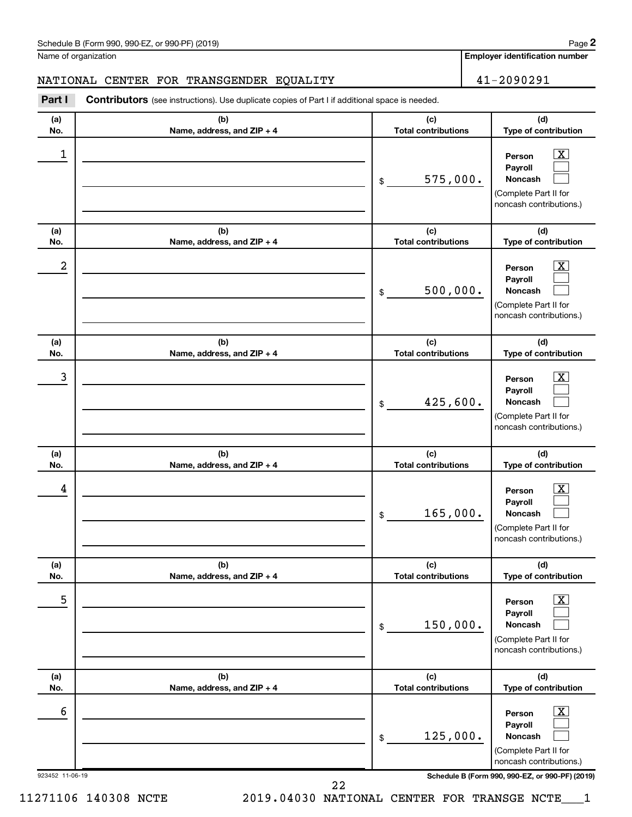| Schedule B (Form 990, 990-EZ, or 990-PF) (2019)<br>$\sqrt{2}$ and $\sqrt{2}$ and $\sqrt{2}$ and $\sqrt{2}$ and $\sqrt{2}$ and $\sqrt{2}$ and $\sqrt{2}$ and $\sqrt{2}$ and $\sqrt{2}$ and $\sqrt{2}$ and $\sqrt{2}$ and $\sqrt{2}$ and $\sqrt{2}$ and $\sqrt{2}$ and $\sqrt{2}$ and $\sqrt{2}$ and $\sqrt{2}$ and $\sqrt{2}$ and $\sqrt{2$ | Page |
|--------------------------------------------------------------------------------------------------------------------------------------------------------------------------------------------------------------------------------------------------------------------------------------------------------------------------------------------|------|
|--------------------------------------------------------------------------------------------------------------------------------------------------------------------------------------------------------------------------------------------------------------------------------------------------------------------------------------------|------|

Name of organization

**2**

NATIONAL CENTER FOR TRANSGENDER EQUALITY 41-2090291

**Employer identification number**

| Part I          | <b>Contributors</b> (see instructions). Use duplicate copies of Part I if additional space is needed. |                                   |                                                                                                                    |
|-----------------|-------------------------------------------------------------------------------------------------------|-----------------------------------|--------------------------------------------------------------------------------------------------------------------|
| (a)<br>No.      | (b)<br>Name, address, and ZIP + 4                                                                     | (c)<br><b>Total contributions</b> | (d)<br>Type of contribution                                                                                        |
| 1               |                                                                                                       | 575,000.<br>\$                    | $\overline{\text{X}}$<br>Person<br>Payroll<br>Noncash<br>(Complete Part II for<br>noncash contributions.)          |
| (a)<br>No.      | (b)<br>Name, address, and ZIP + 4                                                                     | (c)<br><b>Total contributions</b> | (d)<br>Type of contribution                                                                                        |
| 2               |                                                                                                       | 500,000.<br>\$                    | $\overline{\mathbf{X}}$<br>Person<br>Payroll<br>Noncash<br>(Complete Part II for<br>noncash contributions.)        |
| (a)<br>No.      | (b)<br>Name, address, and ZIP + 4                                                                     | (c)<br><b>Total contributions</b> | (d)<br>Type of contribution                                                                                        |
| 3               |                                                                                                       | 425,600.<br>\$                    | $\overline{\text{X}}$<br>Person<br>Payroll<br>Noncash<br>(Complete Part II for<br>noncash contributions.)          |
| (a)<br>No.      | (b)<br>Name, address, and ZIP + 4                                                                     | (c)<br><b>Total contributions</b> | (d)<br>Type of contribution                                                                                        |
| 4               |                                                                                                       | 165,000.<br>\$                    | $\overline{\mathbf{X}}$<br>Person<br>Payroll<br>Noncash<br>(Complete Part II for<br>noncash contributions.)        |
| (a)<br>No.      | (b)<br>Name, address, and ZIP + 4                                                                     | (c)<br><b>Total contributions</b> | (d)<br>Type of contribution                                                                                        |
| 5               |                                                                                                       | 150,000.<br>\$                    | $\overline{\mathbf{X}}$<br>Person<br>Payroll<br><b>Noncash</b><br>(Complete Part II for<br>noncash contributions.) |
| (a)<br>No.      | (b)<br>Name, address, and ZIP + 4                                                                     | (c)<br><b>Total contributions</b> | (d)<br>Type of contribution                                                                                        |
| 6               |                                                                                                       | 125,000.<br>\$                    | $\overline{\mathbf{X}}$<br>Person<br>Payroll<br><b>Noncash</b><br>(Complete Part II for<br>noncash contributions.) |
| 923452 11-06-19 |                                                                                                       |                                   | Schedule B (Form 990, 990-EZ, or 990-PF) (2019)                                                                    |

923452 11-06-19 **Schedule B (Form 990, 990-EZ, or 990-PF) (2019)**

11271106 140308 NCTE 2019.04030 NATIONAL CENTER FOR TRANSGE NCTE\_\_\_1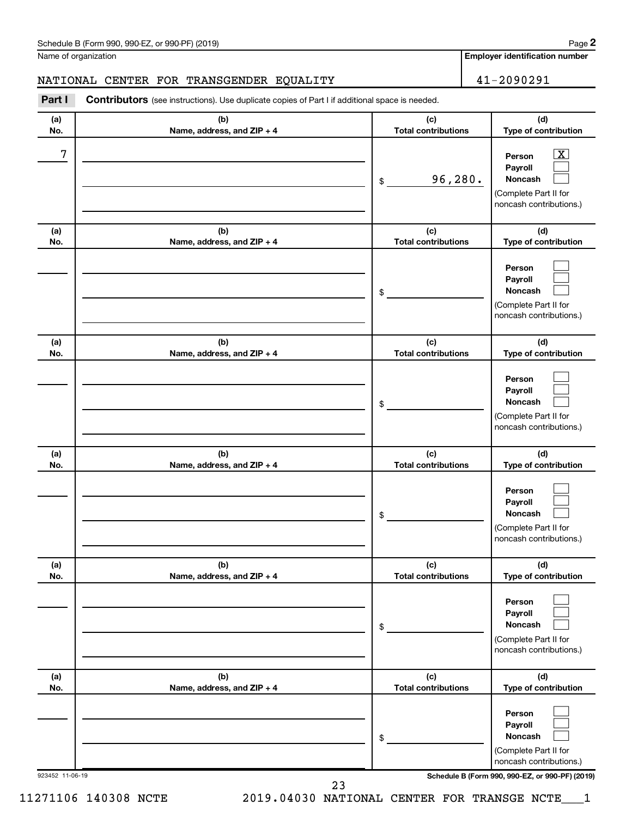| Schedule B (Form 990, 990-EZ, or 990-PF) (2019)<br>$\sqrt{2}$ and $\sqrt{2}$ and $\sqrt{2}$ and $\sqrt{2}$ and $\sqrt{2}$ and $\sqrt{2}$ and $\sqrt{2}$ and $\sqrt{2}$ and $\sqrt{2}$ and $\sqrt{2}$ and $\sqrt{2}$ and $\sqrt{2}$ and $\sqrt{2}$ and $\sqrt{2}$ and $\sqrt{2}$ and $\sqrt{2}$ and $\sqrt{2}$ and $\sqrt{2}$ and $\sqrt{2$ | Page |
|--------------------------------------------------------------------------------------------------------------------------------------------------------------------------------------------------------------------------------------------------------------------------------------------------------------------------------------------|------|
|--------------------------------------------------------------------------------------------------------------------------------------------------------------------------------------------------------------------------------------------------------------------------------------------------------------------------------------------|------|

Name of organization

**Employer identification number**

NATIONAL CENTER FOR TRANSGENDER EQUALITY 41-2090291

| Part I          | <b>Contributors</b> (see instructions). Use duplicate copies of Part I if additional space is needed. |                                   |                                                                                                         |
|-----------------|-------------------------------------------------------------------------------------------------------|-----------------------------------|---------------------------------------------------------------------------------------------------------|
| (a)<br>No.      | (b)<br>Name, address, and ZIP + 4                                                                     | (c)<br><b>Total contributions</b> | (d)<br>Type of contribution                                                                             |
| 7               |                                                                                                       | 96,280.<br>\$                     | $\mathbf{X}$<br>Person<br>Payroll<br><b>Noncash</b><br>(Complete Part II for<br>noncash contributions.) |
| (a)<br>No.      | (b)<br>Name, address, and ZIP + 4                                                                     | (c)<br><b>Total contributions</b> | (d)<br>Type of contribution                                                                             |
|                 |                                                                                                       | \$                                | Person<br>Payroll<br>Noncash<br>(Complete Part II for<br>noncash contributions.)                        |
| (a)<br>No.      | (b)<br>Name, address, and ZIP + 4                                                                     | (c)<br><b>Total contributions</b> | (d)<br>Type of contribution                                                                             |
|                 |                                                                                                       | \$                                | Person<br>Payroll<br>Noncash<br>(Complete Part II for<br>noncash contributions.)                        |
| (a)<br>No.      | (b)<br>Name, address, and ZIP + 4                                                                     | (c)<br><b>Total contributions</b> | (d)<br>Type of contribution                                                                             |
|                 |                                                                                                       | \$                                | Person<br>Payroll<br>Noncash<br>(Complete Part II for<br>noncash contributions.)                        |
| (a)<br>No.      | (b)<br>Name, address, and ZIP + 4                                                                     | (c)<br><b>Total contributions</b> | (d)<br>Type of contribution                                                                             |
|                 |                                                                                                       | $\,$                              | Person<br>Payroll<br><b>Noncash</b><br>(Complete Part II for<br>noncash contributions.)                 |
| (a)<br>No.      | (b)<br>Name, address, and ZIP + 4                                                                     | (c)<br><b>Total contributions</b> | (d)<br>Type of contribution                                                                             |
|                 |                                                                                                       | \$                                | Person<br>Payroll<br><b>Noncash</b><br>(Complete Part II for<br>noncash contributions.)                 |
| 923452 11-06-19 |                                                                                                       |                                   | Schedule B (Form 990, 990-EZ, or 990-PF) (2019)                                                         |

23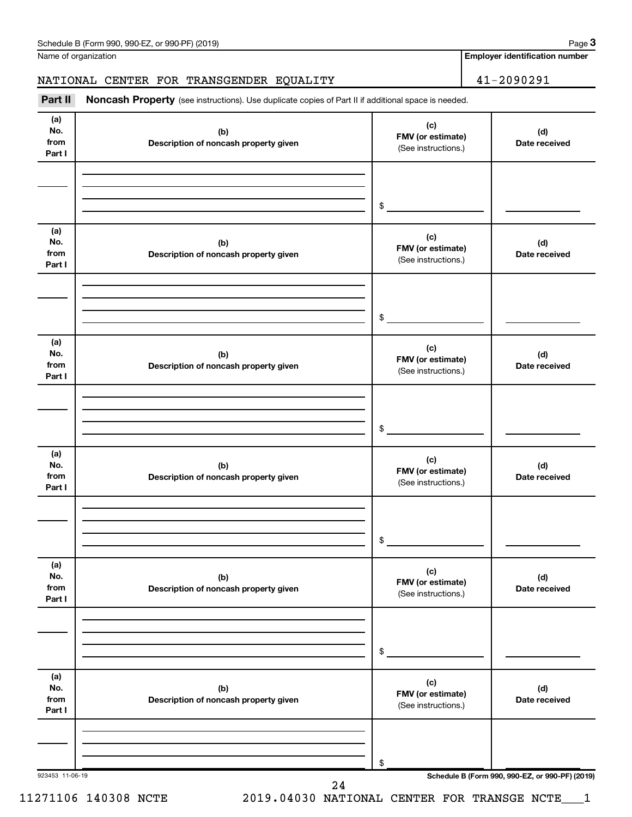Name of organization

#### NATIONAL CENTER FOR TRANSGENDER EQUALITY 41-2090291

Part II Noncash Property (see instructions). Use duplicate copies of Part II if additional space is needed.

| (a)<br>No.<br>from<br>Part I | (b)<br>Description of noncash property given | (c)<br>FMV (or estimate)<br>(See instructions.) | (d)<br>Date received                            |
|------------------------------|----------------------------------------------|-------------------------------------------------|-------------------------------------------------|
|                              |                                              | $\frac{1}{2}$                                   |                                                 |
|                              |                                              |                                                 |                                                 |
| (a)<br>No.<br>from<br>Part I | (b)<br>Description of noncash property given | (c)<br>FMV (or estimate)<br>(See instructions.) | (d)<br>Date received                            |
|                              |                                              |                                                 |                                                 |
|                              |                                              | \$                                              |                                                 |
| (a)<br>No.<br>from<br>Part I | (b)<br>Description of noncash property given | (c)<br>FMV (or estimate)<br>(See instructions.) | (d)<br>Date received                            |
|                              |                                              | \$                                              |                                                 |
| (a)<br>No.<br>from<br>Part I | (b)<br>Description of noncash property given | (c)<br>FMV (or estimate)<br>(See instructions.) | (d)<br>Date received                            |
|                              |                                              | \$                                              |                                                 |
| (a)<br>No.<br>from<br>Part I | (b)<br>Description of noncash property given | (c)<br>FMV (or estimate)<br>(See instructions.) | (d)<br>Date received                            |
|                              |                                              | \$                                              |                                                 |
| (a)<br>No.<br>from<br>Part I | (b)<br>Description of noncash property given | (c)<br>FMV (or estimate)<br>(See instructions.) | (d)<br>Date received                            |
|                              |                                              | \$                                              |                                                 |
| 923453 11-06-19              | 24                                           |                                                 | Schedule B (Form 990, 990-EZ, or 990-PF) (2019) |

**Employer identification number**

11271106 140308 NCTE 2019.04030 NATIONAL CENTER FOR TRANSGE NCTE\_\_\_1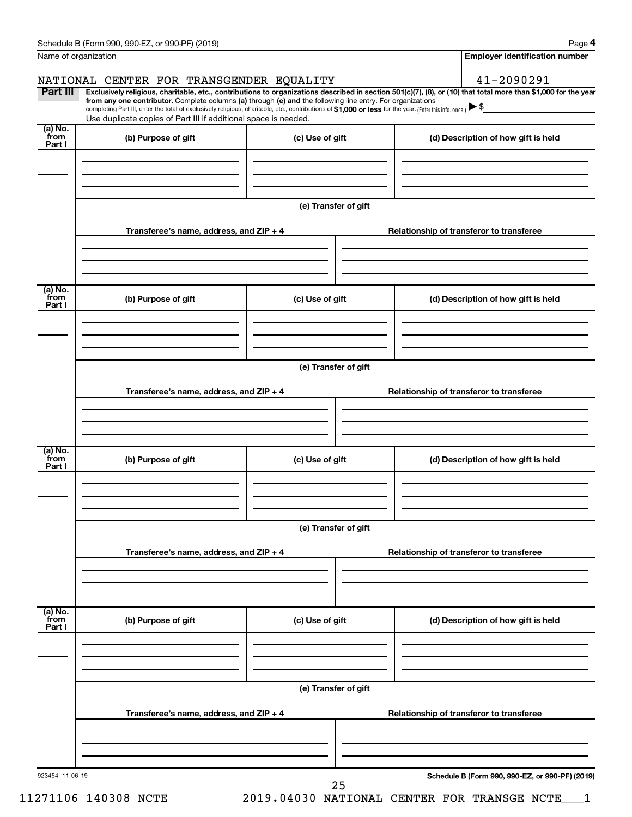| Name of organization                   |                                                                                                                                                                                                                             |                      | <b>Employer identification number</b>                                                                                                                          |
|----------------------------------------|-----------------------------------------------------------------------------------------------------------------------------------------------------------------------------------------------------------------------------|----------------------|----------------------------------------------------------------------------------------------------------------------------------------------------------------|
|                                        | NATIONAL CENTER FOR TRANSGENDER EQUALITY                                                                                                                                                                                    |                      | 41-2090291                                                                                                                                                     |
| Part III                               | from any one contributor. Complete columns (a) through (e) and the following line entry. For organizations                                                                                                                  |                      | Exclusively religious, charitable, etc., contributions to organizations described in section 501(c)(7), (8), or (10) that total more than \$1,000 for the year |
|                                        | completing Part III, enter the total of exclusively religious, charitable, etc., contributions of \$1,000 or less for the year. (Enter this info. once.)<br>Use duplicate copies of Part III if additional space is needed. |                      |                                                                                                                                                                |
| $\overline{a}$ ) No.<br>from<br>Part I | (b) Purpose of gift                                                                                                                                                                                                         | (c) Use of gift      | (d) Description of how gift is held                                                                                                                            |
|                                        |                                                                                                                                                                                                                             |                      |                                                                                                                                                                |
|                                        |                                                                                                                                                                                                                             |                      |                                                                                                                                                                |
|                                        |                                                                                                                                                                                                                             | (e) Transfer of gift |                                                                                                                                                                |
|                                        | Transferee's name, address, and ZIP + 4                                                                                                                                                                                     |                      | Relationship of transferor to transferee                                                                                                                       |
|                                        |                                                                                                                                                                                                                             |                      |                                                                                                                                                                |
| $\overline{a}$ ) No.<br>from           | (b) Purpose of gift                                                                                                                                                                                                         | (c) Use of gift      | (d) Description of how gift is held                                                                                                                            |
| Part I                                 |                                                                                                                                                                                                                             |                      |                                                                                                                                                                |
|                                        |                                                                                                                                                                                                                             |                      |                                                                                                                                                                |
|                                        |                                                                                                                                                                                                                             | (e) Transfer of gift |                                                                                                                                                                |
|                                        | Transferee's name, address, and ZIP + 4                                                                                                                                                                                     |                      | Relationship of transferor to transferee                                                                                                                       |
|                                        |                                                                                                                                                                                                                             |                      |                                                                                                                                                                |
| $\overline{a}$ ) No.                   |                                                                                                                                                                                                                             |                      |                                                                                                                                                                |
| from<br>Part I                         | (b) Purpose of gift                                                                                                                                                                                                         | (c) Use of gift      | (d) Description of how gift is held                                                                                                                            |
|                                        |                                                                                                                                                                                                                             |                      |                                                                                                                                                                |
|                                        |                                                                                                                                                                                                                             | (e) Transfer of gift |                                                                                                                                                                |
|                                        |                                                                                                                                                                                                                             |                      |                                                                                                                                                                |
|                                        | Transferee's name, address, and $ZIP + 4$                                                                                                                                                                                   |                      | Relationship of transferor to transferee                                                                                                                       |
|                                        |                                                                                                                                                                                                                             |                      |                                                                                                                                                                |
| (a) No.<br>from<br>Part I              | (b) Purpose of gift                                                                                                                                                                                                         | (c) Use of gift      | (d) Description of how gift is held                                                                                                                            |
|                                        |                                                                                                                                                                                                                             |                      |                                                                                                                                                                |
|                                        |                                                                                                                                                                                                                             |                      |                                                                                                                                                                |
|                                        |                                                                                                                                                                                                                             | (e) Transfer of gift |                                                                                                                                                                |
|                                        | Transferee's name, address, and ZIP + 4                                                                                                                                                                                     |                      | Relationship of transferor to transferee                                                                                                                       |
|                                        |                                                                                                                                                                                                                             |                      |                                                                                                                                                                |
| 923454 11-06-19                        |                                                                                                                                                                                                                             |                      | Schedule B (Form 990, 990-EZ, or 990-PF) (2019)                                                                                                                |
|                                        | 11271106 140308 NCTE                                                                                                                                                                                                        | 25                   | 2019.04030 NATIONAL CENTER FOR TRANSGE NCTE                                                                                                                    |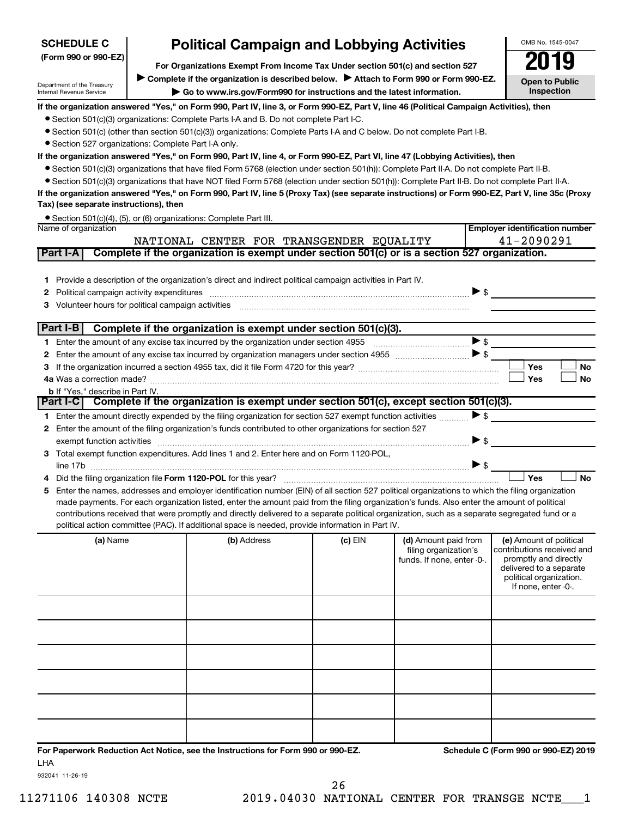| <b>Political Campaign and Lobbying Activities</b><br><b>SCHEDULE C</b>                                |  |                                                                                                                                                                                                                                                                                               | OMB No. 1545-0047   |                            |                          |                                                    |
|-------------------------------------------------------------------------------------------------------|--|-----------------------------------------------------------------------------------------------------------------------------------------------------------------------------------------------------------------------------------------------------------------------------------------------|---------------------|----------------------------|--------------------------|----------------------------------------------------|
| (Form 990 or 990-EZ)<br>For Organizations Exempt From Income Tax Under section 501(c) and section 527 |  |                                                                                                                                                                                                                                                                                               |                     | 019                        |                          |                                                    |
|                                                                                                       |  |                                                                                                                                                                                                                                                                                               |                     |                            |                          |                                                    |
| Department of the Treasury                                                                            |  | Complete if the organization is described below.<br>Attach to Form 990 or Form 990-EZ.                                                                                                                                                                                                        |                     |                            |                          | <b>Open to Public</b><br>Inspection                |
| <b>Internal Revenue Service</b>                                                                       |  | Go to www.irs.gov/Form990 for instructions and the latest information.                                                                                                                                                                                                                        |                     |                            |                          |                                                    |
|                                                                                                       |  | If the organization answered "Yes," on Form 990, Part IV, line 3, or Form 990-EZ, Part V, line 46 (Political Campaign Activities), then                                                                                                                                                       |                     |                            |                          |                                                    |
|                                                                                                       |  | • Section 501(c)(3) organizations: Complete Parts I-A and B. Do not complete Part I-C.                                                                                                                                                                                                        |                     |                            |                          |                                                    |
|                                                                                                       |  | ● Section 501(c) (other than section 501(c)(3)) organizations: Complete Parts I-A and C below. Do not complete Part I-B.                                                                                                                                                                      |                     |                            |                          |                                                    |
| • Section 527 organizations: Complete Part I-A only.                                                  |  | If the organization answered "Yes," on Form 990, Part IV, line 4, or Form 990-EZ, Part VI, line 47 (Lobbying Activities), then                                                                                                                                                                |                     |                            |                          |                                                    |
|                                                                                                       |  | ● Section 501(c)(3) organizations that have filed Form 5768 (election under section 501(h)): Complete Part II-A. Do not complete Part II-B.                                                                                                                                                   |                     |                            |                          |                                                    |
|                                                                                                       |  | • Section 501(c)(3) organizations that have NOT filed Form 5768 (election under section 501(h)): Complete Part II-B. Do not complete Part II-A.                                                                                                                                               |                     |                            |                          |                                                    |
|                                                                                                       |  | If the organization answered "Yes," on Form 990, Part IV, line 5 (Proxy Tax) (see separate instructions) or Form 990-EZ, Part V, line 35c (Proxy                                                                                                                                              |                     |                            |                          |                                                    |
| Tax) (see separate instructions), then                                                                |  |                                                                                                                                                                                                                                                                                               |                     |                            |                          |                                                    |
|                                                                                                       |  | • Section 501(c)(4), (5), or (6) organizations: Complete Part III.                                                                                                                                                                                                                            |                     |                            |                          |                                                    |
| Name of organization                                                                                  |  |                                                                                                                                                                                                                                                                                               |                     |                            |                          | <b>Employer identification number</b>              |
|                                                                                                       |  | NATIONAL CENTER FOR TRANSGENDER EQUALITY                                                                                                                                                                                                                                                      |                     |                            |                          | 41-2090291                                         |
| Part I-A                                                                                              |  | Complete if the organization is exempt under section 501(c) or is a section 527 organization.                                                                                                                                                                                                 |                     |                            |                          |                                                    |
|                                                                                                       |  |                                                                                                                                                                                                                                                                                               |                     |                            |                          |                                                    |
| 1.                                                                                                    |  | Provide a description of the organization's direct and indirect political campaign activities in Part IV.                                                                                                                                                                                     |                     |                            |                          |                                                    |
| 2                                                                                                     |  |                                                                                                                                                                                                                                                                                               |                     |                            | $\triangleright$ \$      |                                                    |
| З                                                                                                     |  | Volunteer hours for political campaign activities [11] www.communically.communically.communically resolutions                                                                                                                                                                                 |                     |                            |                          |                                                    |
| Part I-B                                                                                              |  |                                                                                                                                                                                                                                                                                               |                     |                            |                          |                                                    |
|                                                                                                       |  | Complete if the organization is exempt under section 501(c)(3).                                                                                                                                                                                                                               |                     |                            | $\blacktriangleright$ \$ |                                                    |
| 1.<br>2                                                                                               |  |                                                                                                                                                                                                                                                                                               |                     |                            |                          |                                                    |
| З                                                                                                     |  |                                                                                                                                                                                                                                                                                               |                     |                            |                          | Yes<br>No                                          |
|                                                                                                       |  |                                                                                                                                                                                                                                                                                               |                     |                            |                          | Yes<br><b>No</b>                                   |
| b If "Yes," describe in Part IV.                                                                      |  |                                                                                                                                                                                                                                                                                               |                     |                            |                          |                                                    |
| Part I-C                                                                                              |  | Complete if the organization is exempt under section 501(c), except section 501(c)(3).                                                                                                                                                                                                        |                     |                            |                          |                                                    |
|                                                                                                       |  | 1 Enter the amount directly expended by the filing organization for section 527 exempt function activities                                                                                                                                                                                    |                     |                            | $\blacktriangleright$ \$ |                                                    |
| 2                                                                                                     |  | Enter the amount of the filing organization's funds contributed to other organizations for section 527                                                                                                                                                                                        |                     |                            |                          |                                                    |
| exempt function activities                                                                            |  |                                                                                                                                                                                                                                                                                               |                     |                            | $\blacktriangleright$ \$ |                                                    |
| 3                                                                                                     |  | Total exempt function expenditures. Add lines 1 and 2. Enter here and on Form 1120-POL,                                                                                                                                                                                                       |                     |                            |                          |                                                    |
| line 17b                                                                                              |  |                                                                                                                                                                                                                                                                                               |                     |                            | $\blacktriangleright$ \$ |                                                    |
|                                                                                                       |  |                                                                                                                                                                                                                                                                                               |                     |                            |                          | Yes<br>No                                          |
| 5                                                                                                     |  | Enter the names, addresses and employer identification number (EIN) of all section 527 political organizations to which the filing organization                                                                                                                                               |                     |                            |                          |                                                    |
|                                                                                                       |  | made payments. For each organization listed, enter the amount paid from the filing organization's funds. Also enter the amount of political<br>contributions received that were promptly and directly delivered to a separate political organization, such as a separate segregated fund or a |                     |                            |                          |                                                    |
|                                                                                                       |  | political action committee (PAC). If additional space is needed, provide information in Part IV.                                                                                                                                                                                              |                     |                            |                          |                                                    |
|                                                                                                       |  | (b) Address                                                                                                                                                                                                                                                                                   |                     | (d) Amount paid from       |                          | (e) Amount of political                            |
| (a) Name                                                                                              |  |                                                                                                                                                                                                                                                                                               | (c) EIN             | filing organization's      |                          | contributions received and                         |
|                                                                                                       |  |                                                                                                                                                                                                                                                                                               |                     | funds. If none, enter -0-. |                          | promptly and directly                              |
|                                                                                                       |  |                                                                                                                                                                                                                                                                                               |                     |                            |                          | delivered to a separate<br>political organization. |
|                                                                                                       |  |                                                                                                                                                                                                                                                                                               | If none, enter -0-. |                            |                          |                                                    |
|                                                                                                       |  |                                                                                                                                                                                                                                                                                               |                     |                            |                          |                                                    |
|                                                                                                       |  |                                                                                                                                                                                                                                                                                               |                     |                            |                          |                                                    |
|                                                                                                       |  |                                                                                                                                                                                                                                                                                               |                     |                            |                          |                                                    |
|                                                                                                       |  |                                                                                                                                                                                                                                                                                               |                     |                            |                          |                                                    |
|                                                                                                       |  |                                                                                                                                                                                                                                                                                               |                     |                            |                          |                                                    |
|                                                                                                       |  |                                                                                                                                                                                                                                                                                               |                     |                            |                          |                                                    |
|                                                                                                       |  |                                                                                                                                                                                                                                                                                               |                     |                            |                          |                                                    |
|                                                                                                       |  |                                                                                                                                                                                                                                                                                               |                     |                            |                          |                                                    |
|                                                                                                       |  |                                                                                                                                                                                                                                                                                               |                     |                            |                          |                                                    |
|                                                                                                       |  |                                                                                                                                                                                                                                                                                               |                     |                            |                          |                                                    |

OMB No. 1545-0047

**For Paperwork Reduction Act Notice, see the Instructions for Form 990 or 990-EZ. Schedule C (Form 990 or 990-EZ) 2019** LHA

932041 11-26-19

**SCHEDULE C**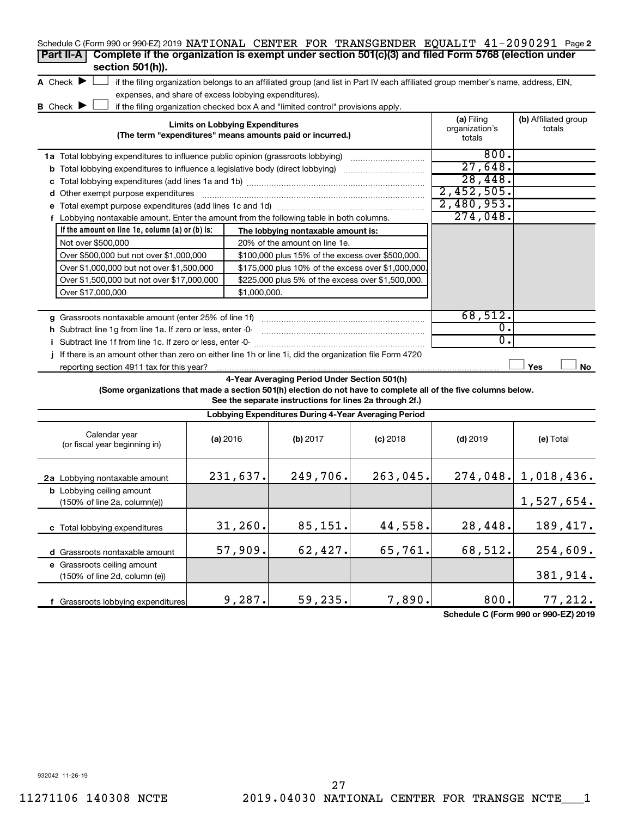| Schedule C (Form 990 or 990-EZ) 2019 NATIONAL CENTER FOR TRANSGENDER EQUALIT 41-2090291 Page 2                  |                                                       |                                                                                                                                   |            |                                      |                                |  |  |  |
|-----------------------------------------------------------------------------------------------------------------|-------------------------------------------------------|-----------------------------------------------------------------------------------------------------------------------------------|------------|--------------------------------------|--------------------------------|--|--|--|
| Complete if the organization is exempt under section 501(c)(3) and filed Form 5768 (election under<br>Part II-A |                                                       |                                                                                                                                   |            |                                      |                                |  |  |  |
| section 501(h)).                                                                                                |                                                       |                                                                                                                                   |            |                                      |                                |  |  |  |
| A Check $\blacktriangleright$                                                                                   |                                                       | if the filing organization belongs to an affiliated group (and list in Part IV each affiliated group member's name, address, EIN, |            |                                      |                                |  |  |  |
|                                                                                                                 | expenses, and share of excess lobbying expenditures). |                                                                                                                                   |            |                                      |                                |  |  |  |
| B Check <b>D</b>                                                                                                |                                                       | if the filing organization checked box A and "limited control" provisions apply.                                                  |            |                                      |                                |  |  |  |
|                                                                                                                 | <b>Limits on Lobbying Expenditures</b>                |                                                                                                                                   |            | (a) Filing<br>organization's         | (b) Affiliated group<br>totals |  |  |  |
|                                                                                                                 |                                                       | (The term "expenditures" means amounts paid or incurred.)                                                                         |            | totals                               |                                |  |  |  |
| 1a Total lobbying expenditures to influence public opinion (grassroots lobbying)                                |                                                       |                                                                                                                                   |            | 800.                                 |                                |  |  |  |
| <b>b</b> Total lobbying expenditures to influence a legislative body (direct lobbying)                          |                                                       |                                                                                                                                   |            | 27,648.                              |                                |  |  |  |
|                                                                                                                 |                                                       |                                                                                                                                   |            | 28,448.                              |                                |  |  |  |
| d Other exempt purpose expenditures                                                                             |                                                       |                                                                                                                                   |            | 2,452,505.                           |                                |  |  |  |
|                                                                                                                 |                                                       |                                                                                                                                   |            | 2,480,953.                           |                                |  |  |  |
| f Lobbying nontaxable amount. Enter the amount from the following table in both columns.                        |                                                       |                                                                                                                                   |            | 274,048.                             |                                |  |  |  |
| If the amount on line $1e$ , column $(a)$ or $(b)$ is:                                                          |                                                       | The lobbying nontaxable amount is:                                                                                                |            |                                      |                                |  |  |  |
| Not over \$500,000                                                                                              |                                                       | 20% of the amount on line 1e.                                                                                                     |            |                                      |                                |  |  |  |
| Over \$500,000 but not over \$1,000,000                                                                         |                                                       | \$100,000 plus 15% of the excess over \$500,000.                                                                                  |            |                                      |                                |  |  |  |
| Over \$1,000,000 but not over \$1,500,000                                                                       |                                                       | \$175,000 plus 10% of the excess over \$1,000,000.                                                                                |            |                                      |                                |  |  |  |
| Over \$1,500,000 but not over \$17,000,000                                                                      |                                                       | \$225,000 plus 5% of the excess over \$1,500,000.                                                                                 |            |                                      |                                |  |  |  |
| Over \$17,000,000<br>\$1,000,000.                                                                               |                                                       |                                                                                                                                   |            |                                      |                                |  |  |  |
|                                                                                                                 |                                                       |                                                                                                                                   |            |                                      |                                |  |  |  |
| g Grassroots nontaxable amount (enter 25% of line 1f)                                                           | 68,512.                                               |                                                                                                                                   |            |                                      |                                |  |  |  |
| h Subtract line 1g from line 1a. If zero or less, enter -0-                                                     |                                                       |                                                                                                                                   |            | $\overline{0}$ .<br>$\overline{0}$ . |                                |  |  |  |
| i Subtract line 1f from line 1c. If zero or less, enter -0-                                                     |                                                       |                                                                                                                                   |            |                                      |                                |  |  |  |
| If there is an amount other than zero on either line 1h or line 1i, did the organization file Form 4720         |                                                       |                                                                                                                                   |            |                                      |                                |  |  |  |
| reporting section 4911 tax for this year?                                                                       |                                                       |                                                                                                                                   |            |                                      | Yes<br>No                      |  |  |  |
| (Some organizations that made a section 501(h) election do not have to complete all of the five columns below.  |                                                       | 4-Year Averaging Period Under Section 501(h)                                                                                      |            |                                      |                                |  |  |  |
|                                                                                                                 |                                                       | See the separate instructions for lines 2a through 2f.)                                                                           |            |                                      |                                |  |  |  |
|                                                                                                                 |                                                       | Lobbying Expenditures During 4-Year Averaging Period                                                                              |            |                                      |                                |  |  |  |
|                                                                                                                 |                                                       |                                                                                                                                   |            |                                      |                                |  |  |  |
| Calendar year<br>(or fiscal year beginning in)                                                                  | (a) 2016                                              | (b) 2017                                                                                                                          | $(c)$ 2018 | $(d)$ 2019                           | (e) Total                      |  |  |  |
|                                                                                                                 |                                                       |                                                                                                                                   |            |                                      |                                |  |  |  |
|                                                                                                                 |                                                       |                                                                                                                                   |            |                                      |                                |  |  |  |
| 2a Lobbying nontaxable amount                                                                                   | 231,637.                                              | 249,706.                                                                                                                          | 263,045.   |                                      | $274,048.$ 1,018,436.          |  |  |  |
| <b>b</b> Lobbying ceiling amount                                                                                |                                                       |                                                                                                                                   |            |                                      |                                |  |  |  |
| $(150\% \text{ of line } 2a, \text{ column}(e))$                                                                |                                                       |                                                                                                                                   |            |                                      | 1,527,654.                     |  |  |  |
|                                                                                                                 | 31,260.                                               | 85,151.                                                                                                                           |            |                                      |                                |  |  |  |
| c Total lobbying expenditures                                                                                   |                                                       |                                                                                                                                   | 44,558.    | 28,448.                              | 189, 417.                      |  |  |  |
| d Grassroots nontaxable amount                                                                                  | 57,909.                                               | 62,427.                                                                                                                           | 65,761.    | 68,512.                              | 254,609.                       |  |  |  |
| e Grassroots ceiling amount                                                                                     |                                                       |                                                                                                                                   |            |                                      |                                |  |  |  |
| (150% of line 2d, column (e))                                                                                   |                                                       |                                                                                                                                   |            |                                      | 381,914.                       |  |  |  |
|                                                                                                                 |                                                       |                                                                                                                                   |            |                                      |                                |  |  |  |

**Schedule C (Form 990 or 990-EZ) 2019**

932042 11-26-19

9,287. 59,235. 7,890. 800. 77,212.

**f** Grassroots lobbying expenditures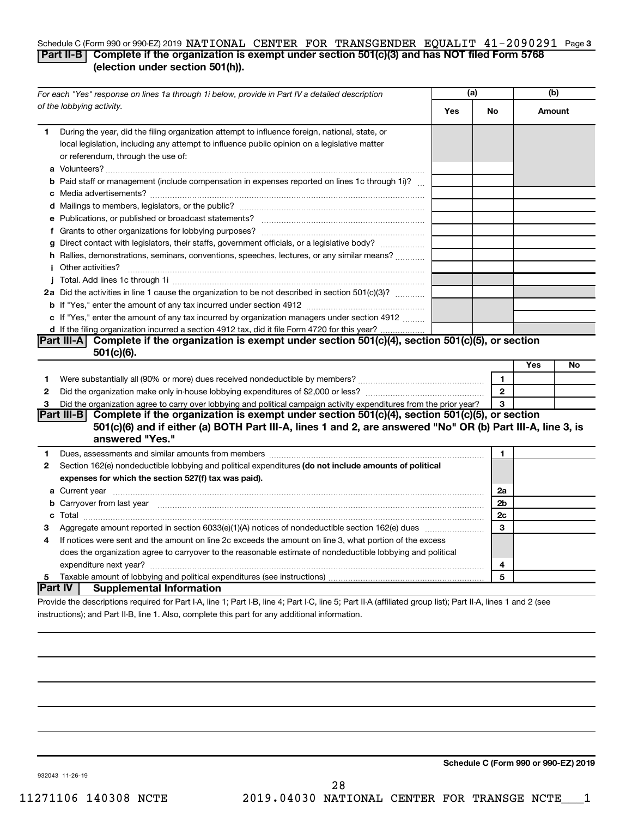#### Schedule C (Form 990 or 990-EZ) 2019 NATIONAL CENTER FOR TRANSGENDER EQUALIT  $41$  –  $2090291\;$  Page 3 **Part II-B Complete if the organization is exempt under section 501(c)(3) and has NOT filed Form 5768 (election under section 501(h)).**

|              | For each "Yes" response on lines 1a through 1i below, provide in Part IV a detailed description                                                                                                                                            | (a) |                |     | (b)    |  |
|--------------|--------------------------------------------------------------------------------------------------------------------------------------------------------------------------------------------------------------------------------------------|-----|----------------|-----|--------|--|
|              | of the lobbying activity.                                                                                                                                                                                                                  | Yes | No             |     | Amount |  |
| 1            | During the year, did the filing organization attempt to influence foreign, national, state, or<br>local legislation, including any attempt to influence public opinion on a legislative matter<br>or referendum, through the use of:       |     |                |     |        |  |
|              | <b>b</b> Paid staff or management (include compensation in expenses reported on lines 1c through 1i)?                                                                                                                                      |     |                |     |        |  |
|              |                                                                                                                                                                                                                                            |     |                |     |        |  |
|              |                                                                                                                                                                                                                                            |     |                |     |        |  |
|              |                                                                                                                                                                                                                                            |     |                |     |        |  |
|              | g Direct contact with legislators, their staffs, government officials, or a legislative body?                                                                                                                                              |     |                |     |        |  |
|              | h Rallies, demonstrations, seminars, conventions, speeches, lectures, or any similar means?                                                                                                                                                |     |                |     |        |  |
|              | <b>i</b> Other activities?                                                                                                                                                                                                                 |     |                |     |        |  |
|              |                                                                                                                                                                                                                                            |     |                |     |        |  |
|              | 2a Did the activities in line 1 cause the organization to be not described in section 501(c)(3)?                                                                                                                                           |     |                |     |        |  |
|              |                                                                                                                                                                                                                                            |     |                |     |        |  |
|              | c If "Yes," enter the amount of any tax incurred by organization managers under section 4912                                                                                                                                               |     |                |     |        |  |
|              | d If the filing organization incurred a section 4912 tax, did it file Form 4720 for this year?                                                                                                                                             |     |                |     |        |  |
|              | Part III-A Complete if the organization is exempt under section $501(c)(4)$ , section $501(c)(5)$ , or section                                                                                                                             |     |                |     |        |  |
|              | 501(c)(6).                                                                                                                                                                                                                                 |     |                |     |        |  |
|              |                                                                                                                                                                                                                                            |     |                | Yes | No     |  |
| 1            |                                                                                                                                                                                                                                            |     | $\mathbf{1}$   |     |        |  |
| $\mathbf{2}$ |                                                                                                                                                                                                                                            |     | $\mathbf{2}$   |     |        |  |
| 3            | Did the organization agree to carry over lobbying and political campaign activity expenditures from the prior year?                                                                                                                        |     | 3              |     |        |  |
|              | Part III-B Complete if the organization is exempt under section 501(c)(4), section 501(c)(5), or section<br>501(c)(6) and if either (a) BOTH Part III-A, lines 1 and 2, are answered "No" OR (b) Part III-A, line 3, is<br>answered "Yes." |     |                |     |        |  |
| 1            | Dues, assessments and similar amounts from members [111] www.communicallyness.communicallyness.communicallyness.com                                                                                                                        |     | 1              |     |        |  |
| 2            | Section 162(e) nondeductible lobbying and political expenditures (do not include amounts of political                                                                                                                                      |     |                |     |        |  |
|              | expenses for which the section 527(f) tax was paid).                                                                                                                                                                                       |     |                |     |        |  |
|              |                                                                                                                                                                                                                                            |     | 2a             |     |        |  |
|              | b Carryover from last year manufactured and contract the contract of the contract of the contract of the contract of contract of contract of contract of contract of contract of contract of contract of contract of contract              |     | 2 <sub>b</sub> |     |        |  |
|              |                                                                                                                                                                                                                                            |     | 2c             |     |        |  |
| З            |                                                                                                                                                                                                                                            |     | 3              |     |        |  |
| 4            | If notices were sent and the amount on line 2c exceeds the amount on line 3, what portion of the excess                                                                                                                                    |     |                |     |        |  |
|              | does the organization agree to carryover to the reasonable estimate of nondeductible lobbying and political                                                                                                                                |     |                |     |        |  |
|              |                                                                                                                                                                                                                                            |     | 4              |     |        |  |
| 5            |                                                                                                                                                                                                                                            |     | 5              |     |        |  |
|              | ∣Part IV ∣<br><b>Supplemental Information</b>                                                                                                                                                                                              |     |                |     |        |  |
|              | Provide the descriptions required for Part I-A, line 1; Part I-B, line 4; Part I-C, line 5; Part II-A (affiliated group list); Part II-A, lines 1 and 2 (see                                                                               |     |                |     |        |  |

instructions); and Part II-B, line 1. Also, complete this part for any additional information.

**Schedule C (Form 990 or 990-EZ) 2019**

932043 11-26-19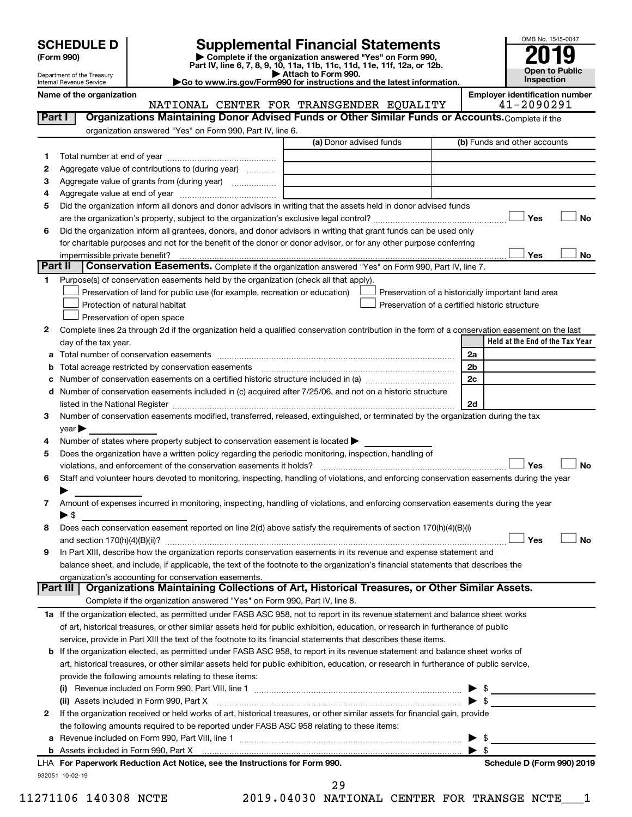| <b>SCHEDULE D</b> |  |
|-------------------|--|
|-------------------|--|

Department of the Treasury Internal Revenue Service

| (Form 990) |  |
|------------|--|
|------------|--|

# **SCHEDULE D Supplemental Financial Statements**<br> **Form 990 2019**<br> **Part IV** line 6.7.8.9.10, 11a, 11b, 11d, 11d, 11d, 11d, 11d, 12a, 0r, 12b

**(Form 990) | Complete if the organization answered "Yes" on Form 990, Part IV, line 6, 7, 8, 9, 10, 11a, 11b, 11c, 11d, 11e, 11f, 12a, or 12b.**

**| Attach to Form 990. |Go to www.irs.gov/Form990 for instructions and the latest information.**



Name of the organization<br>**NATIONAL CENTER FOR TRANSGENDER EQUALITY** | **Employer identification number** NATIONAL CENTER FOR TRANSGENDER EQUALITY

| Part I  | Organizations Maintaining Donor Advised Funds or Other Similar Funds or Accounts. Complete if the                                              |                         |                                                    |
|---------|------------------------------------------------------------------------------------------------------------------------------------------------|-------------------------|----------------------------------------------------|
|         | organization answered "Yes" on Form 990, Part IV, line 6.                                                                                      |                         |                                                    |
|         |                                                                                                                                                | (a) Donor advised funds | (b) Funds and other accounts                       |
| 1.      |                                                                                                                                                |                         |                                                    |
| 2       | Aggregate value of contributions to (during year)                                                                                              |                         |                                                    |
| З       | Aggregate value of grants from (during year)                                                                                                   |                         |                                                    |
| 4       |                                                                                                                                                |                         |                                                    |
| 5       | Did the organization inform all donors and donor advisors in writing that the assets held in donor advised funds                               |                         |                                                    |
|         |                                                                                                                                                |                         | Yes<br>No                                          |
| 6       | Did the organization inform all grantees, donors, and donor advisors in writing that grant funds can be used only                              |                         |                                                    |
|         | for charitable purposes and not for the benefit of the donor or donor advisor, or for any other purpose conferring                             |                         |                                                    |
|         | impermissible private benefit?                                                                                                                 |                         | Yes<br>No                                          |
| Part II | Conservation Easements. Complete if the organization answered "Yes" on Form 990, Part IV, line 7.                                              |                         |                                                    |
| 1.      | Purpose(s) of conservation easements held by the organization (check all that apply).                                                          |                         |                                                    |
|         | Preservation of land for public use (for example, recreation or education)                                                                     |                         | Preservation of a historically important land area |
|         | Protection of natural habitat                                                                                                                  |                         | Preservation of a certified historic structure     |
|         | Preservation of open space                                                                                                                     |                         |                                                    |
| 2       | Complete lines 2a through 2d if the organization held a qualified conservation contribution in the form of a conservation easement on the last |                         |                                                    |
|         | day of the tax year.                                                                                                                           |                         | Held at the End of the Tax Year                    |
|         |                                                                                                                                                |                         | 2a                                                 |
|         |                                                                                                                                                |                         | 2 <sub>b</sub>                                     |
|         |                                                                                                                                                |                         | 2 <sub>c</sub>                                     |
| d       | Number of conservation easements included in (c) acquired after 7/25/06, and not on a historic structure                                       |                         |                                                    |
|         | listed in the National Register [11, 120] and the National Register [11, 120] and the National Register [11, 1                                 |                         | 2d                                                 |
| З       | Number of conservation easements modified, transferred, released, extinguished, or terminated by the organization during the tax               |                         |                                                    |
|         | $year \blacktriangleright$                                                                                                                     |                         |                                                    |
| 4       | Number of states where property subject to conservation easement is located >                                                                  |                         |                                                    |
| 5       | Does the organization have a written policy regarding the periodic monitoring, inspection, handling of                                         |                         |                                                    |
|         | violations, and enforcement of the conservation easements it holds?                                                                            |                         | Yes<br>No                                          |
| 6       | Staff and volunteer hours devoted to monitoring, inspecting, handling of violations, and enforcing conservation easements during the year      |                         |                                                    |
|         |                                                                                                                                                |                         |                                                    |
| 7       | Amount of expenses incurred in monitoring, inspecting, handling of violations, and enforcing conservation easements during the year            |                         |                                                    |
|         | $\blacktriangleright$ \$                                                                                                                       |                         |                                                    |
| 8       | Does each conservation easement reported on line 2(d) above satisfy the requirements of section 170(h)(4)(B)(i)                                |                         |                                                    |
|         |                                                                                                                                                |                         | Yes<br>No                                          |
| 9       | In Part XIII, describe how the organization reports conservation easements in its revenue and expense statement and                            |                         |                                                    |
|         | balance sheet, and include, if applicable, the text of the footnote to the organization's financial statements that describes the              |                         |                                                    |
|         | organization's accounting for conservation easements.                                                                                          |                         |                                                    |
|         | Organizations Maintaining Collections of Art, Historical Treasures, or Other Similar Assets.<br>Part III I                                     |                         |                                                    |
|         | Complete if the organization answered "Yes" on Form 990, Part IV, line 8.                                                                      |                         |                                                    |
|         | 1a If the organization elected, as permitted under FASB ASC 958, not to report in its revenue statement and balance sheet works                |                         |                                                    |
|         | of art, historical treasures, or other similar assets held for public exhibition, education, or research in furtherance of public              |                         |                                                    |
|         | service, provide in Part XIII the text of the footnote to its financial statements that describes these items.                                 |                         |                                                    |
|         | <b>b</b> If the organization elected, as permitted under FASB ASC 958, to report in its revenue statement and balance sheet works of           |                         |                                                    |
|         | art, historical treasures, or other similar assets held for public exhibition, education, or research in furtherance of public service,        |                         |                                                    |
|         | provide the following amounts relating to these items:                                                                                         |                         |                                                    |
|         |                                                                                                                                                |                         | ▶<br>$\blacktriangleright$ s                       |
|         | (ii) Assets included in Form 990, Part X                                                                                                       |                         |                                                    |
| 2       | If the organization received or held works of art, historical treasures, or other similar assets for financial gain, provide                   |                         |                                                    |
|         | the following amounts required to be reported under FASB ASC 958 relating to these items:                                                      |                         |                                                    |
|         |                                                                                                                                                |                         | -\$<br>▶                                           |
|         |                                                                                                                                                |                         | $\blacktriangleright$ s                            |
|         | LHA For Paperwork Reduction Act Notice, see the Instructions for Form 990.                                                                     |                         | Schedule D (Form 990) 2019                         |
|         | 932051 10-02-19                                                                                                                                | 29                      |                                                    |

11271106 140308 NCTE 2019.04030 NATIONAL CENTER FOR TRANSGE NCTE\_\_\_1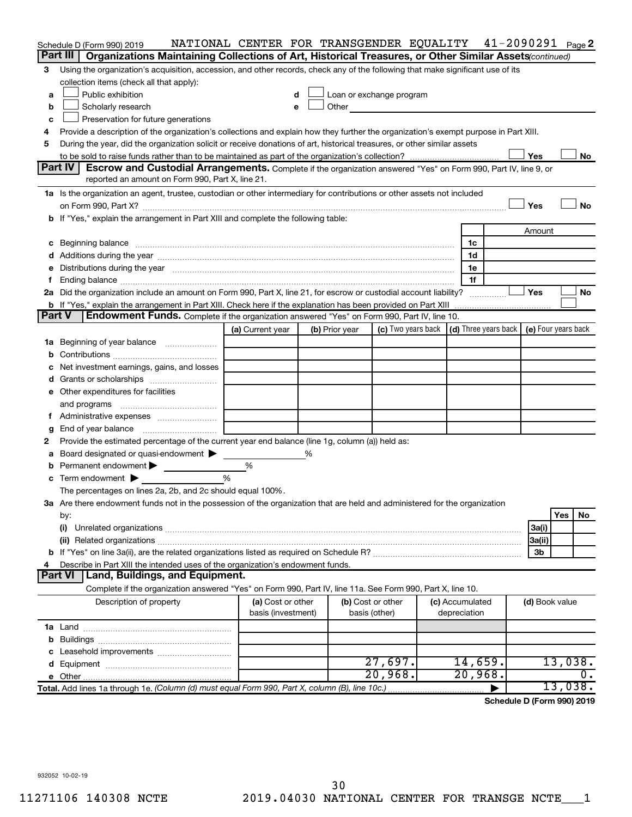|        | Schedule D (Form 990) 2019                                                                                                                                                                                                     | NATIONAL CENTER FOR TRANSGENDER EQUALITY 41-2090291 Page2 |   |                |                                                                                                                                                                                                                                |                 |                                                                             |                |         |           |
|--------|--------------------------------------------------------------------------------------------------------------------------------------------------------------------------------------------------------------------------------|-----------------------------------------------------------|---|----------------|--------------------------------------------------------------------------------------------------------------------------------------------------------------------------------------------------------------------------------|-----------------|-----------------------------------------------------------------------------|----------------|---------|-----------|
|        | Part III<br>Organizations Maintaining Collections of Art, Historical Treasures, or Other Similar Assets (continued)                                                                                                            |                                                           |   |                |                                                                                                                                                                                                                                |                 |                                                                             |                |         |           |
| 3      | Using the organization's acquisition, accession, and other records, check any of the following that make significant use of its                                                                                                |                                                           |   |                |                                                                                                                                                                                                                                |                 |                                                                             |                |         |           |
|        | collection items (check all that apply):                                                                                                                                                                                       |                                                           |   |                |                                                                                                                                                                                                                                |                 |                                                                             |                |         |           |
| a      | Public exhibition                                                                                                                                                                                                              | d                                                         |   |                | Loan or exchange program                                                                                                                                                                                                       |                 |                                                                             |                |         |           |
| b      | Scholarly research                                                                                                                                                                                                             | е                                                         |   |                | Other and the control of the control of the control of the control of the control of the control of the control of the control of the control of the control of the control of the control of the control of the control of th |                 |                                                                             |                |         |           |
| c      | Preservation for future generations                                                                                                                                                                                            |                                                           |   |                |                                                                                                                                                                                                                                |                 |                                                                             |                |         |           |
| 4      | Provide a description of the organization's collections and explain how they further the organization's exempt purpose in Part XIII.                                                                                           |                                                           |   |                |                                                                                                                                                                                                                                |                 |                                                                             |                |         |           |
| 5      | During the year, did the organization solicit or receive donations of art, historical treasures, or other similar assets                                                                                                       |                                                           |   |                |                                                                                                                                                                                                                                |                 |                                                                             |                |         |           |
|        |                                                                                                                                                                                                                                |                                                           |   |                |                                                                                                                                                                                                                                |                 |                                                                             | Yes            |         | No        |
|        | Part IV<br>Escrow and Custodial Arrangements. Complete if the organization answered "Yes" on Form 990, Part IV, line 9, or                                                                                                     |                                                           |   |                |                                                                                                                                                                                                                                |                 |                                                                             |                |         |           |
|        | reported an amount on Form 990, Part X, line 21.                                                                                                                                                                               |                                                           |   |                |                                                                                                                                                                                                                                |                 |                                                                             |                |         |           |
|        | 1a Is the organization an agent, trustee, custodian or other intermediary for contributions or other assets not included                                                                                                       |                                                           |   |                |                                                                                                                                                                                                                                |                 |                                                                             |                |         |           |
|        |                                                                                                                                                                                                                                |                                                           |   |                |                                                                                                                                                                                                                                |                 |                                                                             | Yes            |         | <b>No</b> |
|        | b If "Yes," explain the arrangement in Part XIII and complete the following table:                                                                                                                                             |                                                           |   |                |                                                                                                                                                                                                                                |                 |                                                                             |                |         |           |
|        |                                                                                                                                                                                                                                |                                                           |   |                |                                                                                                                                                                                                                                |                 |                                                                             | Amount         |         |           |
|        | c Beginning balance measurements and the contract of the contract of the contract of the contract of the contract of the contract of the contract of the contract of the contract of the contract of the contract of the contr |                                                           |   |                |                                                                                                                                                                                                                                |                 | 1c                                                                          |                |         |           |
|        |                                                                                                                                                                                                                                |                                                           |   |                |                                                                                                                                                                                                                                |                 | 1d                                                                          |                |         |           |
|        | e Distributions during the year manufactured and an account of the year manufactured and account of the year manufactured and account of the USA of the Distributions during the year                                          |                                                           |   |                |                                                                                                                                                                                                                                |                 | 1e                                                                          |                |         |           |
|        |                                                                                                                                                                                                                                |                                                           |   |                |                                                                                                                                                                                                                                |                 | 1f                                                                          |                |         |           |
|        | 2a Did the organization include an amount on Form 990, Part X, line 21, for escrow or custodial account liability?                                                                                                             |                                                           |   |                |                                                                                                                                                                                                                                |                 |                                                                             | Yes            |         | <b>No</b> |
|        | <b>b</b> If "Yes," explain the arrangement in Part XIII. Check here if the explanation has been provided on Part XIII                                                                                                          |                                                           |   |                |                                                                                                                                                                                                                                |                 |                                                                             |                |         |           |
| Part V | <b>Endowment Funds.</b> Complete if the organization answered "Yes" on Form 990, Part IV, line 10.                                                                                                                             |                                                           |   |                |                                                                                                                                                                                                                                |                 |                                                                             |                |         |           |
|        |                                                                                                                                                                                                                                | (a) Current year                                          |   | (b) Prior year |                                                                                                                                                                                                                                |                 | (c) Two years back $\vert$ (d) Three years back $\vert$ (e) Four years back |                |         |           |
|        | 1a Beginning of year balance                                                                                                                                                                                                   |                                                           |   |                |                                                                                                                                                                                                                                |                 |                                                                             |                |         |           |
|        |                                                                                                                                                                                                                                |                                                           |   |                |                                                                                                                                                                                                                                |                 |                                                                             |                |         |           |
|        | Net investment earnings, gains, and losses                                                                                                                                                                                     |                                                           |   |                |                                                                                                                                                                                                                                |                 |                                                                             |                |         |           |
|        |                                                                                                                                                                                                                                |                                                           |   |                |                                                                                                                                                                                                                                |                 |                                                                             |                |         |           |
|        | e Other expenditures for facilities                                                                                                                                                                                            |                                                           |   |                |                                                                                                                                                                                                                                |                 |                                                                             |                |         |           |
|        | and programs                                                                                                                                                                                                                   |                                                           |   |                |                                                                                                                                                                                                                                |                 |                                                                             |                |         |           |
|        |                                                                                                                                                                                                                                |                                                           |   |                |                                                                                                                                                                                                                                |                 |                                                                             |                |         |           |
| g      | End of year balance                                                                                                                                                                                                            |                                                           |   |                |                                                                                                                                                                                                                                |                 |                                                                             |                |         |           |
| 2      | Provide the estimated percentage of the current year end balance (line 1g, column (a)) held as:                                                                                                                                |                                                           |   |                |                                                                                                                                                                                                                                |                 |                                                                             |                |         |           |
| а      | Board designated or quasi-endowment >                                                                                                                                                                                          |                                                           | % |                |                                                                                                                                                                                                                                |                 |                                                                             |                |         |           |
|        | <b>b</b> Permanent endowment $\blacktriangleright$                                                                                                                                                                             | %                                                         |   |                |                                                                                                                                                                                                                                |                 |                                                                             |                |         |           |
|        | c Term endowment $\blacktriangleright$                                                                                                                                                                                         | %                                                         |   |                |                                                                                                                                                                                                                                |                 |                                                                             |                |         |           |
|        | The percentages on lines 2a, 2b, and 2c should equal 100%.                                                                                                                                                                     |                                                           |   |                |                                                                                                                                                                                                                                |                 |                                                                             |                |         |           |
|        | 3a Are there endowment funds not in the possession of the organization that are held and administered for the organization                                                                                                     |                                                           |   |                |                                                                                                                                                                                                                                |                 |                                                                             |                |         |           |
|        | by:                                                                                                                                                                                                                            |                                                           |   |                |                                                                                                                                                                                                                                |                 |                                                                             |                | Yes     | No        |
|        | (i)                                                                                                                                                                                                                            |                                                           |   |                |                                                                                                                                                                                                                                |                 |                                                                             | 3a(i)          |         |           |
|        |                                                                                                                                                                                                                                |                                                           |   |                |                                                                                                                                                                                                                                |                 |                                                                             | 3a(ii)         |         |           |
|        |                                                                                                                                                                                                                                |                                                           |   |                |                                                                                                                                                                                                                                |                 |                                                                             | 3 <sub>b</sub> |         |           |
| 4      | Describe in Part XIII the intended uses of the organization's endowment funds.                                                                                                                                                 |                                                           |   |                |                                                                                                                                                                                                                                |                 |                                                                             |                |         |           |
|        | <b>Part VI</b><br>Land, Buildings, and Equipment.                                                                                                                                                                              |                                                           |   |                |                                                                                                                                                                                                                                |                 |                                                                             |                |         |           |
|        | Complete if the organization answered "Yes" on Form 990, Part IV, line 11a. See Form 990, Part X, line 10.                                                                                                                     |                                                           |   |                |                                                                                                                                                                                                                                |                 |                                                                             |                |         |           |
|        | Description of property                                                                                                                                                                                                        | (a) Cost or other                                         |   |                | (b) Cost or other                                                                                                                                                                                                              | (c) Accumulated |                                                                             | (d) Book value |         |           |
|        |                                                                                                                                                                                                                                | basis (investment)                                        |   |                | basis (other)                                                                                                                                                                                                                  | depreciation    |                                                                             |                |         |           |
|        |                                                                                                                                                                                                                                |                                                           |   |                |                                                                                                                                                                                                                                |                 |                                                                             |                |         |           |
|        |                                                                                                                                                                                                                                |                                                           |   |                |                                                                                                                                                                                                                                |                 |                                                                             |                |         |           |
|        |                                                                                                                                                                                                                                |                                                           |   |                |                                                                                                                                                                                                                                |                 |                                                                             |                |         |           |
|        |                                                                                                                                                                                                                                |                                                           |   |                | 27,697.                                                                                                                                                                                                                        |                 | 14,659.                                                                     |                | 13,038. |           |
|        |                                                                                                                                                                                                                                |                                                           |   |                | 20,968.                                                                                                                                                                                                                        |                 | 20,968.                                                                     |                |         | ο.        |
|        | Total. Add lines 1a through 1e. (Column (d) must equal Form 990, Part X, column (B), line 10c.)                                                                                                                                |                                                           |   |                |                                                                                                                                                                                                                                |                 | ▶                                                                           |                | 13,038. |           |
|        |                                                                                                                                                                                                                                |                                                           |   |                |                                                                                                                                                                                                                                |                 |                                                                             |                |         |           |

**Schedule D (Form 990) 2019**

932052 10-02-19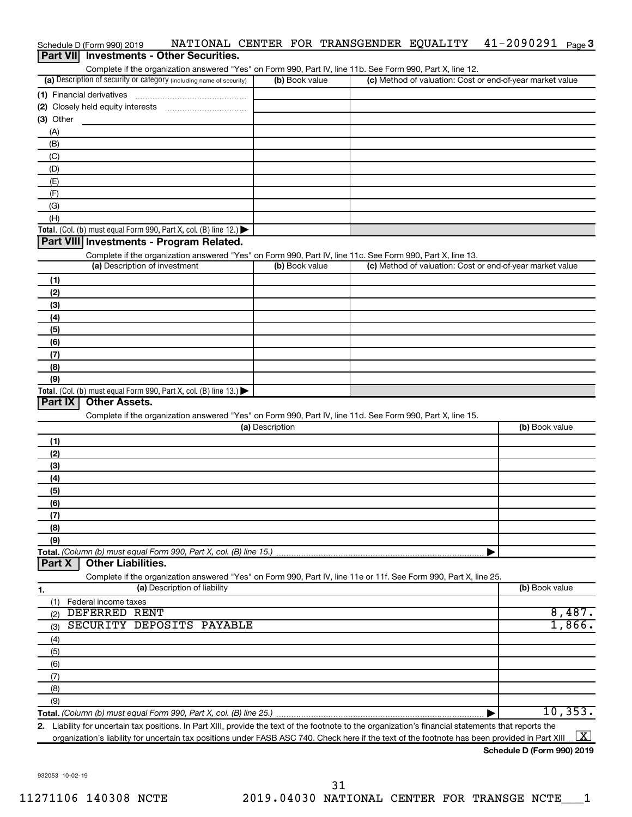| Schedule D (Form 990) 2019                                                                                                                  | NATIONAL CENTER FOR TRANSGENDER EQUALITY |  | $41 - 2090291$ Page 3                                     |           |
|---------------------------------------------------------------------------------------------------------------------------------------------|------------------------------------------|--|-----------------------------------------------------------|-----------|
| Part VII Investments - Other Securities.                                                                                                    |                                          |  |                                                           |           |
| Complete if the organization answered "Yes" on Form 990, Part IV, line 11b. See Form 990, Part X, line 12.                                  |                                          |  |                                                           |           |
| (a) Description of security or category (including name of security)                                                                        | (b) Book value                           |  | (c) Method of valuation: Cost or end-of-year market value |           |
|                                                                                                                                             |                                          |  |                                                           |           |
|                                                                                                                                             |                                          |  |                                                           |           |
| (3) Other                                                                                                                                   |                                          |  |                                                           |           |
| (A)                                                                                                                                         |                                          |  |                                                           |           |
| (B)                                                                                                                                         |                                          |  |                                                           |           |
| (C)                                                                                                                                         |                                          |  |                                                           |           |
| (D)                                                                                                                                         |                                          |  |                                                           |           |
| (E)                                                                                                                                         |                                          |  |                                                           |           |
| (F)                                                                                                                                         |                                          |  |                                                           |           |
| (G)                                                                                                                                         |                                          |  |                                                           |           |
| (H)                                                                                                                                         |                                          |  |                                                           |           |
| Total. (Col. (b) must equal Form 990, Part X, col. (B) line 12.) $\blacktriangleright$                                                      |                                          |  |                                                           |           |
| Part VIII Investments - Program Related.                                                                                                    |                                          |  |                                                           |           |
|                                                                                                                                             |                                          |  |                                                           |           |
| Complete if the organization answered "Yes" on Form 990, Part IV, line 11c. See Form 990, Part X, line 13.<br>(a) Description of investment | (b) Book value                           |  | (c) Method of valuation: Cost or end-of-year market value |           |
|                                                                                                                                             |                                          |  |                                                           |           |
| (1)                                                                                                                                         |                                          |  |                                                           |           |
| (2)                                                                                                                                         |                                          |  |                                                           |           |
| (3)                                                                                                                                         |                                          |  |                                                           |           |
| (4)                                                                                                                                         |                                          |  |                                                           |           |
| (5)                                                                                                                                         |                                          |  |                                                           |           |
| (6)                                                                                                                                         |                                          |  |                                                           |           |
| (7)                                                                                                                                         |                                          |  |                                                           |           |
| (8)                                                                                                                                         |                                          |  |                                                           |           |
| (9)                                                                                                                                         |                                          |  |                                                           |           |
| Total. (Col. (b) must equal Form 990, Part X, col. (B) line 13.)                                                                            |                                          |  |                                                           |           |
| Part IX<br><b>Other Assets.</b>                                                                                                             |                                          |  |                                                           |           |
| Complete if the organization answered "Yes" on Form 990, Part IV, line 11d. See Form 990, Part X, line 15.                                  |                                          |  |                                                           |           |
|                                                                                                                                             | (a) Description                          |  | (b) Book value                                            |           |
| (1)                                                                                                                                         |                                          |  |                                                           |           |
| (2)                                                                                                                                         |                                          |  |                                                           |           |
| (3)                                                                                                                                         |                                          |  |                                                           |           |
| (4)                                                                                                                                         |                                          |  |                                                           |           |
| (5)                                                                                                                                         |                                          |  |                                                           |           |
| (6)                                                                                                                                         |                                          |  |                                                           |           |
| (7)                                                                                                                                         |                                          |  |                                                           |           |
| (8)                                                                                                                                         |                                          |  |                                                           |           |
| (9)                                                                                                                                         |                                          |  |                                                           |           |
| Total. (Column (b) must equal Form 990, Part X, col. (B) line 15.)                                                                          |                                          |  | ▶                                                         |           |
| <b>Other Liabilities.</b><br>Part X                                                                                                         |                                          |  |                                                           |           |
| Complete if the organization answered "Yes" on Form 990, Part IV, line 11e or 11f. See Form 990, Part X, line 25.                           |                                          |  |                                                           |           |
| (a) Description of liability<br>1.                                                                                                          |                                          |  | (b) Book value                                            |           |
| Federal income taxes<br>(1)                                                                                                                 |                                          |  |                                                           |           |
| DEFERRED RENT<br>$\sim$                                                                                                                     |                                          |  |                                                           | $R$ $187$ |

| Federal income taxes<br>(1)      |       |
|----------------------------------|-------|
| DEFERRED RENT<br>(2)             | 8.487 |
| SECURITY DEPOSITS PAYABLE<br>(3) |       |
| (4)                              |       |
| (5)                              |       |
| (6)                              |       |
| (7)                              |       |
| (8)                              |       |
| (9)                              |       |
|                                  | ΊU    |

**2.** Liability for uncertain tax positions. In Part XIII, provide the text of the footnote to the organization's financial statements that reports the organization's liability for uncertain tax positions under FASB ASC 740. Check here if the text of the footnote has been provided in Part XIII ...  $\fbox{\bf X}$ 

**Schedule D (Form 990) 2019**

932053 10-02-19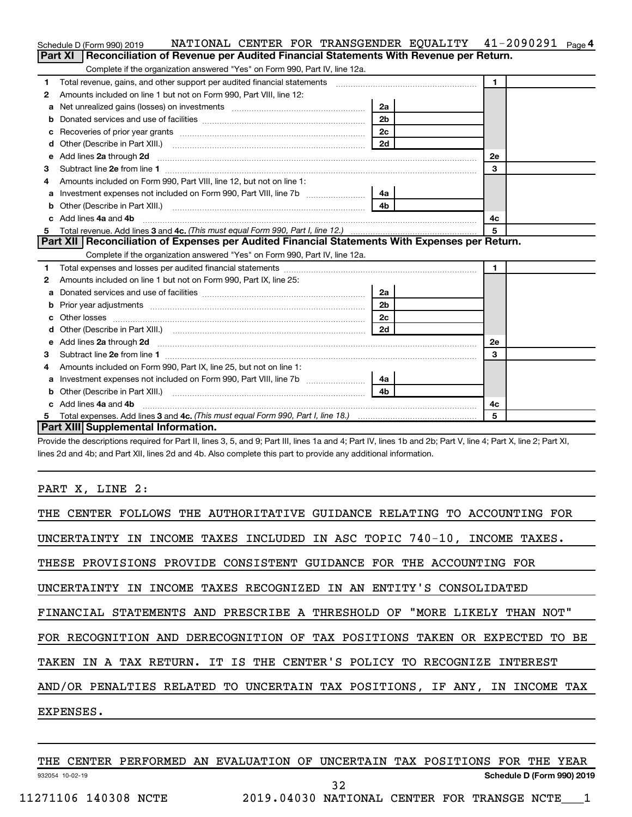|    | NATIONAL CENTER FOR TRANSGENDER EQUALITY 41-2090291<br>Schedule D (Form 990) 2019                                                                                                                                                  |                |              | Page 4 |
|----|------------------------------------------------------------------------------------------------------------------------------------------------------------------------------------------------------------------------------------|----------------|--------------|--------|
|    | Reconciliation of Revenue per Audited Financial Statements With Revenue per Return.<br>Part XI                                                                                                                                     |                |              |        |
|    | Complete if the organization answered "Yes" on Form 990, Part IV, line 12a.                                                                                                                                                        |                |              |        |
| 1  | Total revenue, gains, and other support per audited financial statements [111] [11] Total revenue, gains, and other support per audited financial statements                                                                       |                | $\mathbf{1}$ |        |
| 2  | Amounts included on line 1 but not on Form 990, Part VIII, line 12:                                                                                                                                                                |                |              |        |
| a  |                                                                                                                                                                                                                                    | 2a             |              |        |
|    |                                                                                                                                                                                                                                    | 2 <sub>b</sub> |              |        |
| с  |                                                                                                                                                                                                                                    | 2c             |              |        |
| d  | Other (Describe in Part XIII.) <b>Construction</b> 2d <b>2d</b>                                                                                                                                                                    |                |              |        |
| е  |                                                                                                                                                                                                                                    |                | 2е           |        |
| З  |                                                                                                                                                                                                                                    |                | 3            |        |
| 4  | Amounts included on Form 990, Part VIII, line 12, but not on line 1:                                                                                                                                                               |                |              |        |
|    |                                                                                                                                                                                                                                    | 4a             |              |        |
| b  | Other (Describe in Part XIII.) (2000) (2000) (2000) (2010) (2010) (2010) (2010) (2010) (2010) (2010) (2010) (20                                                                                                                    | 4 <sub>b</sub> |              |        |
| c. | Add lines 4a and 4b                                                                                                                                                                                                                |                | 4с           |        |
| 5. |                                                                                                                                                                                                                                    |                | 5            |        |
|    | Part XII   Reconciliation of Expenses per Audited Financial Statements With Expenses per Return.                                                                                                                                   |                |              |        |
|    | Complete if the organization answered "Yes" on Form 990, Part IV, line 12a.                                                                                                                                                        |                |              |        |
| 1  |                                                                                                                                                                                                                                    |                | $\mathbf{1}$ |        |
| 2  | Amounts included on line 1 but not on Form 990, Part IX, line 25:                                                                                                                                                                  |                |              |        |
| a  |                                                                                                                                                                                                                                    | 2a l           |              |        |
|    |                                                                                                                                                                                                                                    | 2 <sub>b</sub> |              |        |
| c  |                                                                                                                                                                                                                                    | 2 <sub>c</sub> |              |        |
|    |                                                                                                                                                                                                                                    | 2d             |              |        |
| е  | Add lines 2a through 2d <b>contained a contained a contained a contained a</b> contained a contained a contained a contained a contact a contact a contact a contact a contact a contact a contact a contact a contact a contact a |                | 2e           |        |
| 3  |                                                                                                                                                                                                                                    |                | 3            |        |
| 4  | Amounts included on Form 990, Part IX, line 25, but not on line 1:                                                                                                                                                                 |                |              |        |
| а  |                                                                                                                                                                                                                                    | 4a l           |              |        |
| b  |                                                                                                                                                                                                                                    | 4b.            |              |        |
|    | Add lines 4a and 4b                                                                                                                                                                                                                |                | 4c           |        |
| 5  |                                                                                                                                                                                                                                    |                | 5            |        |
|    | Part XIII Supplemental Information.                                                                                                                                                                                                |                |              |        |

Provide the descriptions required for Part II, lines 3, 5, and 9; Part III, lines 1a and 4; Part IV, lines 1b and 2b; Part V, line 4; Part X, line 2; Part XI, lines 2d and 4b; and Part XII, lines 2d and 4b. Also complete this part to provide any additional information.

PART X, LINE 2:

| THE CENTER FOLLOWS THE AUTHORITATIVE GUIDANCE RELATING TO ACCOUNTING FOR   |
|----------------------------------------------------------------------------|
| UNCERTAINTY IN INCOME TAXES INCLUDED IN ASC TOPIC 740-10, INCOME TAXES.    |
| THESE PROVISIONS PROVIDE CONSISTENT GUIDANCE FOR THE ACCOUNTING FOR        |
| UNCERTAINTY IN INCOME TAXES RECOGNIZED IN AN ENTITY'S CONSOLIDATED         |
| FINANCIAL STATEMENTS AND PRESCRIBE A THRESHOLD OF "MORE LIKELY THAN NOT"   |
| FOR RECOGNITION AND DERECOGNITION OF TAX POSITIONS TAKEN OR EXPECTED TO BE |
| TAKEN IN A TAX RETURN. IT IS THE CENTER'S POLICY TO RECOGNIZE INTEREST     |
| AND/OR PENALTIES RELATED TO UNCERTAIN TAX POSITIONS, IF ANY, IN INCOME TAX |
| EXPENSES.                                                                  |
|                                                                            |

932054 10-02-19 **Schedule D (Form 990) 2019** THE CENTER PERFORMED AN EVALUATION OF UNCERTAIN TAX POSITIONS FOR THE YEAR 11271106 140308 NCTE 2019.04030 NATIONAL CENTER FOR TRANSGE NCTE\_\_\_1 32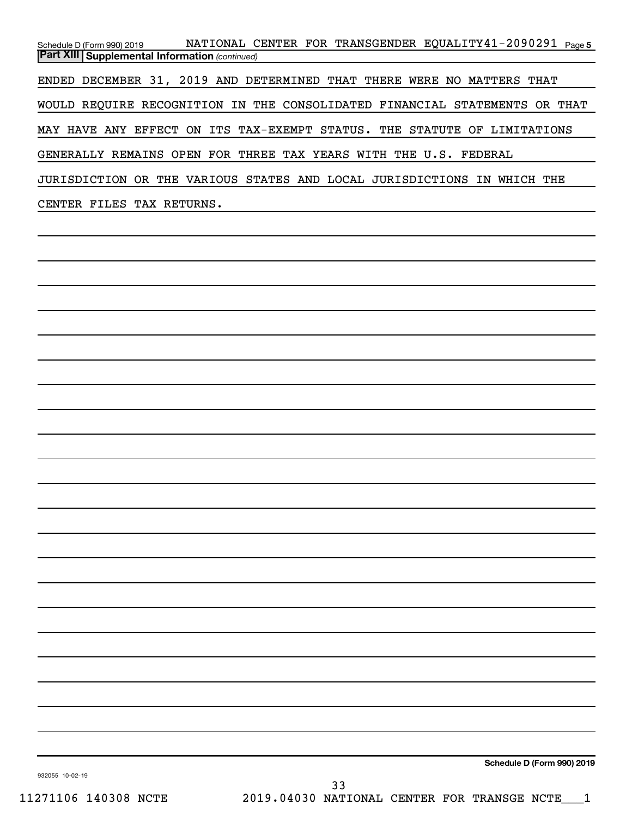Schedule D (Form 990) 2019 NATIONAL CENTER FOR TRANSGENDER EQUALITY41-2090291 <sub>Page 5</sub> *(continued)* **Part XIII Supplemental Information**  ENDED DECEMBER 31, 2019 AND DETERMINED THAT THERE WERE NO MATTERS THAT WOULD REQUIRE RECOGNITION IN THE CONSOLIDATED FINANCIAL STATEMENTS OR THAT MAY HAVE ANY EFFECT ON ITS TAX-EXEMPT STATUS. THE STATUTE OF LIMITATIONS GENERALLY REMAINS OPEN FOR THREE TAX YEARS WITH THE U.S. FEDERAL JURISDICTION OR THE VARIOUS STATES AND LOCAL JURISDICTIONS IN WHICH THE CENTER FILES TAX RETURNS.

**Schedule D (Form 990) 2019**

932055 10-02-19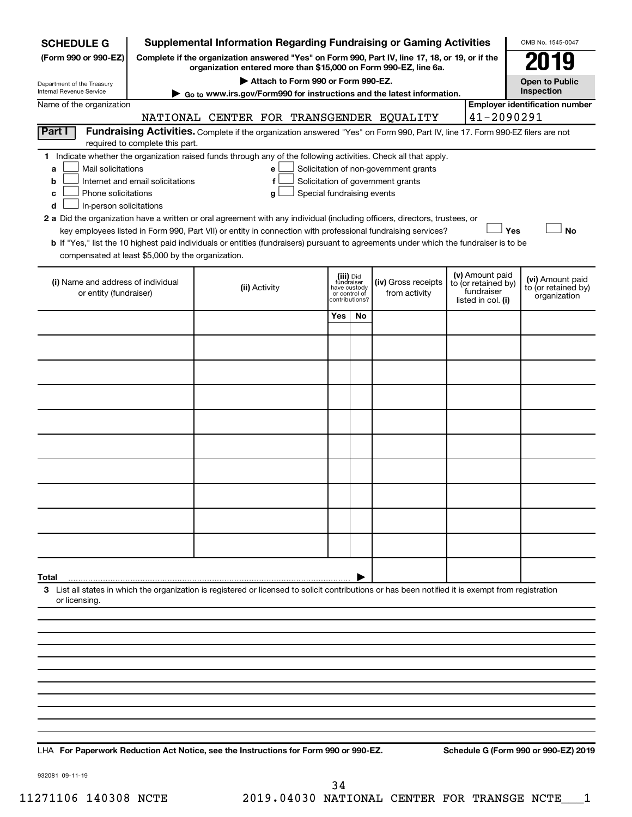| <b>SCHEDULE G</b>                                                                        |                                  | <b>Supplemental Information Regarding Fundraising or Gaming Activities</b>                                                                                                                                                                                                                                                                                                                                                                                                                                           |                            |                                         |                                 |                                                                            |                                                                            | OMB No. 1545-0047                                       |  |  |
|------------------------------------------------------------------------------------------|----------------------------------|----------------------------------------------------------------------------------------------------------------------------------------------------------------------------------------------------------------------------------------------------------------------------------------------------------------------------------------------------------------------------------------------------------------------------------------------------------------------------------------------------------------------|----------------------------|-----------------------------------------|---------------------------------|----------------------------------------------------------------------------|----------------------------------------------------------------------------|---------------------------------------------------------|--|--|
| (Form 990 or 990-EZ)                                                                     |                                  | Complete if the organization answered "Yes" on Form 990, Part IV, line 17, 18, or 19, or if the                                                                                                                                                                                                                                                                                                                                                                                                                      |                            |                                         |                                 |                                                                            |                                                                            | 119                                                     |  |  |
|                                                                                          |                                  | organization entered more than \$15,000 on Form 990-EZ, line 6a.<br>Attach to Form 990 or Form 990-EZ.                                                                                                                                                                                                                                                                                                                                                                                                               |                            |                                         |                                 |                                                                            |                                                                            | <b>Open to Public</b>                                   |  |  |
| Department of the Treasury<br>Internal Revenue Service                                   |                                  | ► Go to www.irs.gov/Form990 for instructions and the latest information.                                                                                                                                                                                                                                                                                                                                                                                                                                             |                            |                                         |                                 |                                                                            |                                                                            | Inspection                                              |  |  |
| Name of the organization                                                                 |                                  |                                                                                                                                                                                                                                                                                                                                                                                                                                                                                                                      |                            |                                         |                                 |                                                                            | 41-2090291                                                                 | <b>Employer identification number</b>                   |  |  |
| Part I                                                                                   |                                  | NATIONAL CENTER FOR TRANSGENDER EQUALITY<br>Fundraising Activities. Complete if the organization answered "Yes" on Form 990, Part IV, line 17. Form 990-EZ filers are not                                                                                                                                                                                                                                                                                                                                            |                            |                                         |                                 |                                                                            |                                                                            |                                                         |  |  |
|                                                                                          | required to complete this part.  |                                                                                                                                                                                                                                                                                                                                                                                                                                                                                                                      |                            |                                         |                                 |                                                                            |                                                                            |                                                         |  |  |
| Mail solicitations<br>a<br>b<br>Phone solicitations<br>c<br>In-person solicitations<br>d | Internet and email solicitations | 1 Indicate whether the organization raised funds through any of the following activities. Check all that apply.<br>e<br>f<br>g<br>2 a Did the organization have a written or oral agreement with any individual (including officers, directors, trustees, or<br>key employees listed in Form 990, Part VII) or entity in connection with professional fundraising services?<br>b If "Yes," list the 10 highest paid individuals or entities (fundraisers) pursuant to agreements under which the fundraiser is to be | Special fundraising events |                                         |                                 | Solicitation of non-government grants<br>Solicitation of government grants | Yes                                                                        | <b>No</b>                                               |  |  |
| compensated at least \$5,000 by the organization.                                        |                                  |                                                                                                                                                                                                                                                                                                                                                                                                                                                                                                                      |                            |                                         |                                 |                                                                            |                                                                            |                                                         |  |  |
| (i) Name and address of individual<br>or entity (fundraiser)                             |                                  | (ii) Activity                                                                                                                                                                                                                                                                                                                                                                                                                                                                                                        |                            | (iii) Did<br>fundraiser<br>have custody | or control of<br>contributions? | (iv) Gross receipts<br>from activity                                       | (v) Amount paid<br>to (or retained by)<br>fundraiser<br>listed in col. (i) | (vi) Amount paid<br>to (or retained by)<br>organization |  |  |
|                                                                                          |                                  |                                                                                                                                                                                                                                                                                                                                                                                                                                                                                                                      |                            | Yes                                     | No                              |                                                                            |                                                                            |                                                         |  |  |
|                                                                                          |                                  |                                                                                                                                                                                                                                                                                                                                                                                                                                                                                                                      |                            |                                         |                                 |                                                                            |                                                                            |                                                         |  |  |
|                                                                                          |                                  |                                                                                                                                                                                                                                                                                                                                                                                                                                                                                                                      |                            |                                         |                                 |                                                                            |                                                                            |                                                         |  |  |
|                                                                                          |                                  |                                                                                                                                                                                                                                                                                                                                                                                                                                                                                                                      |                            |                                         |                                 |                                                                            |                                                                            |                                                         |  |  |
|                                                                                          |                                  |                                                                                                                                                                                                                                                                                                                                                                                                                                                                                                                      |                            |                                         |                                 |                                                                            |                                                                            |                                                         |  |  |
|                                                                                          |                                  |                                                                                                                                                                                                                                                                                                                                                                                                                                                                                                                      |                            |                                         |                                 |                                                                            |                                                                            |                                                         |  |  |
|                                                                                          |                                  |                                                                                                                                                                                                                                                                                                                                                                                                                                                                                                                      |                            |                                         |                                 |                                                                            |                                                                            |                                                         |  |  |
|                                                                                          |                                  |                                                                                                                                                                                                                                                                                                                                                                                                                                                                                                                      |                            |                                         |                                 |                                                                            |                                                                            |                                                         |  |  |
|                                                                                          |                                  |                                                                                                                                                                                                                                                                                                                                                                                                                                                                                                                      |                            |                                         |                                 |                                                                            |                                                                            |                                                         |  |  |
|                                                                                          |                                  |                                                                                                                                                                                                                                                                                                                                                                                                                                                                                                                      |                            |                                         |                                 |                                                                            |                                                                            |                                                         |  |  |
| Total                                                                                    |                                  |                                                                                                                                                                                                                                                                                                                                                                                                                                                                                                                      |                            |                                         |                                 |                                                                            |                                                                            |                                                         |  |  |
| or licensing.                                                                            |                                  | 3 List all states in which the organization is registered or licensed to solicit contributions or has been notified it is exempt from registration                                                                                                                                                                                                                                                                                                                                                                   |                            |                                         |                                 |                                                                            |                                                                            |                                                         |  |  |
|                                                                                          |                                  |                                                                                                                                                                                                                                                                                                                                                                                                                                                                                                                      |                            |                                         |                                 |                                                                            |                                                                            |                                                         |  |  |
|                                                                                          |                                  |                                                                                                                                                                                                                                                                                                                                                                                                                                                                                                                      |                            |                                         |                                 |                                                                            |                                                                            |                                                         |  |  |
|                                                                                          |                                  |                                                                                                                                                                                                                                                                                                                                                                                                                                                                                                                      |                            |                                         |                                 |                                                                            |                                                                            |                                                         |  |  |
|                                                                                          |                                  |                                                                                                                                                                                                                                                                                                                                                                                                                                                                                                                      |                            |                                         |                                 |                                                                            |                                                                            |                                                         |  |  |
|                                                                                          |                                  |                                                                                                                                                                                                                                                                                                                                                                                                                                                                                                                      |                            |                                         |                                 |                                                                            |                                                                            |                                                         |  |  |
|                                                                                          |                                  |                                                                                                                                                                                                                                                                                                                                                                                                                                                                                                                      |                            |                                         |                                 |                                                                            |                                                                            |                                                         |  |  |
|                                                                                          |                                  |                                                                                                                                                                                                                                                                                                                                                                                                                                                                                                                      |                            |                                         |                                 |                                                                            |                                                                            |                                                         |  |  |

**For Paperwork Reduction Act Notice, see the Instructions for Form 990 or 990-EZ. Schedule G (Form 990 or 990-EZ) 2019** LHA

932081 09-11-19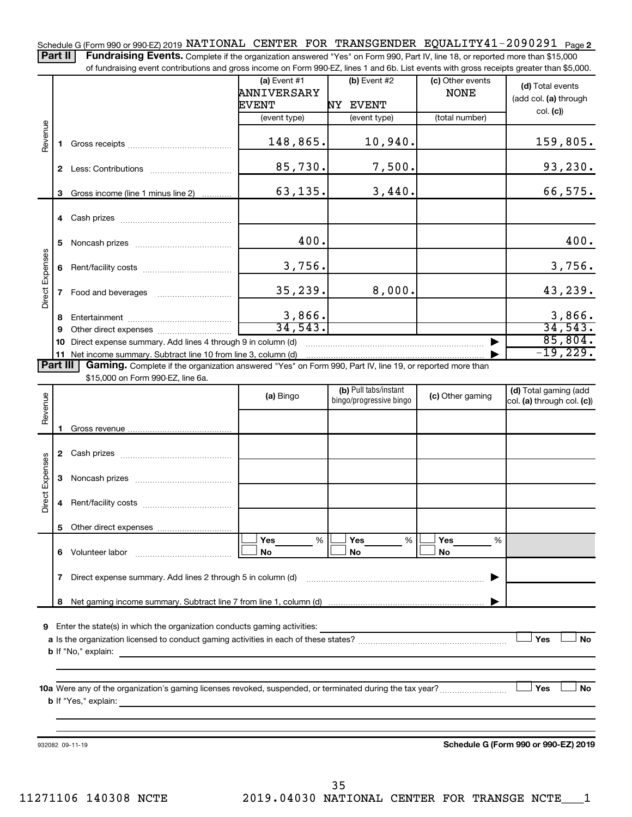Schedule G (Form 990 or 990-EZ) 2019 NATIONAL CENTER FOR TRANSGENDER EQUALITY41-2090291 <sub>Page 2</sub>

Part II | Fundraising Events. Complete if the organization answered "Yes" on Form 990, Part IV, line 18, or reported more than \$15,000 of fundraising event contributions and gross income on Form 990-EZ, lines 1 and 6b. List events with gross receipts greater than \$5,000.

|                        |              | or fundraising event contributions and gross income on Form 990-EZ, lines T and 6D. List events with gross receipts greater than \$5,000. | (a) Event $#1$  | $(b)$ Event #2                                   | (c) Other events |                                                     |
|------------------------|--------------|-------------------------------------------------------------------------------------------------------------------------------------------|-----------------|--------------------------------------------------|------------------|-----------------------------------------------------|
|                        |              |                                                                                                                                           | ANNIVERSARY     |                                                  | <b>NONE</b>      | (d) Total events<br>(add col. (a) through           |
|                        |              |                                                                                                                                           | <b>EVENT</b>    | NY EVENT                                         |                  | col. (c)                                            |
|                        |              |                                                                                                                                           | (event type)    | (event type)                                     | (total number)   |                                                     |
| Revenue                |              |                                                                                                                                           | 148,865.        | 10,940.                                          |                  | 159,805.                                            |
|                        |              |                                                                                                                                           | 85,730.         | 7,500.                                           |                  | 93,230.                                             |
|                        | З.           | Gross income (line 1 minus line 2)                                                                                                        | 63,135.         | 3,440.                                           |                  | 66,575.                                             |
|                        |              |                                                                                                                                           |                 |                                                  |                  |                                                     |
|                        | 5            |                                                                                                                                           | 400.            |                                                  |                  | 400.                                                |
| Direct Expenses        | 6            |                                                                                                                                           | 3,756.          |                                                  |                  | 3,756.                                              |
|                        | $\mathbf{7}$ |                                                                                                                                           | 35,239.         | 8,000.                                           |                  | 43,239.                                             |
|                        | 8            |                                                                                                                                           | 3,866.          |                                                  |                  | 3,866.                                              |
|                        | 9            |                                                                                                                                           | 34,543.         |                                                  |                  | 34,543.                                             |
|                        |              | 10 Direct expense summary. Add lines 4 through 9 in column (d)                                                                            |                 |                                                  |                  | 85,804.                                             |
|                        |              | 11 Net income summary. Subtract line 10 from line 3, column (d)                                                                           |                 |                                                  |                  | $-19,229.$                                          |
| Part III               |              | Gaming. Complete if the organization answered "Yes" on Form 990, Part IV, line 19, or reported more than                                  |                 |                                                  |                  |                                                     |
|                        |              | \$15,000 on Form 990-EZ, line 6a.                                                                                                         |                 |                                                  |                  |                                                     |
| Revenue                |              |                                                                                                                                           | (a) Bingo       | (b) Pull tabs/instant<br>bingo/progressive bingo | (c) Other gaming | (d) Total gaming (add<br>col. (a) through col. (c)) |
|                        | 1.           |                                                                                                                                           |                 |                                                  |                  |                                                     |
|                        |              |                                                                                                                                           |                 |                                                  |                  |                                                     |
|                        |              |                                                                                                                                           |                 |                                                  |                  |                                                     |
| <b>Direct Expenses</b> | 3            |                                                                                                                                           |                 |                                                  |                  |                                                     |
|                        | 4            |                                                                                                                                           |                 |                                                  |                  |                                                     |
|                        |              |                                                                                                                                           |                 |                                                  |                  |                                                     |
|                        |              |                                                                                                                                           | <b>Yes</b><br>% | %<br>Yes                                         | Yes<br>%         |                                                     |
|                        | 6            | Volunteer labor                                                                                                                           | No              | No                                               | No               |                                                     |
|                        | 7            | Direct expense summary. Add lines 2 through 5 in column (d)                                                                               |                 |                                                  |                  |                                                     |
|                        | 8            |                                                                                                                                           |                 |                                                  |                  |                                                     |
|                        |              |                                                                                                                                           |                 |                                                  |                  |                                                     |
| 9                      |              | Enter the state(s) in which the organization conducts gaming activities:                                                                  |                 |                                                  |                  | Yes                                                 |
|                        |              | <b>b</b> If "No," explain:                                                                                                                |                 |                                                  |                  | No                                                  |
|                        |              | <u> 1989 - Andrea Andrew Maria (h. 1989).</u>                                                                                             |                 |                                                  |                  |                                                     |
|                        |              |                                                                                                                                           |                 |                                                  |                  |                                                     |
|                        |              |                                                                                                                                           |                 |                                                  |                  | Yes<br>No                                           |
|                        |              | <b>b</b> If "Yes," explain:                                                                                                               |                 |                                                  |                  |                                                     |
|                        |              |                                                                                                                                           |                 |                                                  |                  |                                                     |
|                        |              |                                                                                                                                           |                 |                                                  |                  |                                                     |
|                        |              | 932082 09-11-19                                                                                                                           |                 |                                                  |                  | Schedule G (Form 990 or 990-EZ) 2019                |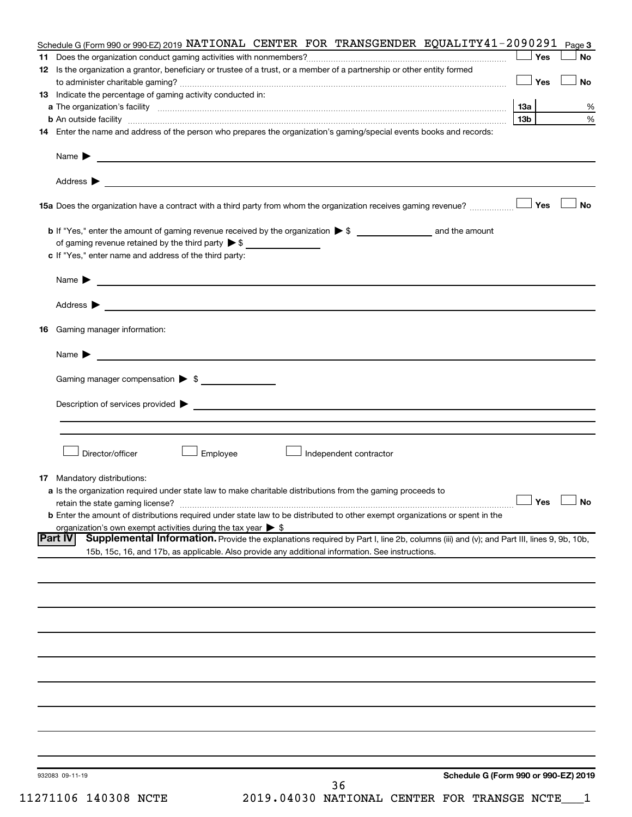|    | Schedule G (Form 990 or 990-EZ) 2019 NATIONAL CENTER FOR TRANSGENDER EQUALITY 41-2090291                                                                                                                                                                           |                 | Page 3               |
|----|--------------------------------------------------------------------------------------------------------------------------------------------------------------------------------------------------------------------------------------------------------------------|-----------------|----------------------|
|    |                                                                                                                                                                                                                                                                    | Yes             | <b>No</b>            |
|    | 12 Is the organization a grantor, beneficiary or trustee of a trust, or a member of a partnership or other entity formed                                                                                                                                           | Yes             | <b>No</b>            |
|    | 13 Indicate the percentage of gaming activity conducted in:                                                                                                                                                                                                        |                 |                      |
|    |                                                                                                                                                                                                                                                                    | 1За             | %                    |
|    | <b>b</b> An outside facility <i>www.communicality www.communicality.communicality www.communicality www.communicality.communicality www.communicality.com</i>                                                                                                      | 13 <sub>b</sub> | %                    |
|    | 14 Enter the name and address of the person who prepares the organization's gaming/special events books and records:                                                                                                                                               |                 |                      |
|    | Name $\blacktriangleright$<br><u>and the control of the control of the control of the control of the control of the control of</u>                                                                                                                                 |                 |                      |
|    |                                                                                                                                                                                                                                                                    |                 |                      |
|    |                                                                                                                                                                                                                                                                    |                 | <b>No</b>            |
|    |                                                                                                                                                                                                                                                                    |                 |                      |
|    |                                                                                                                                                                                                                                                                    |                 |                      |
|    | c If "Yes," enter name and address of the third party:                                                                                                                                                                                                             |                 |                      |
|    | <u>and the state of the state of the state of the state of the state of the state of the state of the state of the state of the state of the state of the state of the state of the state of the state of the state of the state</u><br>Name $\blacktriangleright$ |                 |                      |
|    |                                                                                                                                                                                                                                                                    |                 |                      |
| 16 | Gaming manager information:                                                                                                                                                                                                                                        |                 |                      |
|    | <u> 1989 - Johann Barbara, martin da basar a shekara 1989 - An tsaran a shekara 1989 - An tsara 1989 - An tsara</u><br>Name $\blacktriangleright$                                                                                                                  |                 |                      |
|    | Gaming manager compensation > \$                                                                                                                                                                                                                                   |                 |                      |
|    |                                                                                                                                                                                                                                                                    |                 |                      |
|    | Description of services provided states and the control of the control of the control of services provided states and the control of the control of the control of the control of the control of the control of the control of                                     |                 |                      |
|    |                                                                                                                                                                                                                                                                    |                 |                      |
|    | Director/officer<br>Employee<br>Independent contractor                                                                                                                                                                                                             |                 |                      |
|    | <b>17</b> Mandatory distributions:                                                                                                                                                                                                                                 |                 |                      |
|    | a Is the organization required under state law to make charitable distributions from the gaming proceeds to                                                                                                                                                        |                 |                      |
|    | retain the state gaming license?                                                                                                                                                                                                                                   |                 | $\Box$ Yes $\Box$ No |
|    | <b>b</b> Enter the amount of distributions required under state law to be distributed to other exempt organizations or spent in the                                                                                                                                |                 |                      |
|    | organization's own exempt activities during the tax year $\triangleright$ \$<br><b>Part IV</b><br>Supplemental Information. Provide the explanations required by Part I, line 2b, columns (iii) and (v); and Part III, lines 9, 9b, 10b,                           |                 |                      |
|    | 15b, 15c, 16, and 17b, as applicable. Also provide any additional information. See instructions.                                                                                                                                                                   |                 |                      |
|    |                                                                                                                                                                                                                                                                    |                 |                      |
|    |                                                                                                                                                                                                                                                                    |                 |                      |
|    |                                                                                                                                                                                                                                                                    |                 |                      |
|    |                                                                                                                                                                                                                                                                    |                 |                      |
|    |                                                                                                                                                                                                                                                                    |                 |                      |
|    |                                                                                                                                                                                                                                                                    |                 |                      |
|    |                                                                                                                                                                                                                                                                    |                 |                      |
|    |                                                                                                                                                                                                                                                                    |                 |                      |
|    |                                                                                                                                                                                                                                                                    |                 |                      |
|    |                                                                                                                                                                                                                                                                    |                 |                      |
|    | Schedule G (Form 990 or 990-EZ) 2019<br>932083 09-11-19<br>36                                                                                                                                                                                                      |                 |                      |

11271106 140308 NCTE 2019.04030 NATIONAL CENTER FOR TRANSGE NCTE\_\_\_1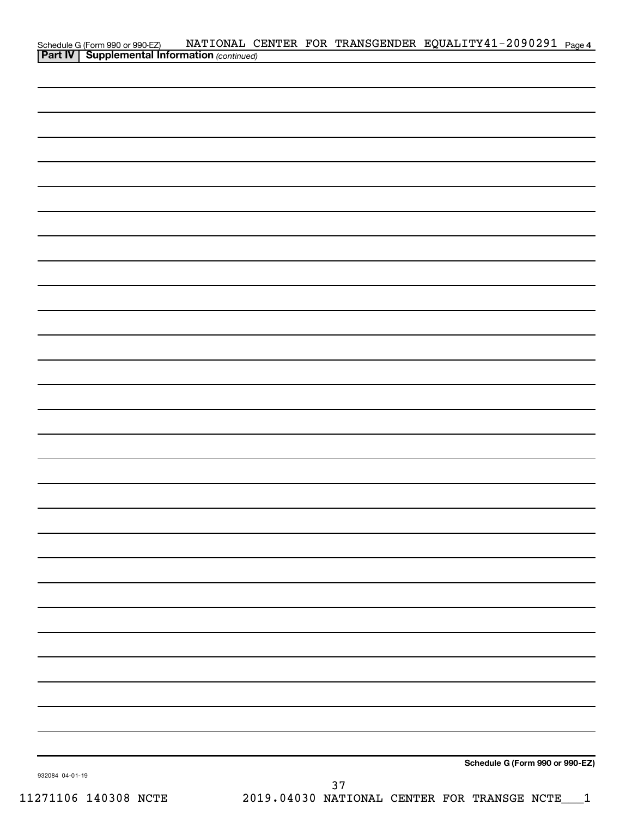|                 |                                                                                              |  |      | NATIONAL CENTER FOR TRANSGENDER EQUALITY41-2090291 Page 4 |  |
|-----------------|----------------------------------------------------------------------------------------------|--|------|-----------------------------------------------------------|--|
|                 | Schedule G (Form 990 or 990-EZ) NATIONAL C<br>Part IV   Supplemental Information (continued) |  |      |                                                           |  |
|                 |                                                                                              |  |      |                                                           |  |
|                 |                                                                                              |  |      |                                                           |  |
|                 |                                                                                              |  |      |                                                           |  |
|                 |                                                                                              |  |      |                                                           |  |
|                 |                                                                                              |  |      |                                                           |  |
|                 |                                                                                              |  |      |                                                           |  |
|                 |                                                                                              |  |      |                                                           |  |
|                 |                                                                                              |  |      |                                                           |  |
|                 |                                                                                              |  |      |                                                           |  |
|                 |                                                                                              |  |      |                                                           |  |
|                 |                                                                                              |  |      |                                                           |  |
|                 |                                                                                              |  |      |                                                           |  |
|                 |                                                                                              |  |      |                                                           |  |
|                 |                                                                                              |  |      |                                                           |  |
|                 |                                                                                              |  |      |                                                           |  |
|                 |                                                                                              |  |      |                                                           |  |
|                 |                                                                                              |  |      |                                                           |  |
|                 |                                                                                              |  |      |                                                           |  |
|                 |                                                                                              |  |      |                                                           |  |
|                 |                                                                                              |  |      |                                                           |  |
|                 |                                                                                              |  |      |                                                           |  |
|                 |                                                                                              |  |      |                                                           |  |
|                 |                                                                                              |  |      |                                                           |  |
|                 |                                                                                              |  |      |                                                           |  |
|                 |                                                                                              |  |      |                                                           |  |
|                 |                                                                                              |  |      |                                                           |  |
|                 |                                                                                              |  |      |                                                           |  |
|                 |                                                                                              |  |      |                                                           |  |
|                 |                                                                                              |  |      |                                                           |  |
|                 |                                                                                              |  |      |                                                           |  |
|                 |                                                                                              |  |      |                                                           |  |
|                 |                                                                                              |  |      |                                                           |  |
|                 |                                                                                              |  |      |                                                           |  |
|                 |                                                                                              |  |      |                                                           |  |
|                 |                                                                                              |  |      |                                                           |  |
|                 |                                                                                              |  |      |                                                           |  |
|                 |                                                                                              |  |      |                                                           |  |
|                 |                                                                                              |  |      |                                                           |  |
|                 |                                                                                              |  |      |                                                           |  |
|                 |                                                                                              |  |      |                                                           |  |
|                 |                                                                                              |  |      |                                                           |  |
|                 |                                                                                              |  |      |                                                           |  |
|                 |                                                                                              |  |      |                                                           |  |
|                 |                                                                                              |  |      | Schedule G (Form 990 or 990-EZ)                           |  |
| 932084 04-01-19 |                                                                                              |  | די כ |                                                           |  |

11271106 140308 NCTE 2019.04030 NATIONAL CENTER FOR TRANSGE NCTE\_\_\_1 37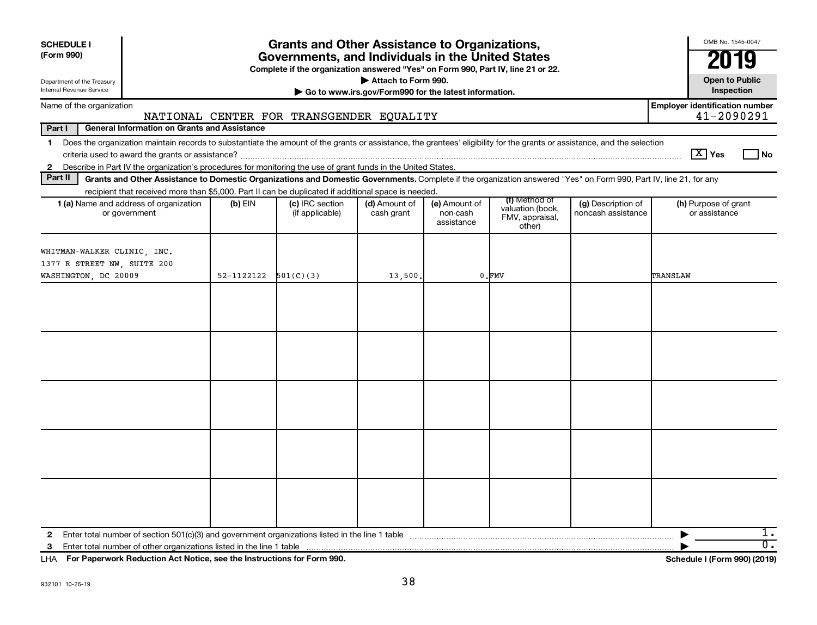| <b>SCHEDULE I</b><br>(Form 990)<br>Internal Revenue Service | Department of the Treasury                                                                                                                                               |            | <b>Grants and Other Assistance to Organizations,</b><br>Governments, and Individuals in the United States<br>Complete if the organization answered "Yes" on Form 990, Part IV, line 21 or 22. | Attach to Form 990.<br>Go to www.irs.gov/Form990 for the latest information. |                                         |                                                                |                                          | OMB No. 1545-0047<br><b>Open to Public</b><br>Inspection |
|-------------------------------------------------------------|--------------------------------------------------------------------------------------------------------------------------------------------------------------------------|------------|-----------------------------------------------------------------------------------------------------------------------------------------------------------------------------------------------|------------------------------------------------------------------------------|-----------------------------------------|----------------------------------------------------------------|------------------------------------------|----------------------------------------------------------|
|                                                             | Name of the organization                                                                                                                                                 |            |                                                                                                                                                                                               |                                                                              |                                         |                                                                |                                          | <b>Employer identification number</b>                    |
|                                                             |                                                                                                                                                                          |            | NATIONAL CENTER FOR TRANSGENDER EQUALITY                                                                                                                                                      |                                                                              |                                         |                                                                |                                          | 41-2090291                                               |
| Part I                                                      | <b>General Information on Grants and Assistance</b>                                                                                                                      |            |                                                                                                                                                                                               |                                                                              |                                         |                                                                |                                          |                                                          |
| $\mathbf 1$                                                 | Does the organization maintain records to substantiate the amount of the grants or assistance, the grantees' eligibility for the grants or assistance, and the selection |            |                                                                                                                                                                                               |                                                                              |                                         |                                                                |                                          | $\sqrt{X}$ Yes<br>l No                                   |
| $\mathbf{2}$<br>Part II                                     | Describe in Part IV the organization's procedures for monitoring the use of grant funds in the United States.                                                            |            |                                                                                                                                                                                               |                                                                              |                                         |                                                                |                                          |                                                          |
|                                                             | Grants and Other Assistance to Domestic Organizations and Domestic Governments. Complete if the organization answered "Yes" on Form 990, Part IV, line 21, for any       |            |                                                                                                                                                                                               |                                                                              |                                         |                                                                |                                          |                                                          |
|                                                             | recipient that received more than \$5,000. Part II can be duplicated if additional space is needed.<br>1 (a) Name and address of organization<br>or government           | $(b)$ EIN  | (c) IRC section<br>(if applicable)                                                                                                                                                            | (d) Amount of<br>cash grant                                                  | (e) Amount of<br>non-cash<br>assistance | (f) Method of<br>valuation (book,<br>FMV, appraisal,<br>other) | (g) Description of<br>noncash assistance | (h) Purpose of grant<br>or assistance                    |
|                                                             | WHITMAN-WALKER CLINIC, INC.<br>1377 R STREET NW, SUITE 200<br>WASHINGTON, DC 20009                                                                                       | 52-1122122 | 501(C)(3)                                                                                                                                                                                     | 13,500.                                                                      |                                         | $0.$ $FMV$                                                     |                                          | TRANSLAW                                                 |
|                                                             |                                                                                                                                                                          |            |                                                                                                                                                                                               |                                                                              |                                         |                                                                |                                          |                                                          |
|                                                             |                                                                                                                                                                          |            |                                                                                                                                                                                               |                                                                              |                                         |                                                                |                                          |                                                          |
|                                                             |                                                                                                                                                                          |            |                                                                                                                                                                                               |                                                                              |                                         |                                                                |                                          |                                                          |
|                                                             |                                                                                                                                                                          |            |                                                                                                                                                                                               |                                                                              |                                         |                                                                |                                          |                                                          |
|                                                             |                                                                                                                                                                          |            |                                                                                                                                                                                               |                                                                              |                                         |                                                                |                                          |                                                          |
| $\mathbf{2}$                                                |                                                                                                                                                                          |            |                                                                                                                                                                                               |                                                                              |                                         |                                                                |                                          | 1.<br>$\overline{0}$ .                                   |

**For Paperwork Reduction Act Notice, see the Instructions for Form 990. Schedule I (Form 990) (2019)** LHA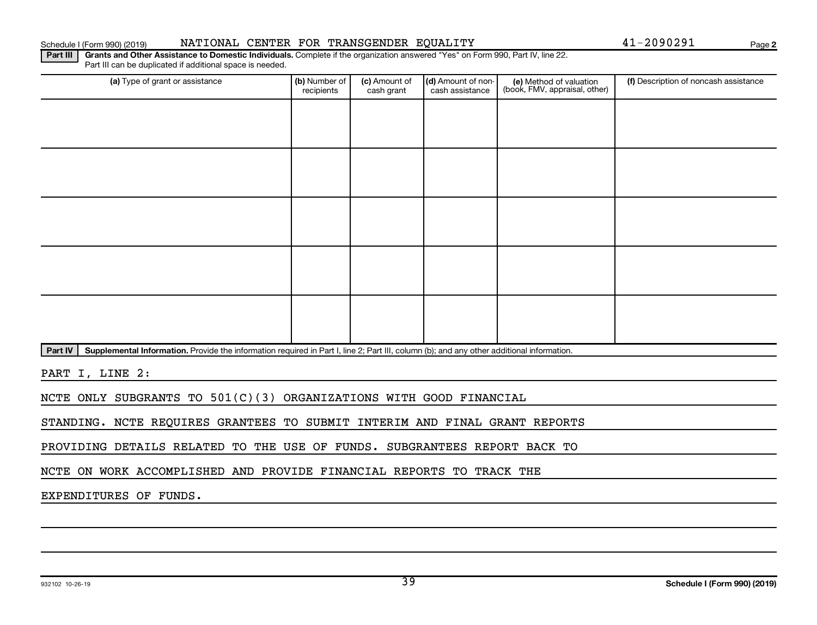#### Schedule I (Form 990) (2019) NATIONAL CENTER FOR TRANSGENDER EQUALITY Page

**2**

Part III | Grants and Other Assistance to Domestic Individuals. Complete if the organization answered "Yes" on Form 990, Part IV, line 22. Part III can be duplicated if additional space is needed.

| (a) Type of grant or assistance | (b) Number of<br>recipients | (c) Amount of<br>cash grant | (d) Amount of non-<br>cash assistance | (e) Method of valuation<br>(book, FMV, appraisal, other) | (f) Description of noncash assistance |
|---------------------------------|-----------------------------|-----------------------------|---------------------------------------|----------------------------------------------------------|---------------------------------------|
|                                 |                             |                             |                                       |                                                          |                                       |
|                                 |                             |                             |                                       |                                                          |                                       |
|                                 |                             |                             |                                       |                                                          |                                       |
|                                 |                             |                             |                                       |                                                          |                                       |
|                                 |                             |                             |                                       |                                                          |                                       |
|                                 |                             |                             |                                       |                                                          |                                       |
|                                 |                             |                             |                                       |                                                          |                                       |
|                                 |                             |                             |                                       |                                                          |                                       |
|                                 |                             |                             |                                       |                                                          |                                       |
|                                 |                             |                             |                                       |                                                          |                                       |

Part IV | Supplemental Information. Provide the information required in Part I, line 2; Part III, column (b); and any other additional information.

PART I, LINE 2:

NCTE ONLY SUBGRANTS TO 501(C)(3) ORGANIZATIONS WITH GOOD FINANCIAL

STANDING. NCTE REQUIRES GRANTEES TO SUBMIT INTERIM AND FINAL GRANT REPORTS

PROVIDING DETAILS RELATED TO THE USE OF FUNDS. SUBGRANTEES REPORT BACK TO

NCTE ON WORK ACCOMPLISHED AND PROVIDE FINANCIAL REPORTS TO TRACK THE

EXPENDITURES OF FUNDS.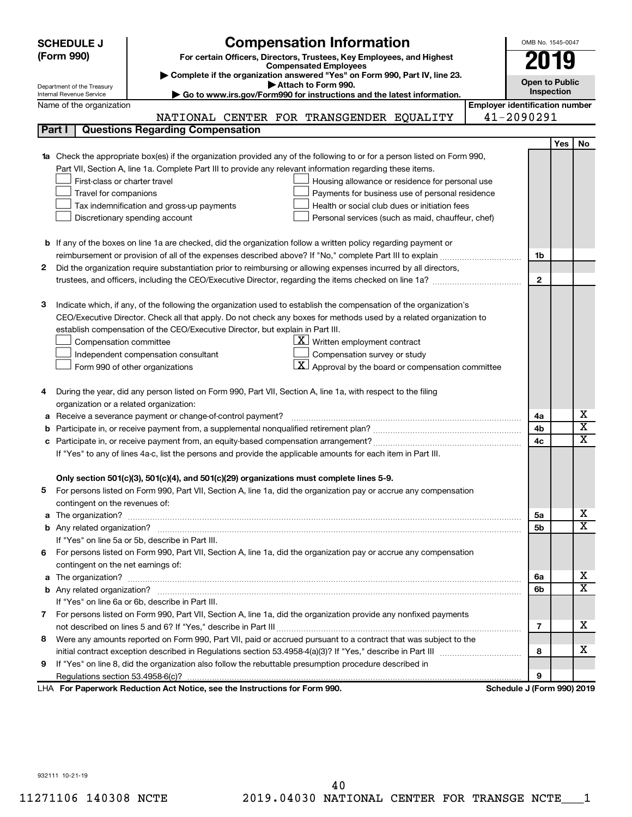| (Form 990)<br>For certain Officers, Directors, Trustees, Key Employees, and Highest<br>2019<br><b>Compensated Employees</b><br>Complete if the organization answered "Yes" on Form 990, Part IV, line 23.<br><b>Open to Public</b><br>Attach to Form 990.<br>Department of the Treasury<br>Inspection<br>Go to www.irs.gov/Form990 for instructions and the latest information.<br>Internal Revenue Service<br><b>Employer identification number</b><br>Name of the organization<br>41-2090291<br>NATIONAL CENTER FOR TRANSGENDER EQUALITY<br><b>Questions Regarding Compensation</b><br>Part I<br><b>Yes</b><br>Check the appropriate box(es) if the organization provided any of the following to or for a person listed on Form 990,<br>Part VII, Section A, line 1a. Complete Part III to provide any relevant information regarding these items.<br>First-class or charter travel<br>Housing allowance or residence for personal use<br>Travel for companions<br>Payments for business use of personal residence<br>Health or social club dues or initiation fees<br>Tax indemnification and gross-up payments<br>Discretionary spending account<br>Personal services (such as maid, chauffeur, chef)<br><b>b</b> If any of the boxes on line 1a are checked, did the organization follow a written policy regarding payment or<br>1b | <b>Compensation Information</b><br><b>SCHEDULE J</b> |  | OMB No. 1545-0047 |  |                         |  |  |  |
|--------------------------------------------------------------------------------------------------------------------------------------------------------------------------------------------------------------------------------------------------------------------------------------------------------------------------------------------------------------------------------------------------------------------------------------------------------------------------------------------------------------------------------------------------------------------------------------------------------------------------------------------------------------------------------------------------------------------------------------------------------------------------------------------------------------------------------------------------------------------------------------------------------------------------------------------------------------------------------------------------------------------------------------------------------------------------------------------------------------------------------------------------------------------------------------------------------------------------------------------------------------------------------------------------------------------------------------------|------------------------------------------------------|--|-------------------|--|-------------------------|--|--|--|
|                                                                                                                                                                                                                                                                                                                                                                                                                                                                                                                                                                                                                                                                                                                                                                                                                                                                                                                                                                                                                                                                                                                                                                                                                                                                                                                                            |                                                      |  |                   |  |                         |  |  |  |
|                                                                                                                                                                                                                                                                                                                                                                                                                                                                                                                                                                                                                                                                                                                                                                                                                                                                                                                                                                                                                                                                                                                                                                                                                                                                                                                                            |                                                      |  |                   |  |                         |  |  |  |
|                                                                                                                                                                                                                                                                                                                                                                                                                                                                                                                                                                                                                                                                                                                                                                                                                                                                                                                                                                                                                                                                                                                                                                                                                                                                                                                                            |                                                      |  |                   |  |                         |  |  |  |
|                                                                                                                                                                                                                                                                                                                                                                                                                                                                                                                                                                                                                                                                                                                                                                                                                                                                                                                                                                                                                                                                                                                                                                                                                                                                                                                                            |                                                      |  |                   |  |                         |  |  |  |
|                                                                                                                                                                                                                                                                                                                                                                                                                                                                                                                                                                                                                                                                                                                                                                                                                                                                                                                                                                                                                                                                                                                                                                                                                                                                                                                                            |                                                      |  |                   |  |                         |  |  |  |
|                                                                                                                                                                                                                                                                                                                                                                                                                                                                                                                                                                                                                                                                                                                                                                                                                                                                                                                                                                                                                                                                                                                                                                                                                                                                                                                                            |                                                      |  |                   |  |                         |  |  |  |
|                                                                                                                                                                                                                                                                                                                                                                                                                                                                                                                                                                                                                                                                                                                                                                                                                                                                                                                                                                                                                                                                                                                                                                                                                                                                                                                                            |                                                      |  |                   |  |                         |  |  |  |
|                                                                                                                                                                                                                                                                                                                                                                                                                                                                                                                                                                                                                                                                                                                                                                                                                                                                                                                                                                                                                                                                                                                                                                                                                                                                                                                                            |                                                      |  |                   |  | No                      |  |  |  |
|                                                                                                                                                                                                                                                                                                                                                                                                                                                                                                                                                                                                                                                                                                                                                                                                                                                                                                                                                                                                                                                                                                                                                                                                                                                                                                                                            |                                                      |  |                   |  |                         |  |  |  |
|                                                                                                                                                                                                                                                                                                                                                                                                                                                                                                                                                                                                                                                                                                                                                                                                                                                                                                                                                                                                                                                                                                                                                                                                                                                                                                                                            |                                                      |  |                   |  |                         |  |  |  |
|                                                                                                                                                                                                                                                                                                                                                                                                                                                                                                                                                                                                                                                                                                                                                                                                                                                                                                                                                                                                                                                                                                                                                                                                                                                                                                                                            |                                                      |  |                   |  |                         |  |  |  |
|                                                                                                                                                                                                                                                                                                                                                                                                                                                                                                                                                                                                                                                                                                                                                                                                                                                                                                                                                                                                                                                                                                                                                                                                                                                                                                                                            |                                                      |  |                   |  |                         |  |  |  |
|                                                                                                                                                                                                                                                                                                                                                                                                                                                                                                                                                                                                                                                                                                                                                                                                                                                                                                                                                                                                                                                                                                                                                                                                                                                                                                                                            |                                                      |  |                   |  |                         |  |  |  |
|                                                                                                                                                                                                                                                                                                                                                                                                                                                                                                                                                                                                                                                                                                                                                                                                                                                                                                                                                                                                                                                                                                                                                                                                                                                                                                                                            |                                                      |  |                   |  |                         |  |  |  |
|                                                                                                                                                                                                                                                                                                                                                                                                                                                                                                                                                                                                                                                                                                                                                                                                                                                                                                                                                                                                                                                                                                                                                                                                                                                                                                                                            |                                                      |  |                   |  |                         |  |  |  |
|                                                                                                                                                                                                                                                                                                                                                                                                                                                                                                                                                                                                                                                                                                                                                                                                                                                                                                                                                                                                                                                                                                                                                                                                                                                                                                                                            |                                                      |  |                   |  |                         |  |  |  |
|                                                                                                                                                                                                                                                                                                                                                                                                                                                                                                                                                                                                                                                                                                                                                                                                                                                                                                                                                                                                                                                                                                                                                                                                                                                                                                                                            |                                                      |  |                   |  |                         |  |  |  |
| Did the organization require substantiation prior to reimbursing or allowing expenses incurred by all directors,<br>2                                                                                                                                                                                                                                                                                                                                                                                                                                                                                                                                                                                                                                                                                                                                                                                                                                                                                                                                                                                                                                                                                                                                                                                                                      |                                                      |  |                   |  |                         |  |  |  |
| $\mathbf{2}$                                                                                                                                                                                                                                                                                                                                                                                                                                                                                                                                                                                                                                                                                                                                                                                                                                                                                                                                                                                                                                                                                                                                                                                                                                                                                                                               |                                                      |  |                   |  |                         |  |  |  |
|                                                                                                                                                                                                                                                                                                                                                                                                                                                                                                                                                                                                                                                                                                                                                                                                                                                                                                                                                                                                                                                                                                                                                                                                                                                                                                                                            |                                                      |  |                   |  |                         |  |  |  |
| З<br>Indicate which, if any, of the following the organization used to establish the compensation of the organization's                                                                                                                                                                                                                                                                                                                                                                                                                                                                                                                                                                                                                                                                                                                                                                                                                                                                                                                                                                                                                                                                                                                                                                                                                    |                                                      |  |                   |  |                         |  |  |  |
| CEO/Executive Director. Check all that apply. Do not check any boxes for methods used by a related organization to                                                                                                                                                                                                                                                                                                                                                                                                                                                                                                                                                                                                                                                                                                                                                                                                                                                                                                                                                                                                                                                                                                                                                                                                                         |                                                      |  |                   |  |                         |  |  |  |
| establish compensation of the CEO/Executive Director, but explain in Part III.                                                                                                                                                                                                                                                                                                                                                                                                                                                                                                                                                                                                                                                                                                                                                                                                                                                                                                                                                                                                                                                                                                                                                                                                                                                             |                                                      |  |                   |  |                         |  |  |  |
| $\underline{\mathbf{X}}$ Written employment contract<br>Compensation committee                                                                                                                                                                                                                                                                                                                                                                                                                                                                                                                                                                                                                                                                                                                                                                                                                                                                                                                                                                                                                                                                                                                                                                                                                                                             |                                                      |  |                   |  |                         |  |  |  |
| Compensation survey or study<br>Independent compensation consultant                                                                                                                                                                                                                                                                                                                                                                                                                                                                                                                                                                                                                                                                                                                                                                                                                                                                                                                                                                                                                                                                                                                                                                                                                                                                        |                                                      |  |                   |  |                         |  |  |  |
| $\lfloor \underline{X} \rfloor$ Approval by the board or compensation committee<br>Form 990 of other organizations                                                                                                                                                                                                                                                                                                                                                                                                                                                                                                                                                                                                                                                                                                                                                                                                                                                                                                                                                                                                                                                                                                                                                                                                                         |                                                      |  |                   |  |                         |  |  |  |
|                                                                                                                                                                                                                                                                                                                                                                                                                                                                                                                                                                                                                                                                                                                                                                                                                                                                                                                                                                                                                                                                                                                                                                                                                                                                                                                                            |                                                      |  |                   |  |                         |  |  |  |
| During the year, did any person listed on Form 990, Part VII, Section A, line 1a, with respect to the filing<br>4                                                                                                                                                                                                                                                                                                                                                                                                                                                                                                                                                                                                                                                                                                                                                                                                                                                                                                                                                                                                                                                                                                                                                                                                                          |                                                      |  |                   |  |                         |  |  |  |
| organization or a related organization:                                                                                                                                                                                                                                                                                                                                                                                                                                                                                                                                                                                                                                                                                                                                                                                                                                                                                                                                                                                                                                                                                                                                                                                                                                                                                                    |                                                      |  |                   |  |                         |  |  |  |
| Receive a severance payment or change-of-control payment?<br>4a<br>а                                                                                                                                                                                                                                                                                                                                                                                                                                                                                                                                                                                                                                                                                                                                                                                                                                                                                                                                                                                                                                                                                                                                                                                                                                                                       |                                                      |  |                   |  | х                       |  |  |  |
| 4b<br>b                                                                                                                                                                                                                                                                                                                                                                                                                                                                                                                                                                                                                                                                                                                                                                                                                                                                                                                                                                                                                                                                                                                                                                                                                                                                                                                                    |                                                      |  |                   |  | $\overline{\mathbf{X}}$ |  |  |  |
| 4c<br>с                                                                                                                                                                                                                                                                                                                                                                                                                                                                                                                                                                                                                                                                                                                                                                                                                                                                                                                                                                                                                                                                                                                                                                                                                                                                                                                                    |                                                      |  |                   |  | X                       |  |  |  |
| If "Yes" to any of lines 4a-c, list the persons and provide the applicable amounts for each item in Part III.                                                                                                                                                                                                                                                                                                                                                                                                                                                                                                                                                                                                                                                                                                                                                                                                                                                                                                                                                                                                                                                                                                                                                                                                                              |                                                      |  |                   |  |                         |  |  |  |
|                                                                                                                                                                                                                                                                                                                                                                                                                                                                                                                                                                                                                                                                                                                                                                                                                                                                                                                                                                                                                                                                                                                                                                                                                                                                                                                                            |                                                      |  |                   |  |                         |  |  |  |
| Only section 501(c)(3), 501(c)(4), and 501(c)(29) organizations must complete lines 5-9.                                                                                                                                                                                                                                                                                                                                                                                                                                                                                                                                                                                                                                                                                                                                                                                                                                                                                                                                                                                                                                                                                                                                                                                                                                                   |                                                      |  |                   |  |                         |  |  |  |
| For persons listed on Form 990, Part VII, Section A, line 1a, did the organization pay or accrue any compensation                                                                                                                                                                                                                                                                                                                                                                                                                                                                                                                                                                                                                                                                                                                                                                                                                                                                                                                                                                                                                                                                                                                                                                                                                          |                                                      |  |                   |  |                         |  |  |  |
| contingent on the revenues of:                                                                                                                                                                                                                                                                                                                                                                                                                                                                                                                                                                                                                                                                                                                                                                                                                                                                                                                                                                                                                                                                                                                                                                                                                                                                                                             |                                                      |  |                   |  |                         |  |  |  |
| 5a<br>a                                                                                                                                                                                                                                                                                                                                                                                                                                                                                                                                                                                                                                                                                                                                                                                                                                                                                                                                                                                                                                                                                                                                                                                                                                                                                                                                    |                                                      |  |                   |  | x                       |  |  |  |
| 5b                                                                                                                                                                                                                                                                                                                                                                                                                                                                                                                                                                                                                                                                                                                                                                                                                                                                                                                                                                                                                                                                                                                                                                                                                                                                                                                                         |                                                      |  |                   |  | X                       |  |  |  |
| If "Yes" on line 5a or 5b, describe in Part III.                                                                                                                                                                                                                                                                                                                                                                                                                                                                                                                                                                                                                                                                                                                                                                                                                                                                                                                                                                                                                                                                                                                                                                                                                                                                                           |                                                      |  |                   |  |                         |  |  |  |
| 6 For persons listed on Form 990, Part VII, Section A, line 1a, did the organization pay or accrue any compensation                                                                                                                                                                                                                                                                                                                                                                                                                                                                                                                                                                                                                                                                                                                                                                                                                                                                                                                                                                                                                                                                                                                                                                                                                        |                                                      |  |                   |  |                         |  |  |  |
| contingent on the net earnings of:                                                                                                                                                                                                                                                                                                                                                                                                                                                                                                                                                                                                                                                                                                                                                                                                                                                                                                                                                                                                                                                                                                                                                                                                                                                                                                         |                                                      |  |                   |  | x                       |  |  |  |
| The organization? <b>With the contract of the contract of the contract of the contract of the contract of the contract of the contract of the contract of the contract of the contract of the contract of the contract of the co</b><br>6a<br>a                                                                                                                                                                                                                                                                                                                                                                                                                                                                                                                                                                                                                                                                                                                                                                                                                                                                                                                                                                                                                                                                                            |                                                      |  |                   |  | х                       |  |  |  |
| 6b                                                                                                                                                                                                                                                                                                                                                                                                                                                                                                                                                                                                                                                                                                                                                                                                                                                                                                                                                                                                                                                                                                                                                                                                                                                                                                                                         |                                                      |  |                   |  |                         |  |  |  |
| If "Yes" on line 6a or 6b, describe in Part III.                                                                                                                                                                                                                                                                                                                                                                                                                                                                                                                                                                                                                                                                                                                                                                                                                                                                                                                                                                                                                                                                                                                                                                                                                                                                                           |                                                      |  |                   |  |                         |  |  |  |
| 7 For persons listed on Form 990, Part VII, Section A, line 1a, did the organization provide any nonfixed payments                                                                                                                                                                                                                                                                                                                                                                                                                                                                                                                                                                                                                                                                                                                                                                                                                                                                                                                                                                                                                                                                                                                                                                                                                         |                                                      |  |                   |  | x                       |  |  |  |
| 7                                                                                                                                                                                                                                                                                                                                                                                                                                                                                                                                                                                                                                                                                                                                                                                                                                                                                                                                                                                                                                                                                                                                                                                                                                                                                                                                          |                                                      |  |                   |  |                         |  |  |  |
| Were any amounts reported on Form 990, Part VII, paid or accrued pursuant to a contract that was subject to the<br>8<br>8                                                                                                                                                                                                                                                                                                                                                                                                                                                                                                                                                                                                                                                                                                                                                                                                                                                                                                                                                                                                                                                                                                                                                                                                                  |                                                      |  |                   |  | х                       |  |  |  |
|                                                                                                                                                                                                                                                                                                                                                                                                                                                                                                                                                                                                                                                                                                                                                                                                                                                                                                                                                                                                                                                                                                                                                                                                                                                                                                                                            |                                                      |  |                   |  |                         |  |  |  |
| If "Yes" on line 8, did the organization also follow the rebuttable presumption procedure described in<br>9<br>9                                                                                                                                                                                                                                                                                                                                                                                                                                                                                                                                                                                                                                                                                                                                                                                                                                                                                                                                                                                                                                                                                                                                                                                                                           |                                                      |  |                   |  |                         |  |  |  |
| LHA For Paperwork Reduction Act Notice, see the Instructions for Form 990.<br>Schedule J (Form 990) 2019                                                                                                                                                                                                                                                                                                                                                                                                                                                                                                                                                                                                                                                                                                                                                                                                                                                                                                                                                                                                                                                                                                                                                                                                                                   |                                                      |  |                   |  |                         |  |  |  |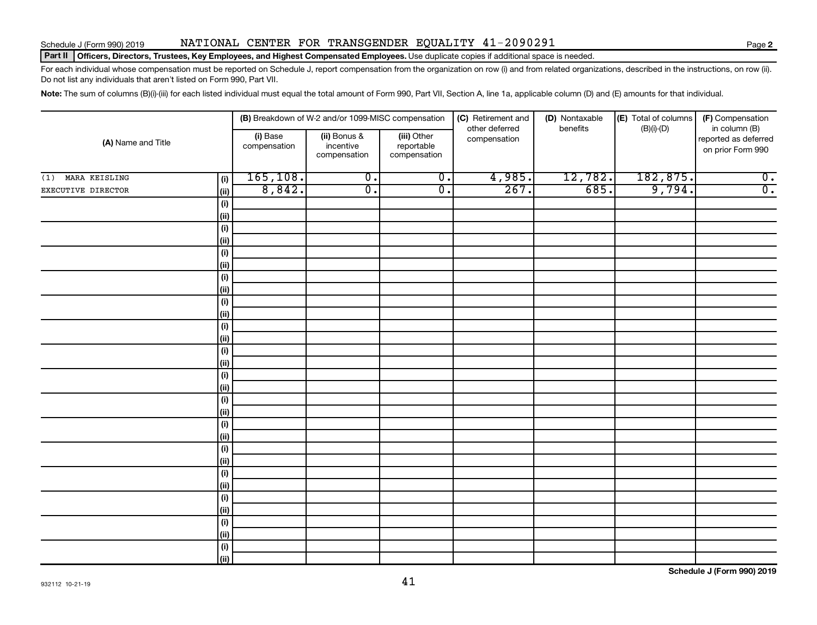#### Part II | Officers, Directors, Trustees, Key Employees, and Highest Compensated Employees. Use duplicate copies if additional space is needed.

For each individual whose compensation must be reported on Schedule J, report compensation from the organization on row (i) and from related organizations, described in the instructions, on row (ii). Do not list any individuals that aren't listed on Form 990, Part VII.

Note: The sum of columns (B)(i)-(iii) for each listed individual must equal the total amount of Form 990, Part VII, Section A, line 1a, applicable column (D) and (E) amounts for that individual.

|                      |                              |                          | (B) Breakdown of W-2 and/or 1099-MISC compensation |                                           | (C) Retirement and             | (D) Nontaxable | (E) Total of columns      | (F) Compensation<br>in column (B)         |  |
|----------------------|------------------------------|--------------------------|----------------------------------------------------|-------------------------------------------|--------------------------------|----------------|---------------------------|-------------------------------------------|--|
| (A) Name and Title   |                              | (i) Base<br>compensation | (ii) Bonus &<br>incentive<br>compensation          | (iii) Other<br>reportable<br>compensation | other deferred<br>compensation | benefits       | $(B)(i)$ - $(D)$          | reported as deferred<br>on prior Form 990 |  |
| MARA KEISLING<br>(1) | (i)                          | 165, 108.                | $\overline{0}$ .                                   | $\overline{0}$ .                          | 4,985.                         | 12,782.        | $\frac{182,875.}{9,794.}$ | $\overline{0}$ .                          |  |
| EXECUTIVE DIRECTOR   | (ii)                         | 8,842.                   | $\overline{0}$ .                                   | $\overline{0}$ .                          | 267.                           | 685.           |                           | $\overline{0}$ .                          |  |
|                      | (i)                          |                          |                                                    |                                           |                                |                |                           |                                           |  |
|                      | (ii)                         |                          |                                                    |                                           |                                |                |                           |                                           |  |
|                      | (i)                          |                          |                                                    |                                           |                                |                |                           |                                           |  |
|                      | (ii)                         |                          |                                                    |                                           |                                |                |                           |                                           |  |
|                      | $(\sf{i})$                   |                          |                                                    |                                           |                                |                |                           |                                           |  |
|                      | (ii)                         |                          |                                                    |                                           |                                |                |                           |                                           |  |
|                      | $\qquad \qquad \textbf{(i)}$ |                          |                                                    |                                           |                                |                |                           |                                           |  |
|                      | (ii)                         |                          |                                                    |                                           |                                |                |                           |                                           |  |
|                      | $\qquad \qquad \textbf{(i)}$ |                          |                                                    |                                           |                                |                |                           |                                           |  |
|                      | (ii)                         |                          |                                                    |                                           |                                |                |                           |                                           |  |
|                      | $(\sf{i})$                   |                          |                                                    |                                           |                                |                |                           |                                           |  |
|                      | (ii)                         |                          |                                                    |                                           |                                |                |                           |                                           |  |
|                      | (i)<br>(ii)                  |                          |                                                    |                                           |                                |                |                           |                                           |  |
|                      | $\qquad \qquad \textbf{(i)}$ |                          |                                                    |                                           |                                |                |                           |                                           |  |
|                      | (ii)                         |                          |                                                    |                                           |                                |                |                           |                                           |  |
|                      | $\qquad \qquad \textbf{(i)}$ |                          |                                                    |                                           |                                |                |                           |                                           |  |
|                      | (ii)                         |                          |                                                    |                                           |                                |                |                           |                                           |  |
|                      | $(\sf{i})$                   |                          |                                                    |                                           |                                |                |                           |                                           |  |
|                      | (ii)                         |                          |                                                    |                                           |                                |                |                           |                                           |  |
|                      | $\qquad \qquad \textbf{(i)}$ |                          |                                                    |                                           |                                |                |                           |                                           |  |
|                      | (ii)                         |                          |                                                    |                                           |                                |                |                           |                                           |  |
|                      | (i)                          |                          |                                                    |                                           |                                |                |                           |                                           |  |
|                      | (ii)                         |                          |                                                    |                                           |                                |                |                           |                                           |  |
|                      | $\qquad \qquad \textbf{(i)}$ |                          |                                                    |                                           |                                |                |                           |                                           |  |
|                      | (ii)                         |                          |                                                    |                                           |                                |                |                           |                                           |  |
|                      | (i)                          |                          |                                                    |                                           |                                |                |                           |                                           |  |
|                      | (ii)                         |                          |                                                    |                                           |                                |                |                           |                                           |  |
|                      | $(\sf{i})$                   |                          |                                                    |                                           |                                |                |                           |                                           |  |
|                      | (ii)                         |                          |                                                    |                                           |                                |                |                           |                                           |  |

**Schedule J (Form 990) 2019**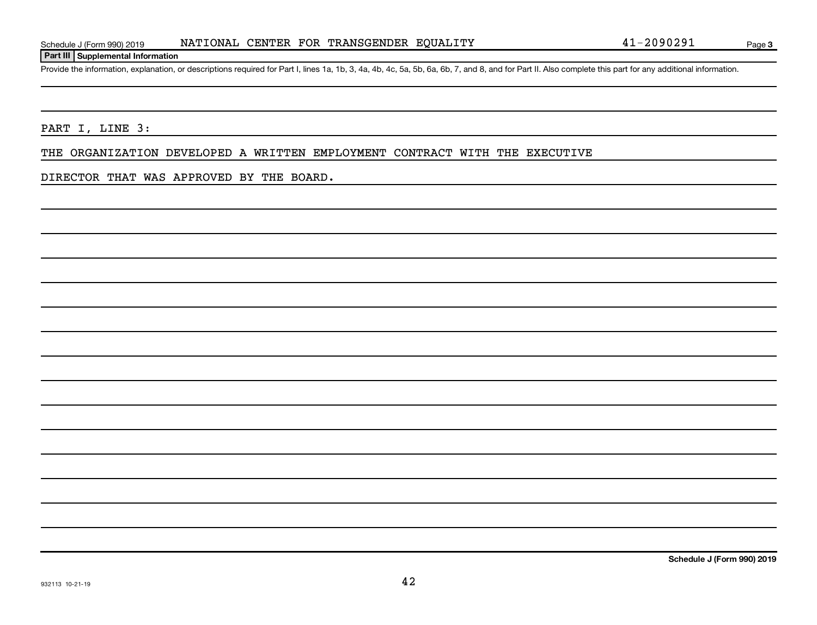#### **Part III Supplemental Information**

Provide the information, explanation, or descriptions required for Part I, lines 1a, 1b, 3, 4a, 4b, 4c, 5a, 5b, 6a, 6b, 7, and 8, and for Part II. Also complete this part for any additional information.

PART I, LINE 3:

THE ORGANIZATION DEVELOPED A WRITTEN EMPLOYMENT CONTRACT WITH THE EXECUTIVE

DIRECTOR THAT WAS APPROVED BY THE BOARD.

**Schedule J (Form 990) 2019**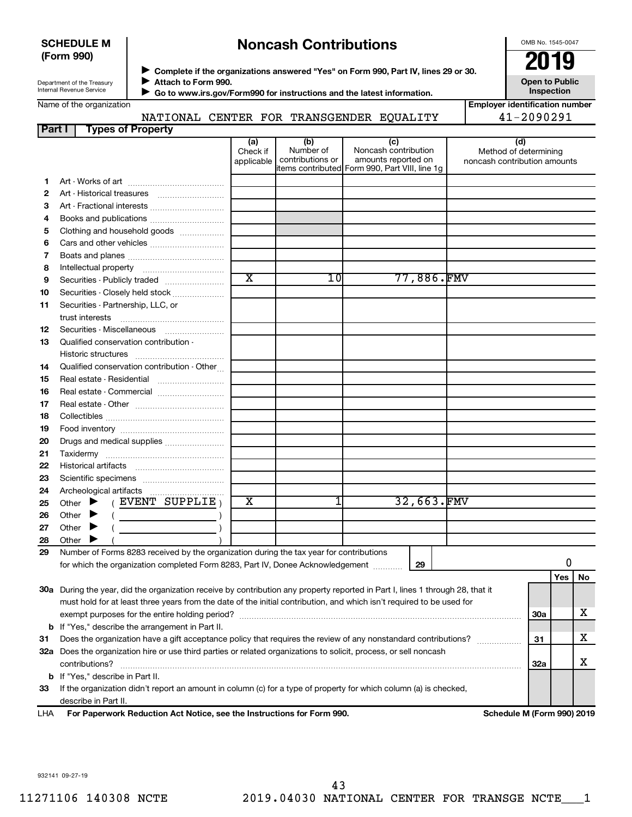#### **SCHEDULE M (Form 990)**

# **Noncash Contributions**

OMB No. 1545-0047

| Department of the Treasury |
|----------------------------|
| Internal Revenue Service   |

◆ Complete if the organizations answered "Yes" on Form 990, Part IV, lines 29 or 30.<br>▶ Complete if the organizations answered "Yes" on Form 990, Part IV, lines 29 or 30. **Attach to Form 990.**  $\blacktriangleright$ 

**Open to Public Inspection**

| inpioyer iuenuncauon numbe |                |  |  |  |
|----------------------------|----------------|--|--|--|
|                            | $41 - 2090291$ |  |  |  |

|    | Internal Revenue Service                         |                               |                                      | Go to www.irs.gov/Form990 for instructions and the latest information.                               | Inspection                                                   |
|----|--------------------------------------------------|-------------------------------|--------------------------------------|------------------------------------------------------------------------------------------------------|--------------------------------------------------------------|
|    | Name of the organization                         |                               |                                      |                                                                                                      | <b>Employer identification number</b>                        |
|    |                                                  |                               |                                      | NATIONAL CENTER FOR TRANSGENDER EQUALITY                                                             | 41-2090291                                                   |
|    | <b>Types of Property</b><br>Part I               |                               |                                      |                                                                                                      |                                                              |
|    |                                                  | (a)<br>Check if<br>applicable | (b)<br>Number of<br>contributions or | (c)<br>Noncash contribution<br>amounts reported on<br>items contributed Form 990, Part VIII, line 1g | (d)<br>Method of determining<br>noncash contribution amounts |
| 1  |                                                  |                               |                                      |                                                                                                      |                                                              |
| 2  |                                                  |                               |                                      |                                                                                                      |                                                              |
| з  |                                                  |                               |                                      |                                                                                                      |                                                              |
| 4  |                                                  |                               |                                      |                                                                                                      |                                                              |
| 5  | Clothing and household goods                     |                               |                                      |                                                                                                      |                                                              |
| 6  | Cars and other vehicles                          |                               |                                      |                                                                                                      |                                                              |
| 7  |                                                  |                               |                                      |                                                                                                      |                                                              |
| 8  |                                                  |                               |                                      |                                                                                                      |                                                              |
| 9  |                                                  | $\overline{\textnormal{x}}$   | 1 Ol                                 | 77,886.FMV                                                                                           |                                                              |
| 10 | Securities - Closely held stock                  |                               |                                      |                                                                                                      |                                                              |
| 11 | Securities - Partnership, LLC, or                |                               |                                      |                                                                                                      |                                                              |
|    | trust interests                                  |                               |                                      |                                                                                                      |                                                              |
| 12 | Securities - Miscellaneous                       |                               |                                      |                                                                                                      |                                                              |
| 13 | Qualified conservation contribution -            |                               |                                      |                                                                                                      |                                                              |
|    |                                                  |                               |                                      |                                                                                                      |                                                              |
| 14 | Qualified conservation contribution - Other      |                               |                                      |                                                                                                      |                                                              |
| 15 | Real estate - Residential                        |                               |                                      |                                                                                                      |                                                              |
| 16 | Real estate - Commercial                         |                               |                                      |                                                                                                      |                                                              |
| 17 |                                                  |                               |                                      |                                                                                                      |                                                              |
| 18 |                                                  |                               |                                      |                                                                                                      |                                                              |
| 19 |                                                  |                               |                                      |                                                                                                      |                                                              |
| 20 | Drugs and medical supplies                       |                               |                                      |                                                                                                      |                                                              |
| 21 |                                                  |                               |                                      |                                                                                                      |                                                              |
| 22 |                                                  |                               |                                      |                                                                                                      |                                                              |
| 23 |                                                  |                               |                                      |                                                                                                      |                                                              |
| 24 | Archeological artifacts                          |                               |                                      |                                                                                                      |                                                              |
| 25 | $(EVENT$ SUPPLIE)<br>Other $\blacktriangleright$ | $\overline{\text{x}}$         | 1                                    | 32,663.FMV                                                                                           |                                                              |
| 26 | Other $\blacktriangleright$                      |                               |                                      |                                                                                                      |                                                              |
| 27 | Other                                            |                               |                                      |                                                                                                      |                                                              |
| 28 | Other $\blacktriangleright$                      |                               |                                      |                                                                                                      |                                                              |

| 24  | Archeological artifacts                                                                                                        |   |  |            |            |     |    |
|-----|--------------------------------------------------------------------------------------------------------------------------------|---|--|------------|------------|-----|----|
| 25  | EVENT SUPPLIE,<br>Other                                                                                                        | x |  | 32,663.FMV |            |     |    |
| 26  | Other<br>▸                                                                                                                     |   |  |            |            |     |    |
| 27  | Other<br>▸                                                                                                                     |   |  |            |            |     |    |
| 28  | Other                                                                                                                          |   |  |            |            |     |    |
| 29  | Number of Forms 8283 received by the organization during the tax year for contributions                                        |   |  |            |            |     |    |
|     | for which the organization completed Form 8283, Part IV, Donee Acknowledgement                                                 |   |  |            |            |     |    |
|     |                                                                                                                                |   |  |            |            | Yes | No |
|     | 30a During the year, did the organization receive by contribution any property reported in Part I, lines 1 through 28, that it |   |  |            |            |     |    |
|     | must hold for at least three years from the date of the initial contribution, and which isn't required to be used for          |   |  |            |            |     |    |
|     |                                                                                                                                |   |  |            | 30a        |     | x  |
|     | <b>b</b> If "Yes," describe the arrangement in Part II.                                                                        |   |  |            |            |     |    |
| -31 | Does the organization have a gift acceptance policy that requires the review of any nonstandard contributions?                 |   |  |            | 31         |     | х  |
| 32a | Does the organization hire or use third parties or related organizations to solicit, process, or sell noncash                  |   |  |            |            |     |    |
|     | contributions?                                                                                                                 |   |  |            | <b>32a</b> |     | X  |
|     | <b>b</b> If "Yes," describe in Part II.                                                                                        |   |  |            |            |     |    |
| 33  | If the organization didn't report an amount in column (c) for a type of property for which column (a) is checked,              |   |  |            |            |     |    |
|     | describe in Part II.                                                                                                           |   |  |            |            |     |    |

**For Paperwork Reduction Act Notice, see the Instructions for Form 990. Schedule M (Form 990) 2019** LHA

932141 09-27-19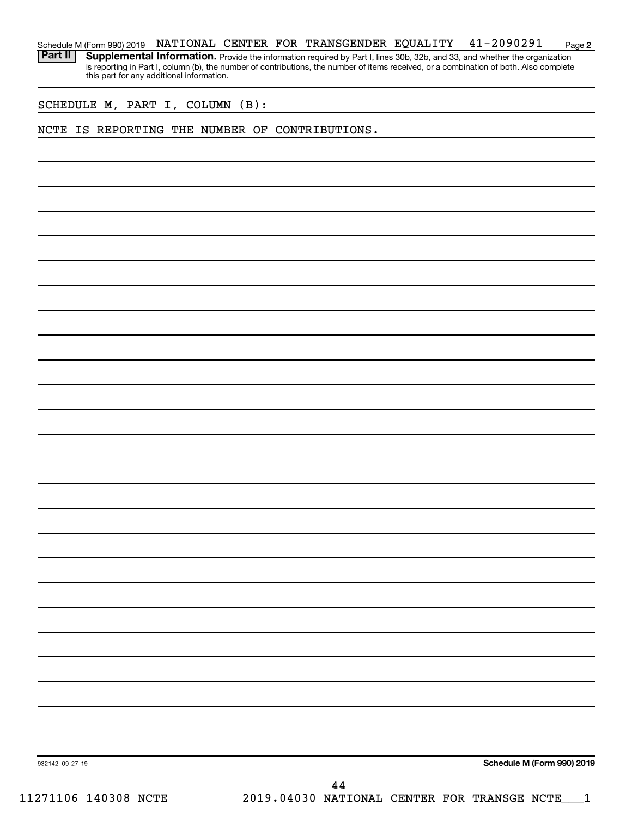**2** Schedule M (Form 990) 2019 NATIONAL CENTER FOR TRANSGENDER EQUALITY 41-2090291 Page

Part II | Supplemental Information. Provide the information required by Part I, lines 30b, 32b, and 33, and whether the organization is reporting in Part I, column (b), the number of contributions, the number of items received, or a combination of both. Also complete this part for any additional information.

SCHEDULE M, PART I, COLUMN (B):

#### NCTE IS REPORTING THE NUMBER OF CONTRIBUTIONS.

**Schedule M (Form 990) 2019**

932142 09-27-19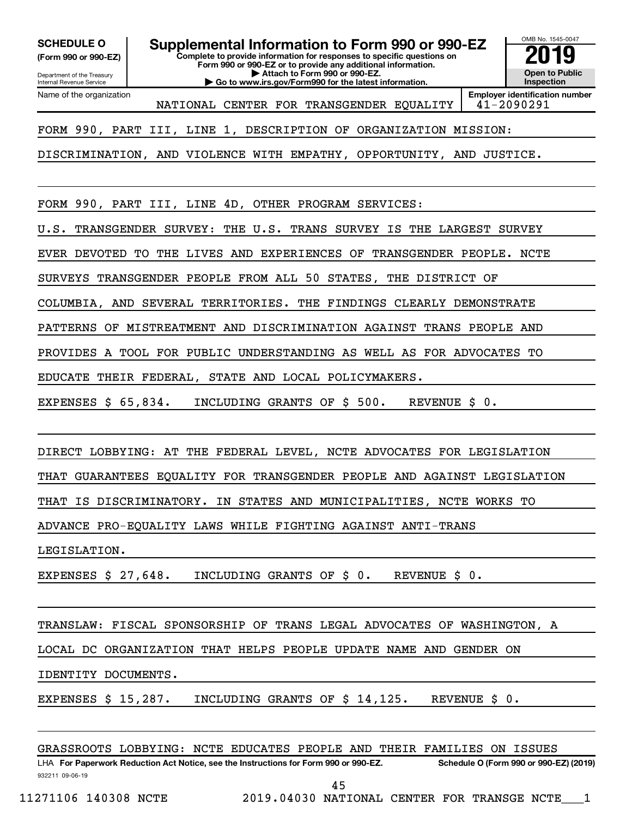**(Form 990 or 990-EZ)**

**Complete to provide information for responses to specific questions on Form 990 or 990-EZ or to provide any additional information. | Attach to Form 990 or 990-EZ. | Go to www.irs.gov/Form990 for the latest information. SCHEDULE O Supplemental Information to Form 990 or 990-EZ 2019** 



Department of the Treasury Internal Revenue Service Name of the organization

**Employer identification number** NATIONAL CENTER FOR TRANSGENDER EQUALITY 41-2090291

FORM 990, PART III, LINE 1, DESCRIPTION OF ORGANIZATION MISSION:

DISCRIMINATION, AND VIOLENCE WITH EMPATHY, OPPORTUNITY, AND JUSTICE.

FORM 990, PART III, LINE 4D, OTHER PROGRAM SERVICES:

U.S. TRANSGENDER SURVEY: THE U.S. TRANS SURVEY IS THE LARGEST SURVEY

EVER DEVOTED TO THE LIVES AND EXPERIENCES OF TRANSGENDER PEOPLE. NCTE

SURVEYS TRANSGENDER PEOPLE FROM ALL 50 STATES, THE DISTRICT OF

COLUMBIA, AND SEVERAL TERRITORIES. THE FINDINGS CLEARLY DEMONSTRATE

PATTERNS OF MISTREATMENT AND DISCRIMINATION AGAINST TRANS PEOPLE AND

PROVIDES A TOOL FOR PUBLIC UNDERSTANDING AS WELL AS FOR ADVOCATES TO

EDUCATE THEIR FEDERAL, STATE AND LOCAL POLICYMAKERS.

EXPENSES \$ 65,834. INCLUDING GRANTS OF \$ 500. REVENUE \$ 0.

DIRECT LOBBYING: AT THE FEDERAL LEVEL, NCTE ADVOCATES FOR LEGISLATION

THAT GUARANTEES EQUALITY FOR TRANSGENDER PEOPLE AND AGAINST LEGISLATION

THAT IS DISCRIMINATORY. IN STATES AND MUNICIPALITIES, NCTE WORKS TO

ADVANCE PRO-EQUALITY LAWS WHILE FIGHTING AGAINST ANTI-TRANS

LEGISLATION.

EXPENSES \$ 27,648. INCLUDING GRANTS OF \$ 0. REVENUE \$ 0.

TRANSLAW: FISCAL SPONSORSHIP OF TRANS LEGAL ADVOCATES OF WASHINGTON, A

LOCAL DC ORGANIZATION THAT HELPS PEOPLE UPDATE NAME AND GENDER ON

IDENTITY DOCUMENTS.

EXPENSES \$ 15,287. INCLUDING GRANTS OF \$ 14,125. REVENUE \$ 0.

GRASSROOTS LOBBYING: NCTE EDUCATES PEOPLE AND THEIR FAMILIES ON ISSUES

932211 09-06-19 LHA For Paperwork Reduction Act Notice, see the Instructions for Form 990 or 990-EZ. Schedule O (Form 990 or 990-EZ) (2019) 45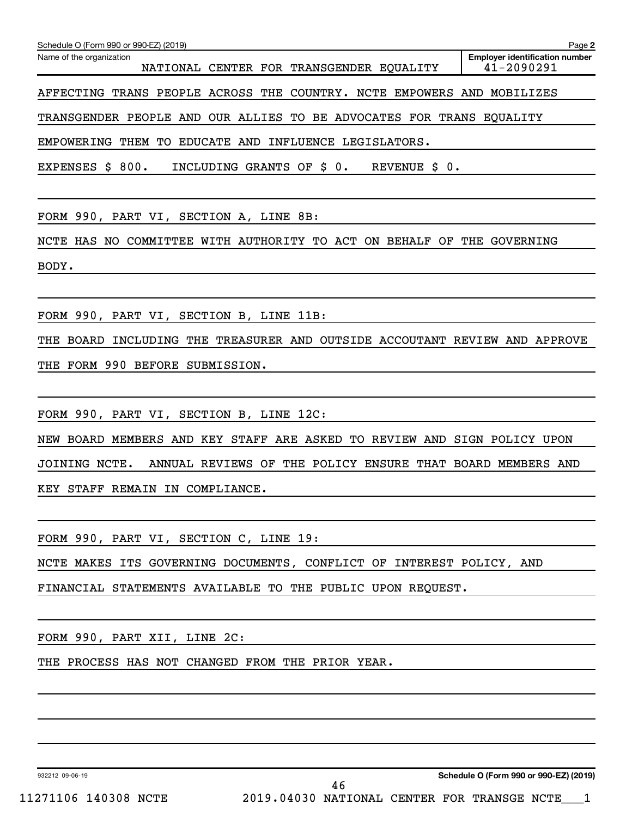| Schedule O (Form 990 or 990-EZ) (2019)                                                             | Page 2                                              |
|----------------------------------------------------------------------------------------------------|-----------------------------------------------------|
| Name of the organization<br>NATIONAL CENTER FOR TRANSGENDER EQUALITY                               | <b>Employer identification number</b><br>41-2090291 |
| AFFECTING TRANS PEOPLE ACROSS THE COUNTRY. NCTE EMPOWERS AND MOBILIZES                             |                                                     |
| TRANSGENDER PEOPLE AND OUR ALLIES TO BE ADVOCATES FOR TRANS EQUALITY                               |                                                     |
| EMPOWERING THEM TO EDUCATE AND INFLUENCE LEGISLATORS.                                              |                                                     |
| <b>REVENUE</b><br>EXPENSES \$<br>800.<br>INCLUDING GRANTS OF \$ 0.<br>$\boldsymbol{\mathsf{S}}$ 0. |                                                     |

FORM 990, PART VI, SECTION A, LINE 8B:

NCTE HAS NO COMMITTEE WITH AUTHORITY TO ACT ON BEHALF OF THE GOVERNING BODY.

FORM 990, PART VI, SECTION B, LINE 11B:

THE BOARD INCLUDING THE TREASURER AND OUTSIDE ACCOUTANT REVIEW AND APPROVE THE FORM 990 BEFORE SUBMISSION.

FORM 990, PART VI, SECTION B, LINE 12C:

NEW BOARD MEMBERS AND KEY STAFF ARE ASKED TO REVIEW AND SIGN POLICY UPON

JOINING NCTE. ANNUAL REVIEWS OF THE POLICY ENSURE THAT BOARD MEMBERS AND

KEY STAFF REMAIN IN COMPLIANCE.

FORM 990, PART VI, SECTION C, LINE 19:

NCTE MAKES ITS GOVERNING DOCUMENTS, CONFLICT OF INTEREST POLICY, AND

FINANCIAL STATEMENTS AVAILABLE TO THE PUBLIC UPON REQUEST.

FORM 990, PART XII, LINE 2C:

THE PROCESS HAS NOT CHANGED FROM THE PRIOR YEAR.

932212 09-06-19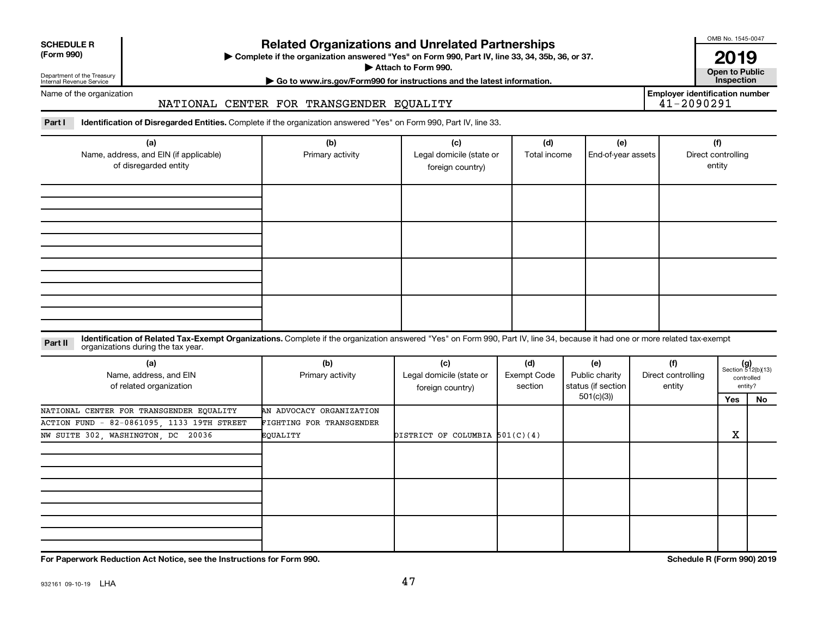| <b>SCHEDULE R</b> |  |
|-------------------|--|
|                   |  |

### **Related Organizations and Unrelated Partnerships**

**(Form 990) Complete if the organization answered "Yes" on Form 990, Part IV, line 33, 34, 35b, 36, or 37.** |

▶ Attach to Form 990. **Open to Public** 

OMB No. 1545-0047

**| Go to www.irs.gov/Form990 for instructions and the latest information. Inspection 2019**<br>Open to Public

Name of the organization

Department of the Treasury Internal Revenue Service

NATIONAL CENTER FOR TRANSGENDER EQUALITY

**Employer identification number**

Part I ldentification of Disregarded Entities. Complete if the organization answered "Yes" on Form 990, Part IV, line 33.

| (a)<br>Name, address, and EIN (if applicable)<br>of disregarded entity | (b)<br>Primary activity | (c)<br>Legal domicile (state or<br>foreign country) | (d)<br>Total income | (e)<br>End-of-year assets | (f)<br>Direct controlling<br>entity |
|------------------------------------------------------------------------|-------------------------|-----------------------------------------------------|---------------------|---------------------------|-------------------------------------|
|                                                                        |                         |                                                     |                     |                           |                                     |
|                                                                        |                         |                                                     |                     |                           |                                     |
|                                                                        |                         |                                                     |                     |                           |                                     |
|                                                                        |                         |                                                     |                     |                           |                                     |

#### **Part II** Identification of Related Tax-Exempt Organizations. Complete if the organization answered "Yes" on Form 990, Part IV, line 34, because it had one or more related tax-exempt<br>Part II acconizations during the tax ye organizations during the tax year.

| (a)<br>Name, address, and EIN<br>of related organization | (b)<br>Primary activity  | (c)<br>Legal domicile (state or<br>foreign country) | (d)<br>Exempt Code<br>section | (e)<br>Public charity<br>status (if section | (f)<br>Direct controlling<br>entity |     | $(g)$<br>Section 512(b)(13)<br>controlled<br>entity? |
|----------------------------------------------------------|--------------------------|-----------------------------------------------------|-------------------------------|---------------------------------------------|-------------------------------------|-----|------------------------------------------------------|
|                                                          |                          |                                                     |                               | 501(c)(3))                                  |                                     | Yes | No                                                   |
| NATIONAL CENTER FOR TRANSGENDER EQUALITY                 | AN ADVOCACY ORGANIZATION |                                                     |                               |                                             |                                     |     |                                                      |
| ACTION FUND - 82-0861095, 1133 19TH STREET               | FIGHTING FOR TRANSGENDER |                                                     |                               |                                             |                                     |     |                                                      |
| NW SUITE 302, WASHINGTON, DC 20036                       | EQUALITY                 | DISTRICT OF COLUMBIA $501(C)(4)$                    |                               |                                             |                                     | х   |                                                      |
|                                                          |                          |                                                     |                               |                                             |                                     |     |                                                      |
|                                                          |                          |                                                     |                               |                                             |                                     |     |                                                      |
|                                                          |                          |                                                     |                               |                                             |                                     |     |                                                      |

**For Paperwork Reduction Act Notice, see the Instructions for Form 990. Schedule R (Form 990) 2019**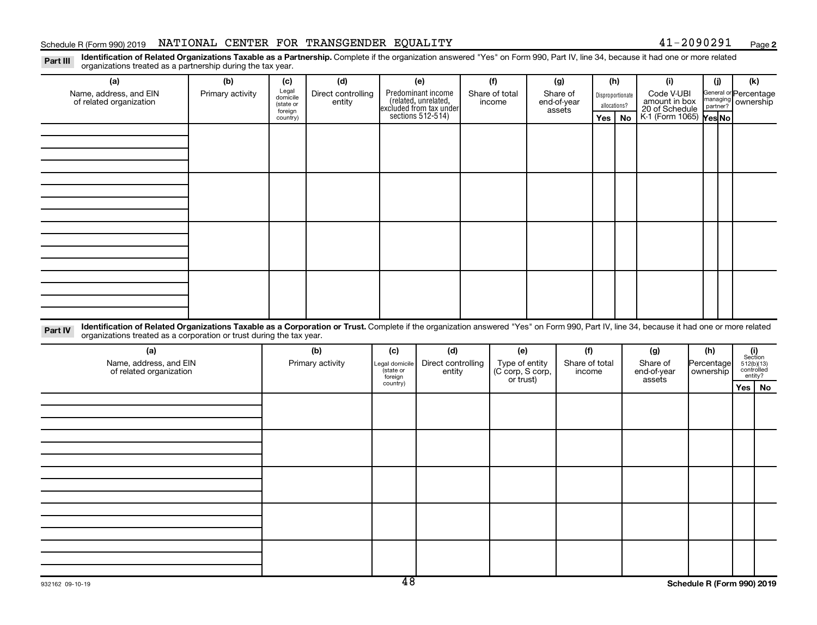#### Schedule R (Form 990) 2019 Page NATIONAL CENTER FOR TRANSGENDER EQUALITY 41-2090291

**2**

Part III Identification of Related Organizations Taxable as a Partnership. Complete if the organization answered "Yes" on Form 990, Part IV, line 34, because it had one or more related<br>Read to the organizations tracted as organizations treated as a partnership during the tax year.

|                                                                                                                                                                                                                                                                             |                  | .,                   |                              |                      |                                                                     |                               |                         |     |                  |                             |                                             |                                              |  |
|-----------------------------------------------------------------------------------------------------------------------------------------------------------------------------------------------------------------------------------------------------------------------------|------------------|----------------------|------------------------------|----------------------|---------------------------------------------------------------------|-------------------------------|-------------------------|-----|------------------|-----------------------------|---------------------------------------------|----------------------------------------------|--|
| (a)                                                                                                                                                                                                                                                                         | (b)              | (c)                  | (d)                          |                      | (e)                                                                 | (f)                           | (g)                     |     | (h)              | (i)                         | (i)                                         | (k)                                          |  |
| Name, address, and EIN<br>of related organization                                                                                                                                                                                                                           | Primary activity | Legal<br>domicile    | Direct controlling<br>entity |                      | Predominant income                                                  | Share of total<br>income      | Share of<br>end-of-year |     | Disproportionate | Code V-UBI<br>amount in box | General or Percentage<br>managing ownership |                                              |  |
|                                                                                                                                                                                                                                                                             |                  | (state or<br>foreign |                              |                      | related, unrelated,<br>excluded from tax under<br>sections 512-514) |                               | assets                  |     | allocations?     | 20 of Schedule              |                                             |                                              |  |
|                                                                                                                                                                                                                                                                             |                  | country)             |                              |                      |                                                                     |                               |                         | Yes | No               | K-1 (Form 1065) Yes No      |                                             |                                              |  |
|                                                                                                                                                                                                                                                                             |                  |                      |                              |                      |                                                                     |                               |                         |     |                  |                             |                                             |                                              |  |
|                                                                                                                                                                                                                                                                             |                  |                      |                              |                      |                                                                     |                               |                         |     |                  |                             |                                             |                                              |  |
|                                                                                                                                                                                                                                                                             |                  |                      |                              |                      |                                                                     |                               |                         |     |                  |                             |                                             |                                              |  |
|                                                                                                                                                                                                                                                                             |                  |                      |                              |                      |                                                                     |                               |                         |     |                  |                             |                                             |                                              |  |
|                                                                                                                                                                                                                                                                             |                  |                      |                              |                      |                                                                     |                               |                         |     |                  |                             |                                             |                                              |  |
|                                                                                                                                                                                                                                                                             |                  |                      |                              |                      |                                                                     |                               |                         |     |                  |                             |                                             |                                              |  |
|                                                                                                                                                                                                                                                                             |                  |                      |                              |                      |                                                                     |                               |                         |     |                  |                             |                                             |                                              |  |
|                                                                                                                                                                                                                                                                             |                  |                      |                              |                      |                                                                     |                               |                         |     |                  |                             |                                             |                                              |  |
|                                                                                                                                                                                                                                                                             |                  |                      |                              |                      |                                                                     |                               |                         |     |                  |                             |                                             |                                              |  |
|                                                                                                                                                                                                                                                                             |                  |                      |                              |                      |                                                                     |                               |                         |     |                  |                             |                                             |                                              |  |
|                                                                                                                                                                                                                                                                             |                  |                      |                              |                      |                                                                     |                               |                         |     |                  |                             |                                             |                                              |  |
|                                                                                                                                                                                                                                                                             |                  |                      |                              |                      |                                                                     |                               |                         |     |                  |                             |                                             |                                              |  |
|                                                                                                                                                                                                                                                                             |                  |                      |                              |                      |                                                                     |                               |                         |     |                  |                             |                                             |                                              |  |
|                                                                                                                                                                                                                                                                             |                  |                      |                              |                      |                                                                     |                               |                         |     |                  |                             |                                             |                                              |  |
|                                                                                                                                                                                                                                                                             |                  |                      |                              |                      |                                                                     |                               |                         |     |                  |                             |                                             |                                              |  |
| Identification of Related Organizations Taxable as a Corporation or Trust. Complete if the organization answered "Yes" on Form 990, Part IV, line 34, because it had one or more related<br>Part IV<br>organizations treated as a corporation or trust during the tax year. |                  |                      |                              |                      |                                                                     |                               |                         |     |                  |                             |                                             |                                              |  |
| (a)                                                                                                                                                                                                                                                                         |                  |                      | (b)                          | (c)                  | (d)                                                                 | (e)                           | (f)                     |     |                  | (g)                         | (h)                                         |                                              |  |
| Name, address, and EIN                                                                                                                                                                                                                                                      |                  |                      | Primary activity             | egal domicile        | Direct controlling                                                  | Type of entity                | Share of total          |     |                  | Share of                    | Percentage                                  | $(i)$<br>Section<br>512(b)(13)<br>controlled |  |
| of related organization                                                                                                                                                                                                                                                     |                  |                      |                              | (state or<br>foreign | entity                                                              | (C corp, S corp,<br>or trust) | income                  |     |                  | end-of-year<br>assets       | ownership                                   | entity?                                      |  |
|                                                                                                                                                                                                                                                                             |                  |                      |                              | country)             |                                                                     |                               |                         |     |                  |                             |                                             | Yes   No                                     |  |
|                                                                                                                                                                                                                                                                             |                  |                      |                              |                      |                                                                     |                               |                         |     |                  |                             |                                             |                                              |  |
|                                                                                                                                                                                                                                                                             |                  |                      |                              |                      |                                                                     |                               |                         |     |                  |                             |                                             |                                              |  |
|                                                                                                                                                                                                                                                                             |                  |                      |                              |                      |                                                                     |                               |                         |     |                  |                             |                                             |                                              |  |
|                                                                                                                                                                                                                                                                             |                  |                      |                              |                      |                                                                     |                               |                         |     |                  |                             |                                             |                                              |  |
|                                                                                                                                                                                                                                                                             |                  |                      |                              |                      |                                                                     |                               |                         |     |                  |                             |                                             |                                              |  |
|                                                                                                                                                                                                                                                                             |                  |                      |                              |                      |                                                                     |                               |                         |     |                  |                             |                                             |                                              |  |
|                                                                                                                                                                                                                                                                             |                  |                      |                              |                      |                                                                     |                               |                         |     |                  |                             |                                             |                                              |  |
|                                                                                                                                                                                                                                                                             |                  |                      |                              |                      |                                                                     |                               |                         |     |                  |                             |                                             |                                              |  |
|                                                                                                                                                                                                                                                                             |                  |                      |                              |                      |                                                                     |                               |                         |     |                  |                             |                                             |                                              |  |
|                                                                                                                                                                                                                                                                             |                  |                      |                              |                      |                                                                     |                               |                         |     |                  |                             |                                             |                                              |  |
|                                                                                                                                                                                                                                                                             |                  |                      |                              |                      |                                                                     |                               |                         |     |                  |                             |                                             |                                              |  |
|                                                                                                                                                                                                                                                                             |                  |                      |                              |                      |                                                                     |                               |                         |     |                  |                             |                                             |                                              |  |
|                                                                                                                                                                                                                                                                             |                  |                      |                              |                      |                                                                     |                               |                         |     |                  |                             |                                             |                                              |  |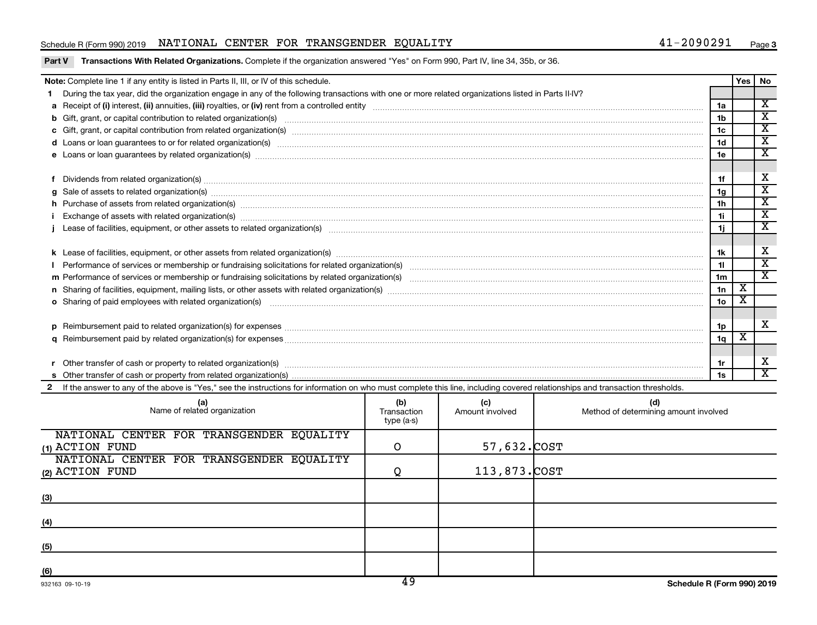#### Schedule R (Form 990) 2019 Page NATIONAL CENTER FOR TRANSGENDER EQUALITY 41-2090291

|          | Note: Complete line 1 if any entity is listed in Parts II, III, or IV of this schedule.                                                                                                                                        |                 | Yes                     | l No                        |
|----------|--------------------------------------------------------------------------------------------------------------------------------------------------------------------------------------------------------------------------------|-----------------|-------------------------|-----------------------------|
| 1.       | During the tax year, did the organization engage in any of the following transactions with one or more related organizations listed in Parts II-IV?                                                                            |                 |                         |                             |
|          |                                                                                                                                                                                                                                | 1a              |                         | $\overline{\textnormal{x}}$ |
|          | b Gift, grant, or capital contribution to related organization(s) manufaction contribution of the contribution to related organization(s) manufaction contribution to related organization(s) manufaction contribution contrib | 1 <sub>b</sub>  |                         | $\overline{\mathbf{x}}$     |
|          |                                                                                                                                                                                                                                | 1c              |                         | $\overline{\textbf{x}}$     |
|          | d Loans or loan guarantees to or for related organization(s) mature content to the content of the content of the content of the content of the content of the content of the content of the content of the content of the cont | 1 <sub>d</sub>  |                         | $\overline{\textnormal{x}}$ |
|          | e Loans or loan guarantees by related organization(s) www.array.com/www.array.com/www.array.com/www.array.com/www.array.com/www.array.com/www.array.com/www.array.com/www.array.com/www.array.com/www.array.com/www.array.com/ | 1e              |                         | $\overline{\textbf{x}}$     |
|          |                                                                                                                                                                                                                                |                 |                         |                             |
|          | Dividends from related organization(s) www.andron.com/www.andron.com/www.andron.com/www.andron.com/www.andron.com/www.andron.com/www.andron.com/www.andron.com/www.andron.com/www.andron.com/www.andron.com/www.andron.com/www | 1f              |                         | х                           |
| a        | Sale of assets to related organization(s) www.communically.communically contract to related organization(s) www.communically contract to related organization(s) www.communically.communically contract to relate the state of | 1g              |                         | $\overline{\mathbf{x}}$     |
|          | h Purchase of assets from related organization(s) manufactured and content to content and content of assets from related organization(s)                                                                                       | 1 <sub>h</sub>  |                         | $\overline{\textnormal{x}}$ |
|          | Exchange of assets with related organization(s) www.walescommunity.com/walescommunity/walescommunity/walescommunity/walescommunity/walescommunity/walescommunity/walescommunity/walescommunity/walescommunity/walescommunity/w | 11              |                         | $\overline{\textbf{x}}$     |
|          |                                                                                                                                                                                                                                | 1j              |                         | X                           |
|          |                                                                                                                                                                                                                                |                 |                         |                             |
|          |                                                                                                                                                                                                                                | 1k              |                         | X                           |
|          |                                                                                                                                                                                                                                | 11              |                         | $\overline{\textnormal{x}}$ |
|          |                                                                                                                                                                                                                                | 1 <sub>m</sub>  |                         | X                           |
|          |                                                                                                                                                                                                                                | 1n              | $\overline{\textbf{X}}$ |                             |
|          | o Sharing of paid employees with related organization(s) manufaction(s) and contain an examination of the state or state or state or state or state or state or state or state or state or state or state or state or state or | 10 <sub>o</sub> | X                       |                             |
|          |                                                                                                                                                                                                                                |                 |                         |                             |
| <b>D</b> |                                                                                                                                                                                                                                | 1 <sub>p</sub>  |                         | X                           |
|          |                                                                                                                                                                                                                                | 1q              | х                       |                             |
|          |                                                                                                                                                                                                                                |                 |                         |                             |
|          | Other transfer of cash or property to related organization(s) www.communities.com/www.communities/communities/                                                                                                                 | 1r              |                         | X                           |
|          |                                                                                                                                                                                                                                | 1s              |                         | $\overline{\mathbf{X}}$     |
|          | 2 If the answer to any of the above is "Yes," see the instructions for information on who must complete this line, including covered relationships and transaction thresholds.                                                 |                 |                         |                             |
|          |                                                                                                                                                                                                                                |                 |                         |                             |

| (a)<br>Name of related organization      | (b)<br>Transaction<br>type (a-s) | (c)<br>Amount involved | (d)<br>Method of determining amount involved |
|------------------------------------------|----------------------------------|------------------------|----------------------------------------------|
| NATIONAL CENTER FOR TRANSGENDER EQUALITY |                                  |                        |                                              |
| $(1)$ ACTION FUND                        | O                                | 57,632.COST            |                                              |
| NATIONAL CENTER FOR TRANSGENDER EQUALITY |                                  |                        |                                              |
| (2) ACTION FUND                          |                                  | 113,873. COST          |                                              |
|                                          |                                  |                        |                                              |
| (3)                                      |                                  |                        |                                              |
|                                          |                                  |                        |                                              |
| (4)                                      |                                  |                        |                                              |
|                                          |                                  |                        |                                              |
| (5)                                      |                                  |                        |                                              |
|                                          |                                  |                        |                                              |
| (6)                                      | $\overline{\phantom{a}}$         |                        |                                              |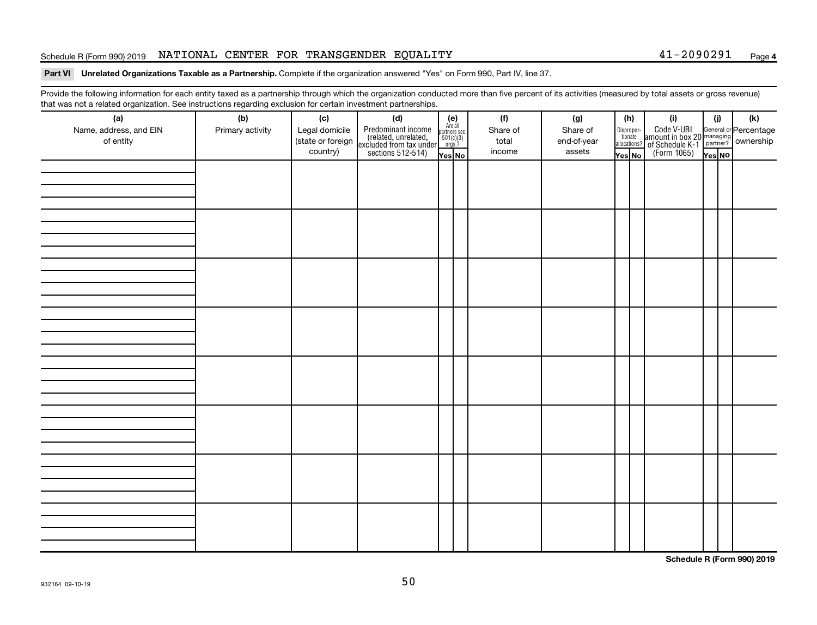#### Schedule R (Form 990) 2019 Page NATIONAL CENTER FOR TRANSGENDER EQUALITY 41-2090291

#### **4**

#### Part VI Unrelated Organizations Taxable as a Partnership. Complete if the organization answered "Yes" on Form 990, Part IV, line 37.

Provide the following information for each entity taxed as a partnership through which the organization conducted more than five percent of its activities (measured by total assets or gross revenue) that was not a related organization. See instructions regarding exclusion for certain investment partnerships.

| (a)<br>Name, address, and EIN<br>of entity | - - -<br>- محب محب المنابع المراجع المراجع المراجع المراجع المراجع المراجع المراجع المراجع المراجع المراجع ا<br>(b)<br>Primary activity | (c)<br>Legal domicile<br>(state or foreign<br>country) | (d)<br>Predominant income<br>(related, unrelated,<br>excluded from tax under<br>sections 512-514) | (e)<br>Are all<br>partners sec.<br>$501(c)(3)$<br>orgs.?<br>Yes No | (f)<br>Share of<br>total<br>income | (g)<br>Share of<br>end-of-year<br>assets | (h)<br>Dispropor-<br>tionate<br>allocations?<br>Yes No | (i)<br>Code V-UBI<br>amount in box 20 managing<br>of Schedule K-1<br>(Form 1065)<br>ves No | (i)<br>Yes NO | (k) |
|--------------------------------------------|-----------------------------------------------------------------------------------------------------------------------------------------|--------------------------------------------------------|---------------------------------------------------------------------------------------------------|--------------------------------------------------------------------|------------------------------------|------------------------------------------|--------------------------------------------------------|--------------------------------------------------------------------------------------------|---------------|-----|
|                                            |                                                                                                                                         |                                                        |                                                                                                   |                                                                    |                                    |                                          |                                                        |                                                                                            |               |     |
|                                            |                                                                                                                                         |                                                        |                                                                                                   |                                                                    |                                    |                                          |                                                        |                                                                                            |               |     |
|                                            |                                                                                                                                         |                                                        |                                                                                                   |                                                                    |                                    |                                          |                                                        |                                                                                            |               |     |
|                                            |                                                                                                                                         |                                                        |                                                                                                   |                                                                    |                                    |                                          |                                                        |                                                                                            |               |     |
|                                            |                                                                                                                                         |                                                        |                                                                                                   |                                                                    |                                    |                                          |                                                        |                                                                                            |               |     |
|                                            |                                                                                                                                         |                                                        |                                                                                                   |                                                                    |                                    |                                          |                                                        |                                                                                            |               |     |
|                                            |                                                                                                                                         |                                                        |                                                                                                   |                                                                    |                                    |                                          |                                                        |                                                                                            |               |     |
|                                            |                                                                                                                                         |                                                        |                                                                                                   |                                                                    |                                    |                                          |                                                        |                                                                                            |               |     |

**Schedule R (Form 990) 2019**